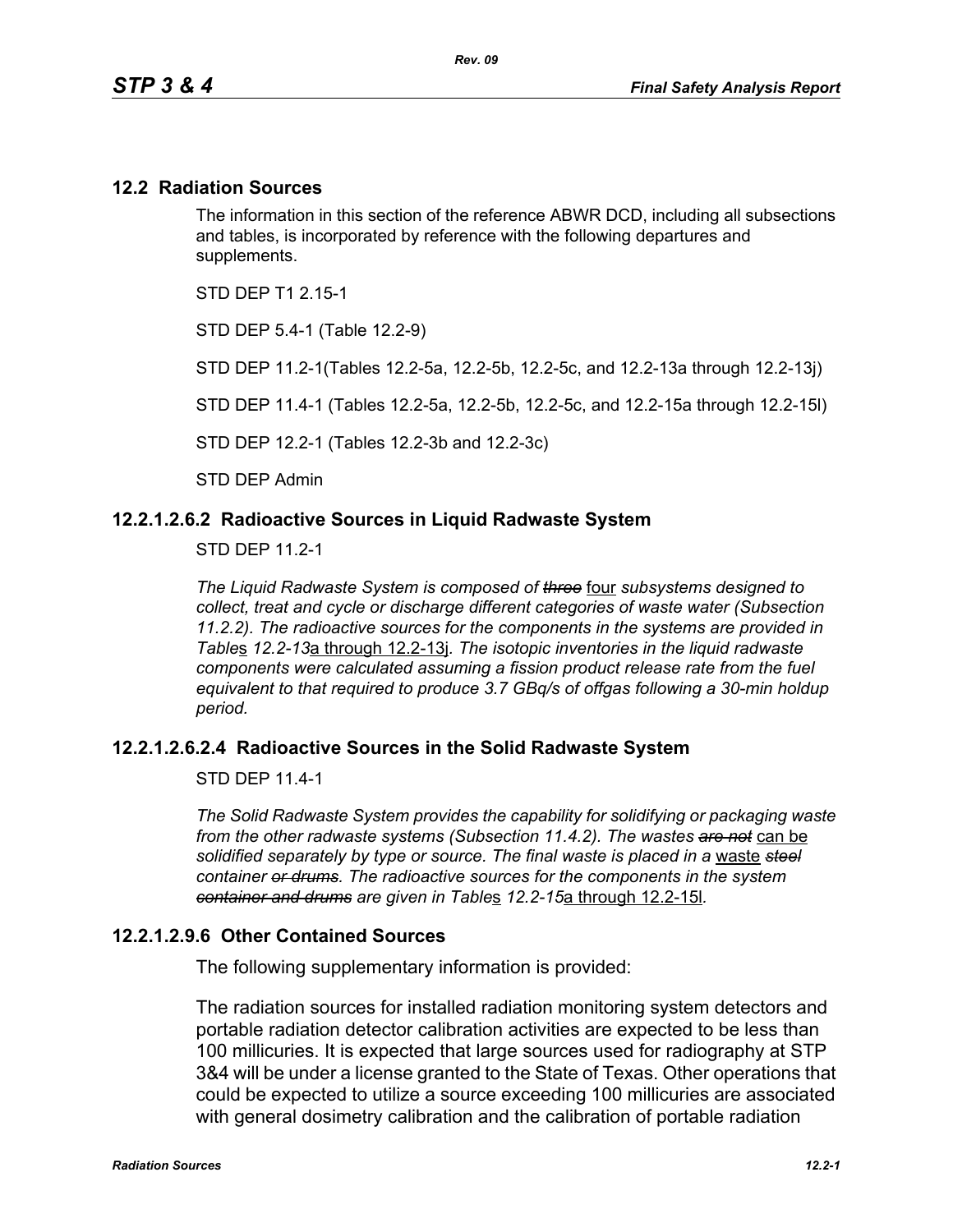### **12.2 Radiation Sources**

The information in this section of the reference ABWR DCD, including all subsections and tables, is incorporated by reference with the following departures and supplements.

STD DEP T1 2 15-1

STD DEP 5.4-1 (Table 12.2-9)

STD DEP 11.2-1(Tables 12.2-5a, 12.2-5b, 12.2-5c, and 12.2-13a through 12.2-13j)

STD DEP 11.4-1 (Tables 12.2-5a, 12.2-5b, 12.2-5c, and 12.2-15a through 12.2-15l)

STD DEP 12.2-1 (Tables 12.2-3b and 12.2-3c)

STD DEP Admin

### **12.2.1.2.6.2 Radioactive Sources in Liquid Radwaste System**

STD DEP 11.2-1

*The Liquid Radwaste System is composed of three* four *subsystems designed to collect, treat and cycle or discharge different categories of waste water (Subsection 11.2.2). The radioactive sources for the components in the systems are provided in Table*s *12.2-13*a through 12.2-13j*. The isotopic inventories in the liquid radwaste components were calculated assuming a fission product release rate from the fuel equivalent to that required to produce 3.7 GBq/s of offgas following a 30-min holdup period.* 

### **12.2.1.2.6.2.4 Radioactive Sources in the Solid Radwaste System**

STD DFP 11 4-1

*The Solid Radwaste System provides the capability for solidifying or packaging waste from the other radwaste systems (Subsection 11.4.2). The wastes are not* can be *solidified separately by type or source. The final waste is placed in a* waste *steel container or drums. The radioactive sources for the components in the system container and drums are given in Table*s *12.2-15*a through 12.2-15l*.*

### **12.2.1.2.9.6 Other Contained Sources**

The following supplementary information is provided:

The radiation sources for installed radiation monitoring system detectors and portable radiation detector calibration activities are expected to be less than 100 millicuries. It is expected that large sources used for radiography at STP 3&4 will be under a license granted to the State of Texas. Other operations that could be expected to utilize a source exceeding 100 millicuries are associated with general dosimetry calibration and the calibration of portable radiation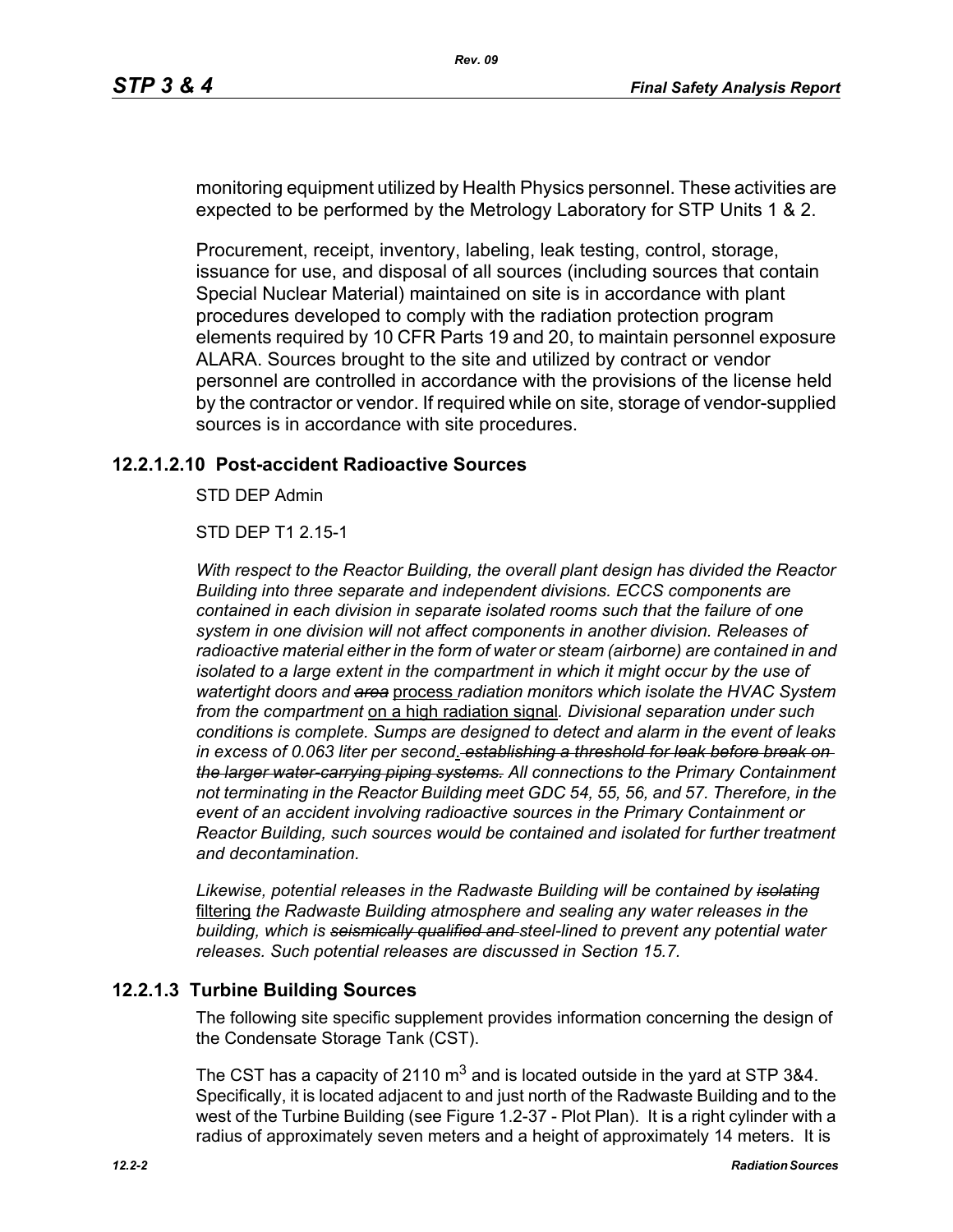monitoring equipment utilized by Health Physics personnel. These activities are expected to be performed by the Metrology Laboratory for STP Units 1 & 2.

Procurement, receipt, inventory, labeling, leak testing, control, storage, issuance for use, and disposal of all sources (including sources that contain Special Nuclear Material) maintained on site is in accordance with plant procedures developed to comply with the radiation protection program elements required by 10 CFR Parts 19 and 20, to maintain personnel exposure ALARA. Sources brought to the site and utilized by contract or vendor personnel are controlled in accordance with the provisions of the license held by the contractor or vendor. If required while on site, storage of vendor-supplied sources is in accordance with site procedures.

### **12.2.1.2.10 Post-accident Radioactive Sources**

STD DEP Admin

STD DEP T1 2.15-1

*With respect to the Reactor Building, the overall plant design has divided the Reactor Building into three separate and independent divisions. ECCS components are contained in each division in separate isolated rooms such that the failure of one system in one division will not affect components in another division. Releases of radioactive material either in the form of water or steam (airborne) are contained in and isolated to a large extent in the compartment in which it might occur by the use of watertight doors and area* process *radiation monitors which isolate the HVAC System from the compartment* on a high radiation signal*. Divisional separation under such conditions is complete. Sumps are designed to detect and alarm in the event of leaks in excess of 0.063 liter per second*. *establishing a threshold for leak before break on the larger water-carrying piping systems. All connections to the Primary Containment not terminating in the Reactor Building meet GDC 54, 55, 56, and 57. Therefore, in the event of an accident involving radioactive sources in the Primary Containment or Reactor Building, such sources would be contained and isolated for further treatment and decontamination.*

*Likewise, potential releases in the Radwaste Building will be contained by isolating* filtering *the Radwaste Building atmosphere and sealing any water releases in the building, which is seismically qualified and steel-lined to prevent any potential water releases. Such potential releases are discussed in Section 15.7.* 

### **12.2.1.3 Turbine Building Sources**

The following site specific supplement provides information concerning the design of the Condensate Storage Tank (CST).

The CST has a capacity of 2110  $\text{m}^3$  and is located outside in the yard at STP 3&4. Specifically, it is located adjacent to and just north of the Radwaste Building and to the west of the Turbine Building (see Figure 1.2-37 - Plot Plan). It is a right cylinder with a radius of approximately seven meters and a height of approximately 14 meters. It is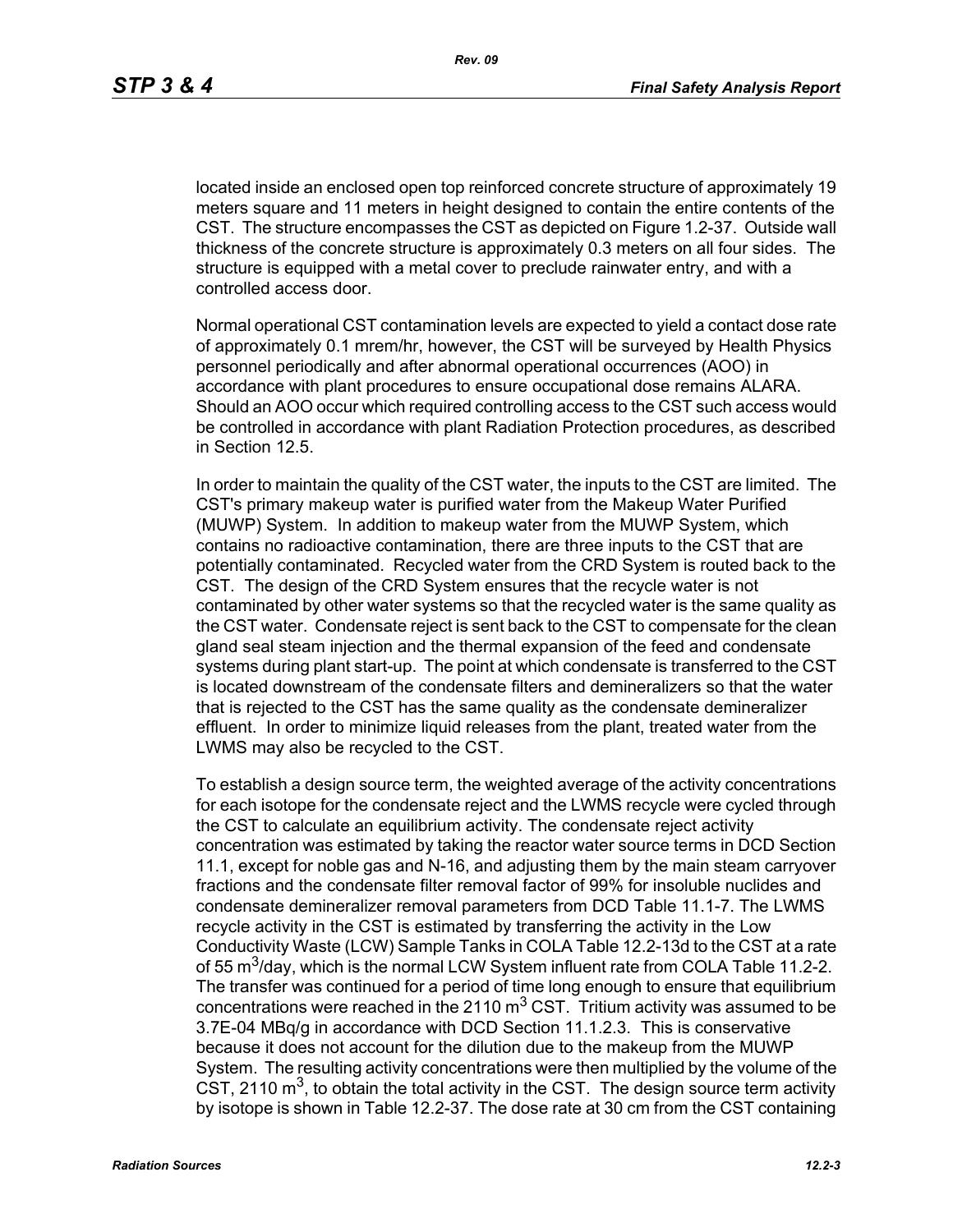located inside an enclosed open top reinforced concrete structure of approximately 19 meters square and 11 meters in height designed to contain the entire contents of the CST. The structure encompasses the CST as depicted on Figure 1.2-37. Outside wall thickness of the concrete structure is approximately 0.3 meters on all four sides. The structure is equipped with a metal cover to preclude rainwater entry, and with a controlled access door.

Normal operational CST contamination levels are expected to yield a contact dose rate of approximately 0.1 mrem/hr, however, the CST will be surveyed by Health Physics personnel periodically and after abnormal operational occurrences (AOO) in accordance with plant procedures to ensure occupational dose remains ALARA. Should an AOO occur which required controlling access to the CST such access would be controlled in accordance with plant Radiation Protection procedures, as described in Section 12.5.

In order to maintain the quality of the CST water, the inputs to the CST are limited. The CST's primary makeup water is purified water from the Makeup Water Purified (MUWP) System. In addition to makeup water from the MUWP System, which contains no radioactive contamination, there are three inputs to the CST that are potentially contaminated. Recycled water from the CRD System is routed back to the CST. The design of the CRD System ensures that the recycle water is not contaminated by other water systems so that the recycled water is the same quality as the CST water. Condensate reject is sent back to the CST to compensate for the clean gland seal steam injection and the thermal expansion of the feed and condensate systems during plant start-up. The point at which condensate is transferred to the CST is located downstream of the condensate filters and demineralizers so that the water that is rejected to the CST has the same quality as the condensate demineralizer effluent. In order to minimize liquid releases from the plant, treated water from the LWMS may also be recycled to the CST.

To establish a design source term, the weighted average of the activity concentrations for each isotope for the condensate reject and the LWMS recycle were cycled through the CST to calculate an equilibrium activity. The condensate reject activity concentration was estimated by taking the reactor water source terms in DCD Section 11.1, except for noble gas and N-16, and adjusting them by the main steam carryover fractions and the condensate filter removal factor of 99% for insoluble nuclides and condensate demineralizer removal parameters from DCD Table 11.1-7. The LWMS recycle activity in the CST is estimated by transferring the activity in the Low Conductivity Waste (LCW) Sample Tanks in COLA Table 12.2-13d to the CST at a rate of 55  $\text{m}^3$ /day, which is the normal LCW System influent rate from COLA Table 11.2-2. The transfer was continued for a period of time long enough to ensure that equilibrium concentrations were reached in the 2110  $\text{m}^3$  CST. Tritium activity was assumed to be 3.7E-04 MBq/g in accordance with DCD Section 11.1.2.3. This is conservative because it does not account for the dilution due to the makeup from the MUWP System. The resulting activity concentrations were then multiplied by the volume of the CST, 2110  $\mathrm{m}^3$ , to obtain the total activity in the CST. The design source term activity by isotope is shown in Table 12.2-37. The dose rate at 30 cm from the CST containing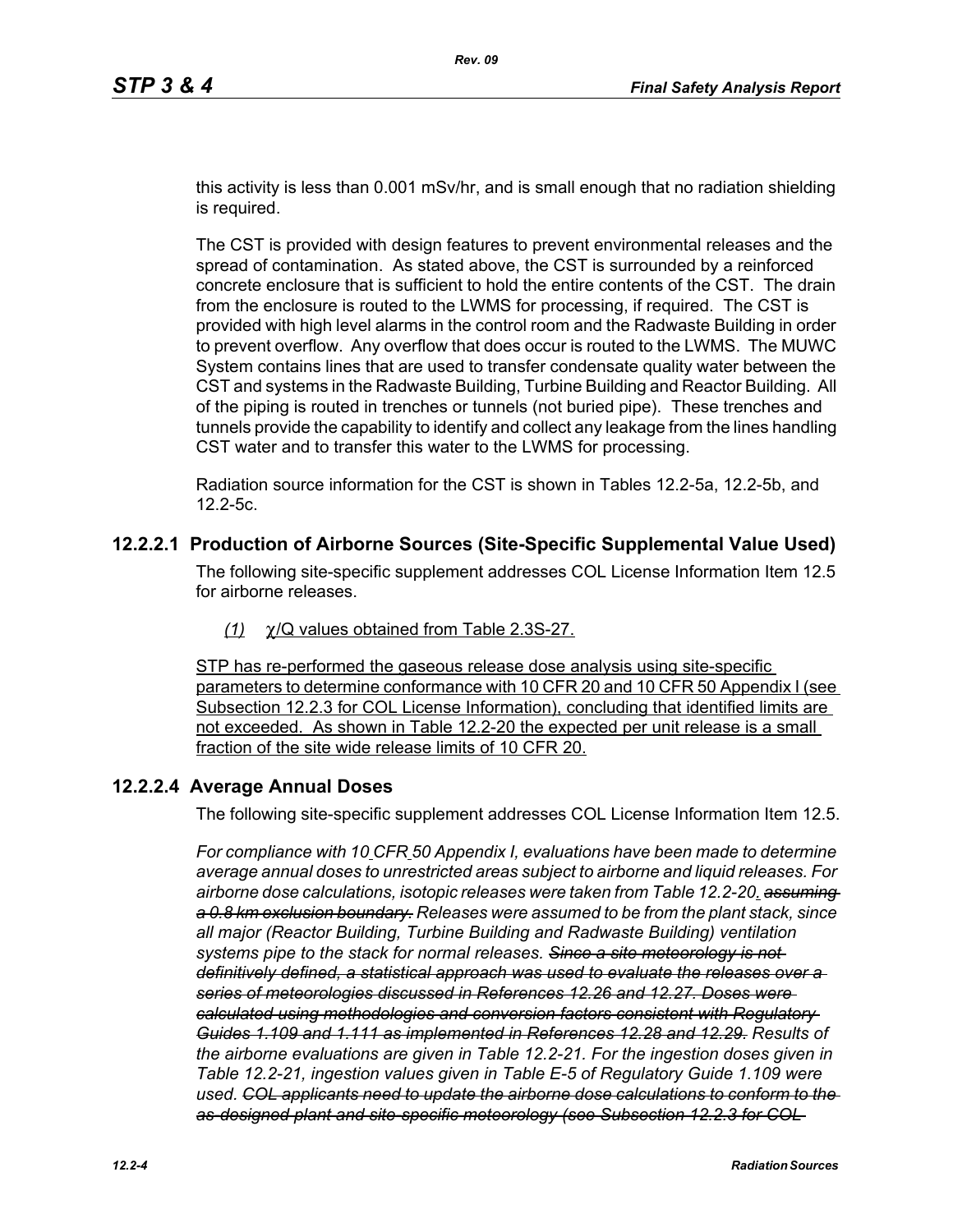this activity is less than 0.001 mSv/hr, and is small enough that no radiation shielding is required.

The CST is provided with design features to prevent environmental releases and the spread of contamination. As stated above, the CST is surrounded by a reinforced concrete enclosure that is sufficient to hold the entire contents of the CST. The drain from the enclosure is routed to the LWMS for processing, if required. The CST is provided with high level alarms in the control room and the Radwaste Building in order to prevent overflow. Any overflow that does occur is routed to the LWMS. The MUWC System contains lines that are used to transfer condensate quality water between the CST and systems in the Radwaste Building, Turbine Building and Reactor Building. All of the piping is routed in trenches or tunnels (not buried pipe). These trenches and tunnels provide the capability to identify and collect any leakage from the lines handling CST water and to transfer this water to the LWMS for processing.

Radiation source information for the CST is shown in Tables 12.2-5a, 12.2-5b, and 12.2-5c.

### **12.2.2.1 Production of Airborne Sources (Site-Specific Supplemental Value Used)**

The following site-specific supplement addresses COL License Information Item 12.5 for airborne releases.

*(1)* χ/Q values obtained from Table 2.3S-27.

STP has re-performed the gaseous release dose analysis using site-specific parameters to determine conformance with 10 CFR 20 and 10 CFR 50 Appendix I (see Subsection 12.2.3 for COL License Information), concluding that identified limits are not exceeded. As shown in Table 12.2-20 the expected per unit release is a small fraction of the site wide release limits of 10 CFR 20.

### **12.2.2.4 Average Annual Doses**

The following site-specific supplement addresses COL License Information Item 12.5.

*For compliance with 10 CFR 50 Appendix I, evaluations have been made to determine average annual doses to unrestricted areas subject to airborne and liquid releases. For airborne dose calculations, isotopic releases were taken from Table 12.2-20. assuming a 0.8 km exclusion boundary. Releases were assumed to be from the plant stack, since all major (Reactor Building, Turbine Building and Radwaste Building) ventilation systems pipe to the stack for normal releases. Since a site meteorology is not definitively defined, a statistical approach was used to evaluate the releases over a series of meteorologies discussed in References 12.26 and 12.27. Doses were calculated using methodologies and conversion factors consistent with Regulatory Guides 1.109 and 1.111 as implemented in References 12.28 and 12.29. Results of the airborne evaluations are given in Table 12.2-21. For the ingestion doses given in Table 12.2-21, ingestion values given in Table E-5 of Regulatory Guide 1.109 were used. COL applicants need to update the airborne dose calculations to conform to the as-designed plant and site-specific meteorology (see Subsection 12.2.3 for COL*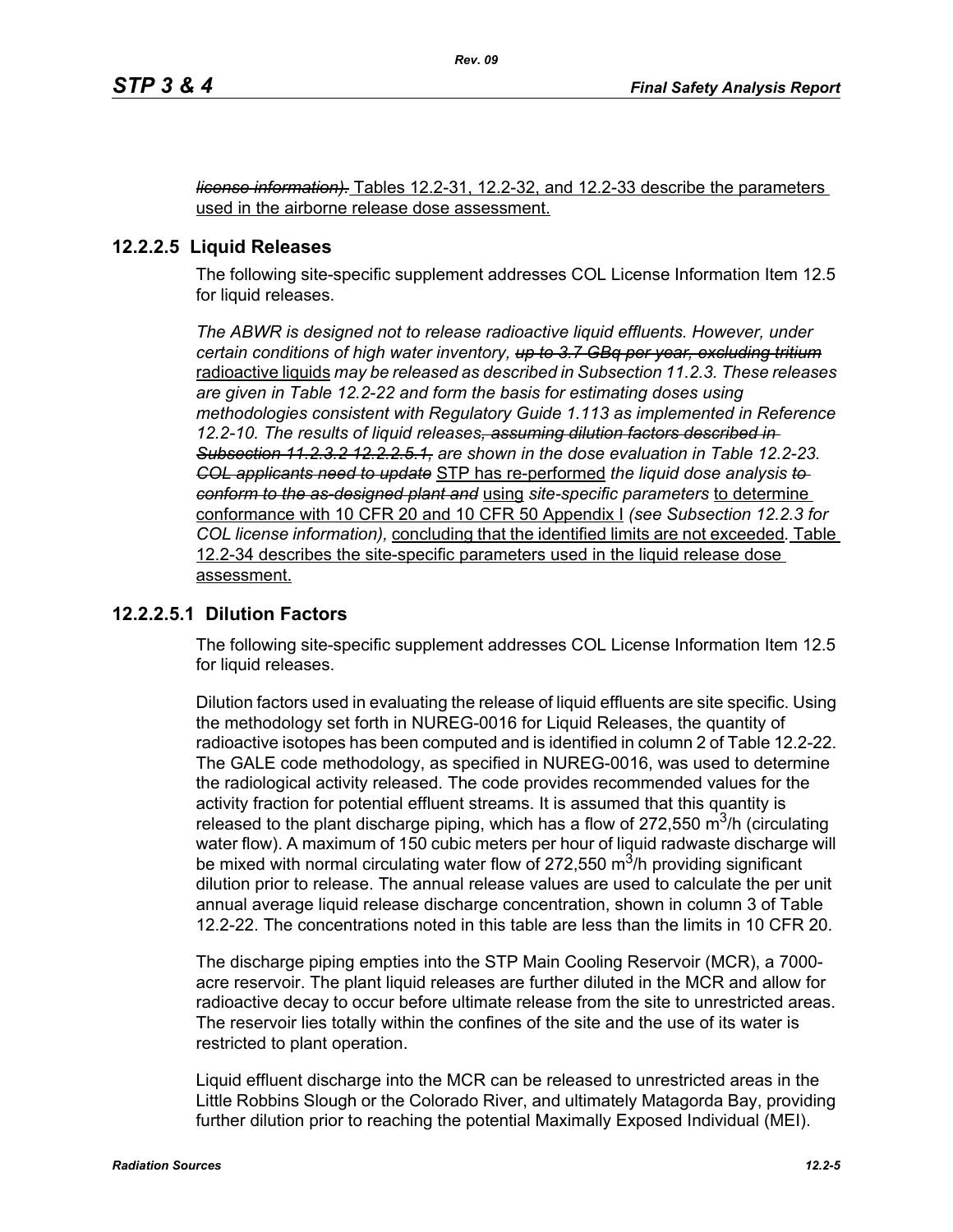*license information).* Tables 12.2-31, 12.2-32, and 12.2-33 describe the parameters used in the airborne release dose assessment.

### **12.2.2.5 Liquid Releases**

The following site-specific supplement addresses COL License Information Item 12.5 for liquid releases.

*The ABWR is designed not to release radioactive liquid effluents. However, under certain conditions of high water inventory, up to 3.7 GBq per year, excluding tritium* radioactive liquids *may be released as described in Subsection 11.2.3. These releases are given in Table 12.2-22 and form the basis for estimating doses using methodologies consistent with Regulatory Guide 1.113 as implemented in Reference 12.2-10. The results of liquid releases, assuming dilution factors described in Subsection 11.2.3.2 12.2.2.5.1, are shown in the dose evaluation in Table 12.2-23. COL applicants need to update* STP has re-performed *the liquid dose analysis to conform to the as-designed plant and* using *site-specific parameters* to determine conformance with 10 CFR 20 and 10 CFR 50 Appendix I *(see Subsection 12.2.3 for COL license information),* concluding that the identified limits are not exceeded*.* Table 12.2-34 describes the site-specific parameters used in the liquid release dose assessment.

### **12.2.2.5.1 Dilution Factors**

The following site-specific supplement addresses COL License Information Item 12.5 for liquid releases.

Dilution factors used in evaluating the release of liquid effluents are site specific. Using the methodology set forth in NUREG-0016 for Liquid Releases, the quantity of radioactive isotopes has been computed and is identified in column 2 of Table 12.2-22. The GALE code methodology, as specified in NUREG-0016, was used to determine the radiological activity released. The code provides recommended values for the activity fraction for potential effluent streams. It is assumed that this quantity is released to the plant discharge piping, which has a flow of 272,550  $\mathrm{m}^3$ /h (circulating water flow). A maximum of 150 cubic meters per hour of liquid radwaste discharge will be mixed with normal circulating water flow of 272,550  $\mathrm{m}^3$ /h providing significant dilution prior to release. The annual release values are used to calculate the per unit annual average liquid release discharge concentration, shown in column 3 of Table 12.2-22. The concentrations noted in this table are less than the limits in 10 CFR 20.

The discharge piping empties into the STP Main Cooling Reservoir (MCR), a 7000 acre reservoir. The plant liquid releases are further diluted in the MCR and allow for radioactive decay to occur before ultimate release from the site to unrestricted areas. The reservoir lies totally within the confines of the site and the use of its water is restricted to plant operation.

Liquid effluent discharge into the MCR can be released to unrestricted areas in the Little Robbins Slough or the Colorado River, and ultimately Matagorda Bay, providing further dilution prior to reaching the potential Maximally Exposed Individual (MEI).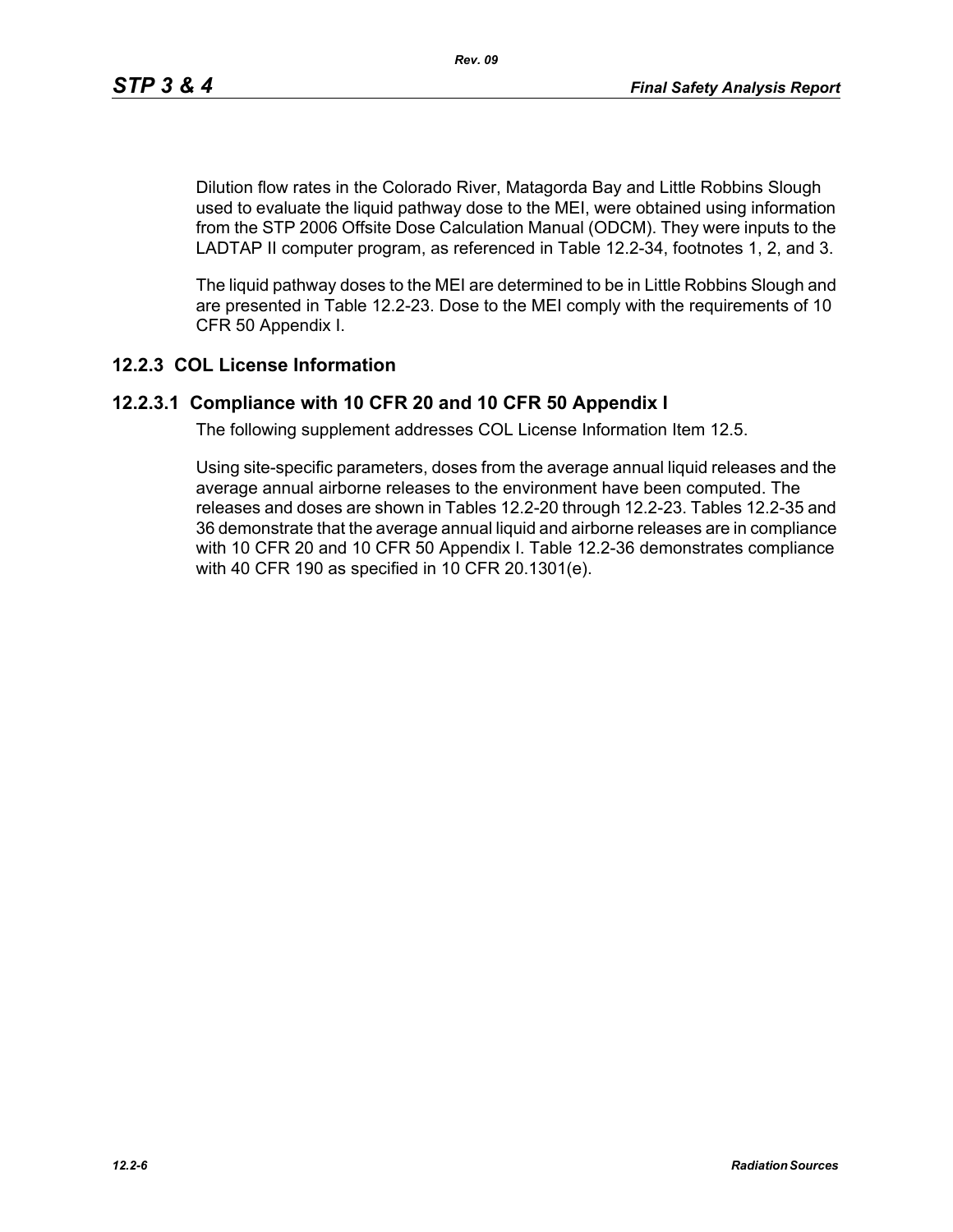Dilution flow rates in the Colorado River, Matagorda Bay and Little Robbins Slough used to evaluate the liquid pathway dose to the MEI, were obtained using information from the STP 2006 Offsite Dose Calculation Manual (ODCM). They were inputs to the LADTAP II computer program, as referenced in Table 12.2-34, footnotes 1, 2, and 3.

The liquid pathway doses to the MEI are determined to be in Little Robbins Slough and are presented in Table 12.2-23. Dose to the MEI comply with the requirements of 10 CFR 50 Appendix I.

### **12.2.3 COL License Information**

### **12.2.3.1 Compliance with 10 CFR 20 and 10 CFR 50 Appendix I**

The following supplement addresses COL License Information Item 12.5.

Using site-specific parameters, doses from the average annual liquid releases and the average annual airborne releases to the environment have been computed. The releases and doses are shown in Tables 12.2-20 through 12.2-23. Tables 12.2-35 and 36 demonstrate that the average annual liquid and airborne releases are in compliance with 10 CFR 20 and 10 CFR 50 Appendix I. Table 12.2-36 demonstrates compliance with 40 CFR 190 as specified in 10 CFR 20.1301(e).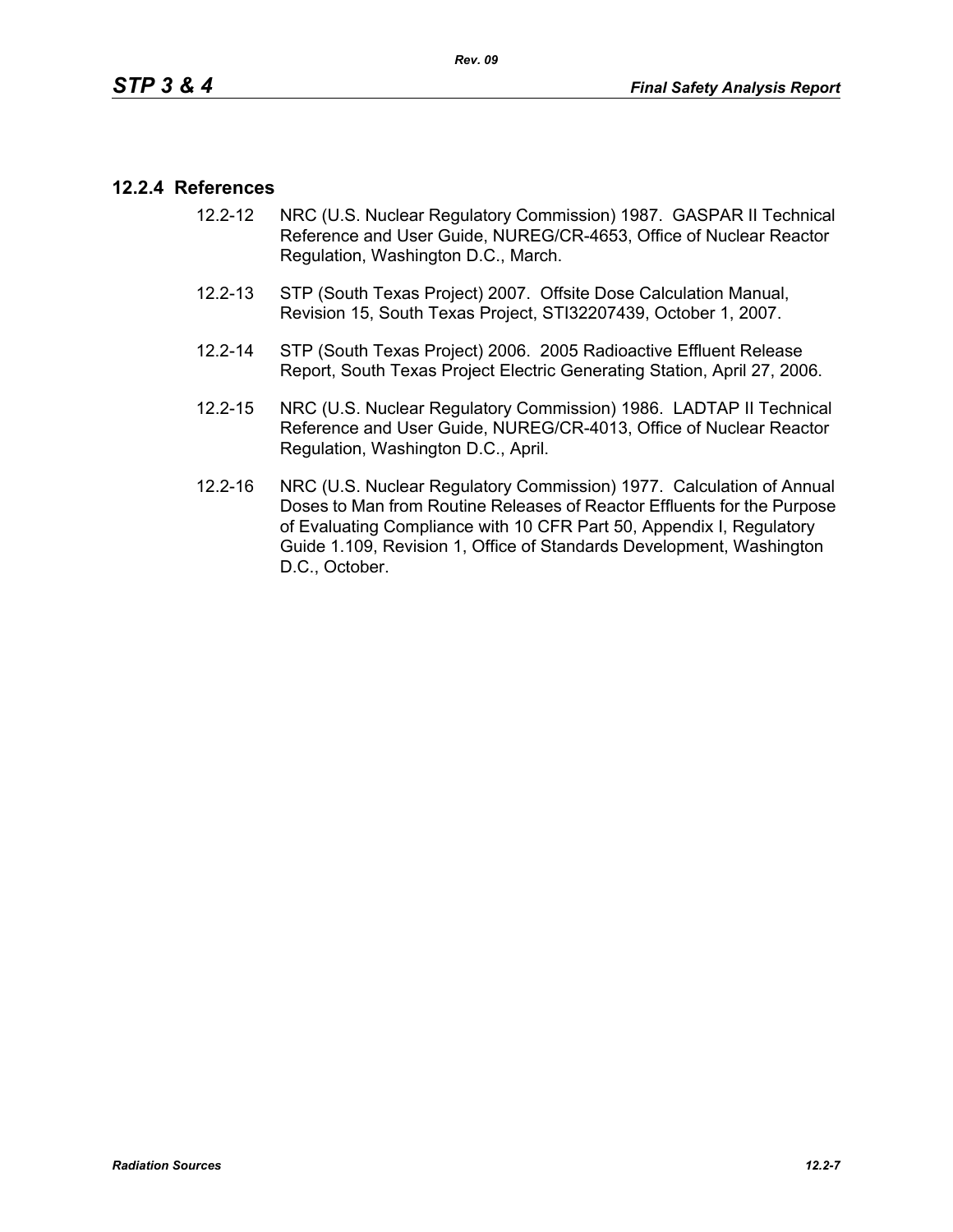### **12.2.4 References**

- 12.2-12 NRC (U.S. Nuclear Regulatory Commission) 1987. GASPAR II Technical Reference and User Guide, NUREG/CR-4653, Office of Nuclear Reactor Regulation, Washington D.C., March.
- 12.2-13 STP (South Texas Project) 2007. Offsite Dose Calculation Manual, Revision 15, South Texas Project, STI32207439, October 1, 2007.
- 12.2-14 STP (South Texas Project) 2006. 2005 Radioactive Effluent Release Report, South Texas Project Electric Generating Station, April 27, 2006.
- 12.2-15 NRC (U.S. Nuclear Regulatory Commission) 1986. LADTAP II Technical Reference and User Guide, NUREG/CR-4013, Office of Nuclear Reactor Regulation, Washington D.C., April.
- 12.2-16 NRC (U.S. Nuclear Regulatory Commission) 1977. Calculation of Annual Doses to Man from Routine Releases of Reactor Effluents for the Purpose of Evaluating Compliance with 10 CFR Part 50, Appendix I, Regulatory Guide 1.109, Revision 1, Office of Standards Development, Washington D.C., October.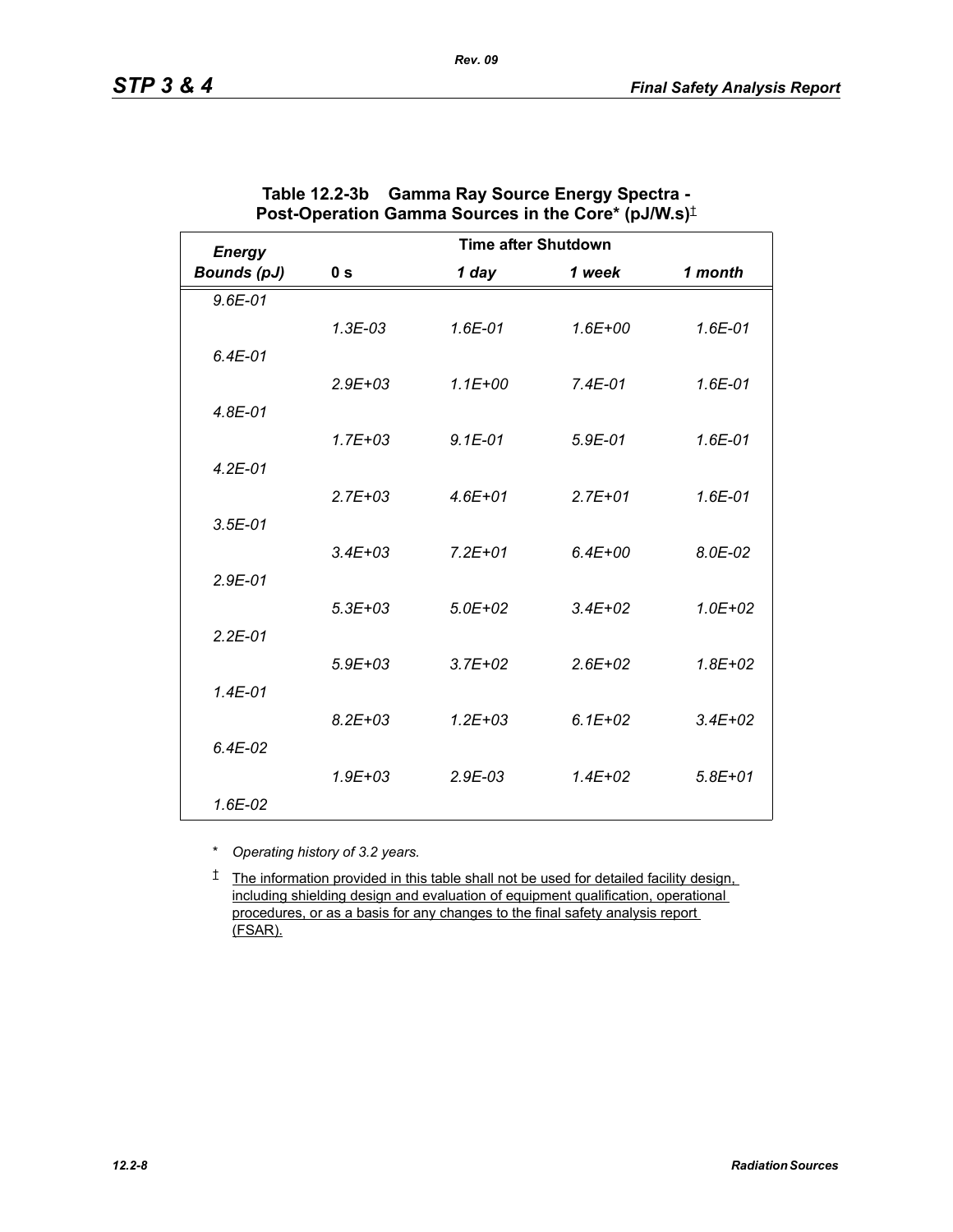| <b>Energy</b>      | <b>Time after Shutdown</b> |              |             |             |
|--------------------|----------------------------|--------------|-------------|-------------|
| <b>Bounds (pJ)</b> | 0 <sub>s</sub>             | 1 day        | 1 week      | 1 month     |
| $9.6E - 01$        |                            |              |             |             |
|                    | $1.3E-03$                  | $1.6E - 01$  | $1.6E + 00$ | $1.6E - 01$ |
| $6.4E-01$          |                            |              |             |             |
|                    | $2.9E + 03$                | $1.1E + 00$  | $7.4E - 01$ | 1.6E-01     |
| $4.8E - 01$        |                            |              |             |             |
|                    | $1.7E + 03$                | $9.1E-01$    | $5.9E-01$   | $1.6E - 01$ |
| $4.2E - 01$        |                            |              |             |             |
|                    | $2.7E + 0.3$               | $4.6E + 01$  | $2.7E + 01$ | 1.6E-01     |
| $3.5E - 01$        |                            |              |             |             |
|                    | $3.4E + 03$                | $7.2E + 01$  | $6.4E + 00$ | 8.0E-02     |
| $2.9E-01$          |                            |              |             |             |
|                    | $5.3E + 03$                | $5.0E + 02$  | $3.4E + 02$ | $1.0E + 02$ |
| $2.2E - 01$        |                            |              |             |             |
|                    | $5.9E + 03$                | $3.7E + 02$  | $2.6E + 02$ | $1.8E + 02$ |
| $1.4E - 01$        |                            |              |             |             |
|                    | $8.2E + 03$                | $1.2E + 0.3$ | $6.1E + 02$ | $3.4E + 02$ |
| $6.4E-02$          |                            |              |             |             |
|                    | $1.9E + 0.3$               | $2.9E-03$    | $1.4E + 02$ | $5.8E + 01$ |
| $1.6E-02$          |                            |              |             |             |

| Table 12.2-3b Gamma Ray Source Energy Spectra -          |
|----------------------------------------------------------|
| Post-Operation Gamma Sources in the Core* (pJ/W.s) $\pm$ |

*Rev. 09*

\* *Operating history of 3.2 years.*

† The information provided in this table shall not be used for detailed facility design, including shielding design and evaluation of equipment qualification, operational procedures, or as a basis for any changes to the final safety analysis report (FSAR).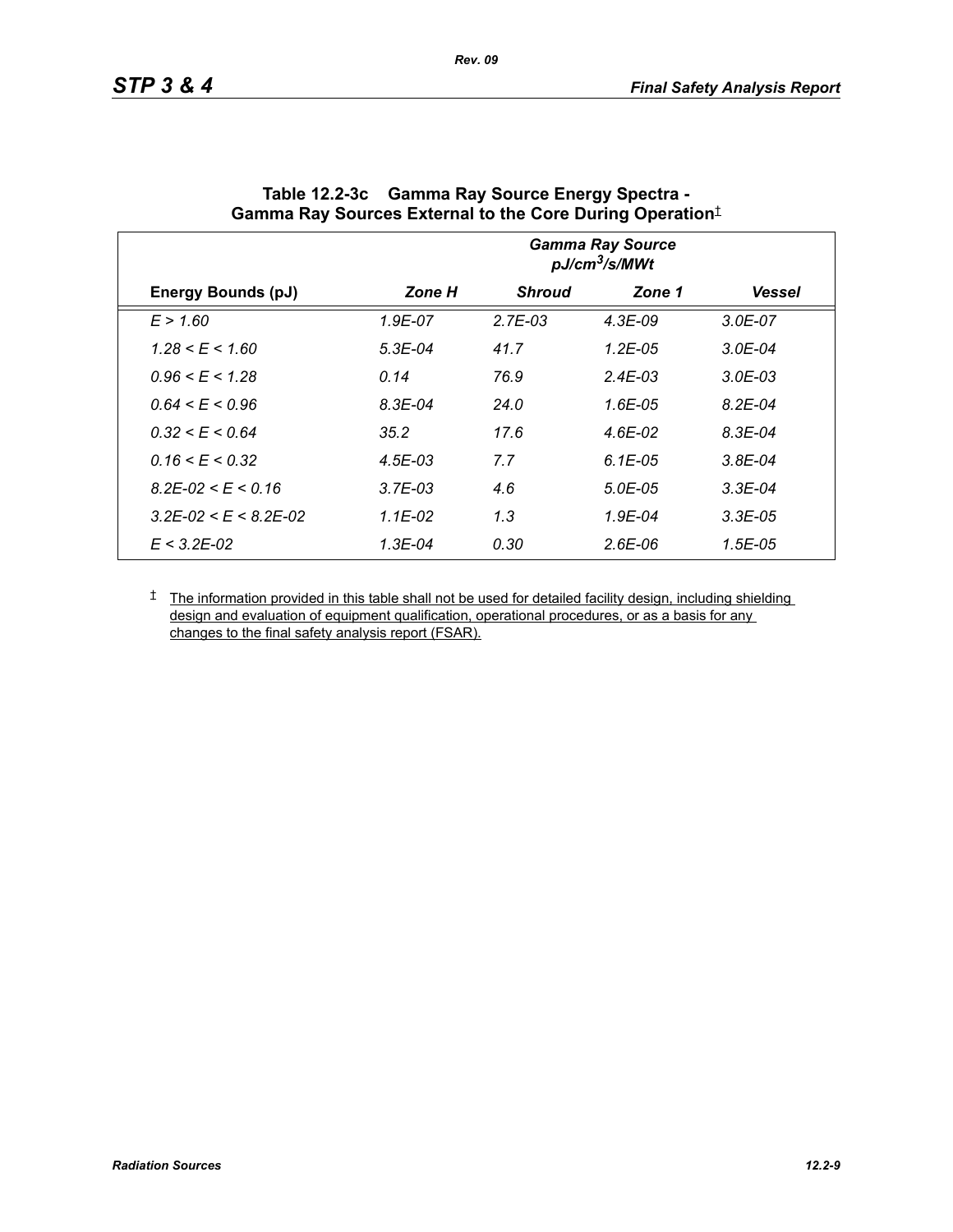|                                 | <b>Gamma Ray Source</b><br>pJ/cm <sup>3</sup> /s/MWt |               |              |               |  |
|---------------------------------|------------------------------------------------------|---------------|--------------|---------------|--|
| Energy Bounds (pJ)              | Zone H                                               | <b>Shroud</b> | Zone 1       | <b>Vessel</b> |  |
| E > 1.60                        | 1.9E-07                                              | $2.7E-03$     | $4.3E-09$    | $3.0E - 07$   |  |
| $1.28 \le E \le 1.60$           | $5.3E-04$                                            | 41.7          | $1.2E-05$    | $3.0E-04$     |  |
| $0.96 \le E \le 1.28$           | 0.14                                                 | 76.9          | $2.4E - 0.3$ | $3.0E - 03$   |  |
| $0.64 \le E \le 0.96$           | $8.3E - 04$                                          | 24.0          | $1.6E-0.5$   | $8.2E - 04$   |  |
| $0.32 \le E \le 0.64$           | 35.2                                                 | 17.6          | 4.6E-02      | $8.3E - 04$   |  |
| $0.16 \le E \le 0.32$           | $4.5E - 03$                                          | 7.7           | $6.1E-0.5$   | $3.8E - 04$   |  |
| $8.2E - 02 \le E \le 0.16$      | $3.7E-03$                                            | 4.6           | $5.0E - 0.5$ | $3.3E-04$     |  |
| $3.2E - 02 \le E \le 8.2E - 02$ | $1.1E-02$                                            | 1.3           | $1.9E - 04$  | $3.3E-0.5$    |  |
| $E < 3.2E - 0.2$                | 1.3E-04                                              | 0.30          | 2.6E-06      | 1.5E-05       |  |

| Table 12.2-3c Gamma Ray Source Energy Spectra -                  |
|------------------------------------------------------------------|
| Gamma Ray Sources External to the Core During Operation $^\ddag$ |

*Rev. 09*

<sup> $†$ </sup> The information provided in this table shall not be used for detailed facility design, including shielding design and evaluation of equipment qualification, operational procedures, or as a basis for any changes to the final safety analysis report (FSAR).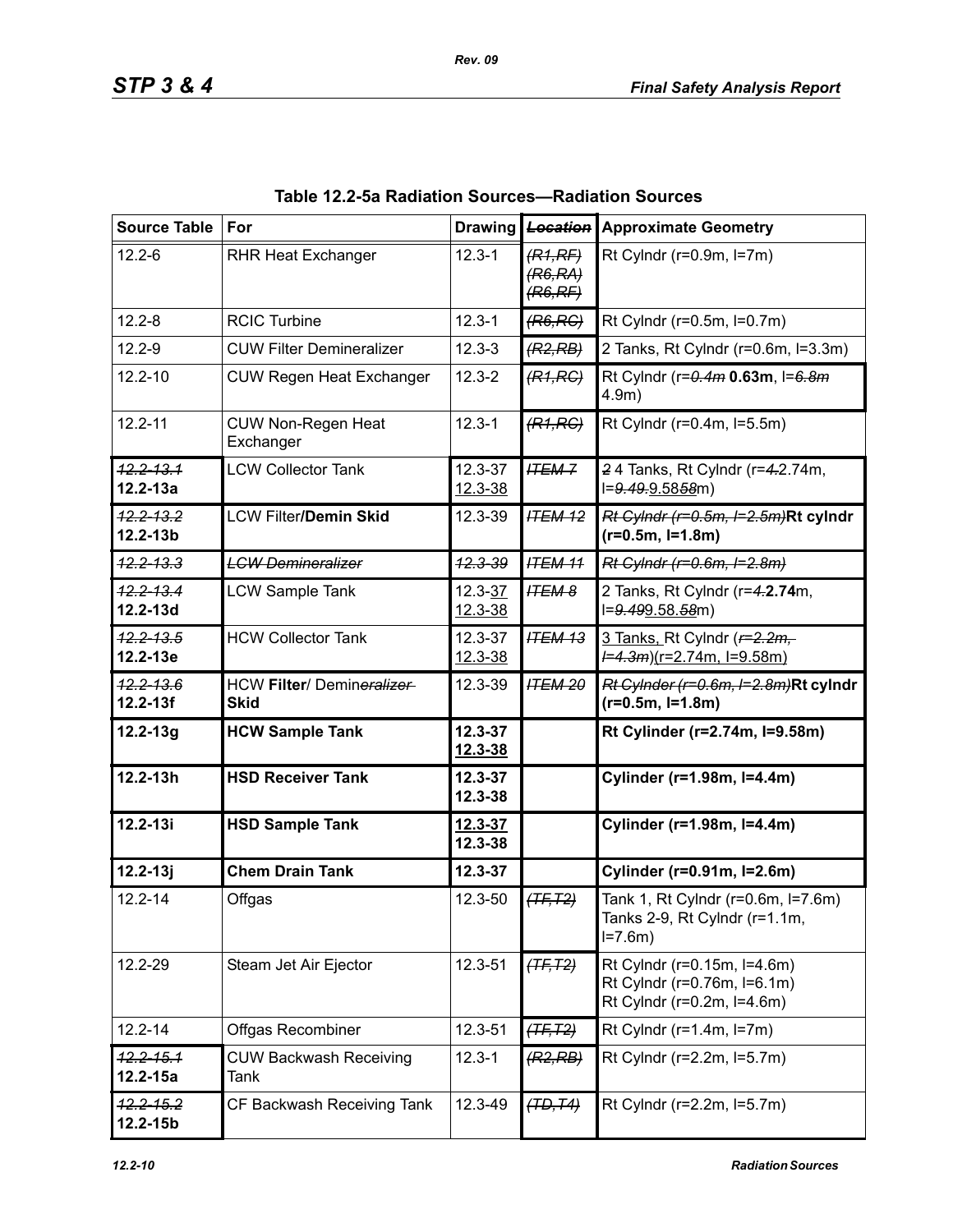| <b>Source Table</b>           | For                                      |                        | Drawing <b>Location</b>       | <b>Approximate Geometry</b>                                                              |  |  |
|-------------------------------|------------------------------------------|------------------------|-------------------------------|------------------------------------------------------------------------------------------|--|--|
| $12.2 - 6$                    | <b>RHR Heat Exchanger</b>                | $12.3 - 1$             | (R1,RF)<br>(R6,RA)<br>(R6,RF) | Rt Cylndr ( $r=0.9m$ , $l=7m$ )                                                          |  |  |
| $12.2 - 8$                    | <b>RCIC Turbine</b>                      | $12.3 - 1$             | (R6, RC)                      | Rt Cylndr (r=0.5m, l=0.7m)                                                               |  |  |
| $12.2 - 9$                    | <b>CUW Filter Demineralizer</b>          | $12.3 - 3$             | (R2, RB)                      | 2 Tanks, Rt Cylndr (r=0.6m, l=3.3m)                                                      |  |  |
| $12.2 - 10$                   | <b>CUW Regen Heat Exchanger</b>          | $12.3 - 2$             | (R1, RC)                      | Rt Cylndr (r=0.4m 0.63m, I=6.8m<br>$4.9m$ )                                              |  |  |
| $12.2 - 11$                   | <b>CUW Non-Regen Heat</b><br>Exchanger   | $12.3 - 1$             | (R1, RC)                      | Rt Cylndr (r=0.4m, l=5.5m)                                                               |  |  |
| $12.2 - 13.1$<br>$12.2 - 13a$ | <b>LCW Collector Tank</b>                | 12.3-37<br>$12.3 - 38$ | <b>ITEM-7</b>                 | 24 Tanks, Rt Cylndr (r=4.2.74m,<br>l=9.49.9.5858m)                                       |  |  |
| $12.2 - 13.2$<br>12.2-13b     | <b>LCW Filter/Demin Skid</b>             | 12.3-39                | <b>ITEM 12</b>                | Rt Cylndr (r=0.5m, I=2.5m)Rt cylndr<br>$(r=0.5m, I=1.8m)$                                |  |  |
| <del>12.2-13.3</del>          | <b>LCW Demineralizer</b>                 | <del>12.3-39</del>     | <b>ITEM 11</b>                | Rt Cylndr (r=0.6m, I=2.8m)                                                               |  |  |
| 12.2-13.4<br>12.2-13d         | <b>LCW Sample Tank</b>                   | $12.3 - 37$<br>12.3-38 | <b>ITEM 8</b>                 | 2 Tanks, Rt Cylndr (r=4.2.74m,<br>l=9.499.58.58m)                                        |  |  |
| $12.2 - 13.5$<br>12.2-13e     | <b>HCW Collector Tank</b>                | 12.3-37<br>12.3-38     | <b>ITEM 13</b>                | 3 Tanks, Rt Cylndr ( $r=2.2m$ ,<br>$\frac{1}{2}$ = 4.3m)(r=2.74m, l=9.58m)               |  |  |
| 12.2-13.6<br>$12.2 - 13f$     | HCW Filter/ Demineralizer<br><b>Skid</b> | 12.3-39                | <b>ITEM 20</b>                | Rt Cylnder (r=0.6m, l=2.8m)Rt cylndr<br>$(r=0.5m, l=1.8m)$                               |  |  |
| $12.2 - 13g$                  | <b>HCW Sample Tank</b>                   | 12.3-37<br>12.3-38     |                               | Rt Cylinder (r=2.74m, l=9.58m)                                                           |  |  |
| $12.2 - 13h$                  | <b>HSD Receiver Tank</b>                 | 12.3-37<br>12.3-38     |                               | Cylinder (r=1.98m, I=4.4m)                                                               |  |  |
| $12.2 - 13i$                  | <b>HSD Sample Tank</b>                   | $12.3 - 37$<br>12.3-38 |                               | Cylinder (r=1.98m, l=4.4m)                                                               |  |  |
| $12.2 - 13j$                  | <b>Chem Drain Tank</b>                   | 12.3-37                |                               | Cylinder (r=0.91m, I=2.6m)                                                               |  |  |
| $12.2 - 14$                   | Offgas                                   | 12.3-50                | $(TF, T2)$                    | Tank 1, Rt Cylndr (r=0.6m, l=7.6m)<br>Tanks 2-9, Rt Cylndr (r=1.1m,<br>$I = 7.6m$        |  |  |
| 12.2-29                       | Steam Jet Air Ejector                    | 12.3-51                | $(TF, T2)$                    | Rt Cylndr (r=0.15m, l=4.6m)<br>Rt Cylndr (r=0.76m, l=6.1m)<br>Rt Cylndr (r=0.2m, l=4.6m) |  |  |
| $12.2 - 14$                   | Offgas Recombiner                        | 12.3-51                | $(TF, T2)$                    | Rt Cylndr ( $r=1.4m$ , $l=7m$ )                                                          |  |  |
| $12.2 - 15.1$<br>$12.2 - 15a$ | <b>CUW Backwash Receiving</b><br>Tank    | $12.3 - 1$             | (R2, RB)                      | Rt Cylndr (r=2.2m, l=5.7m)                                                               |  |  |
| $42.2 - 15.2$<br>$12.2 - 15b$ | CF Backwash Receiving Tank               | 12.3-49                | (TD, T4)                      | Rt Cylndr (r=2.2m, l=5.7m)                                                               |  |  |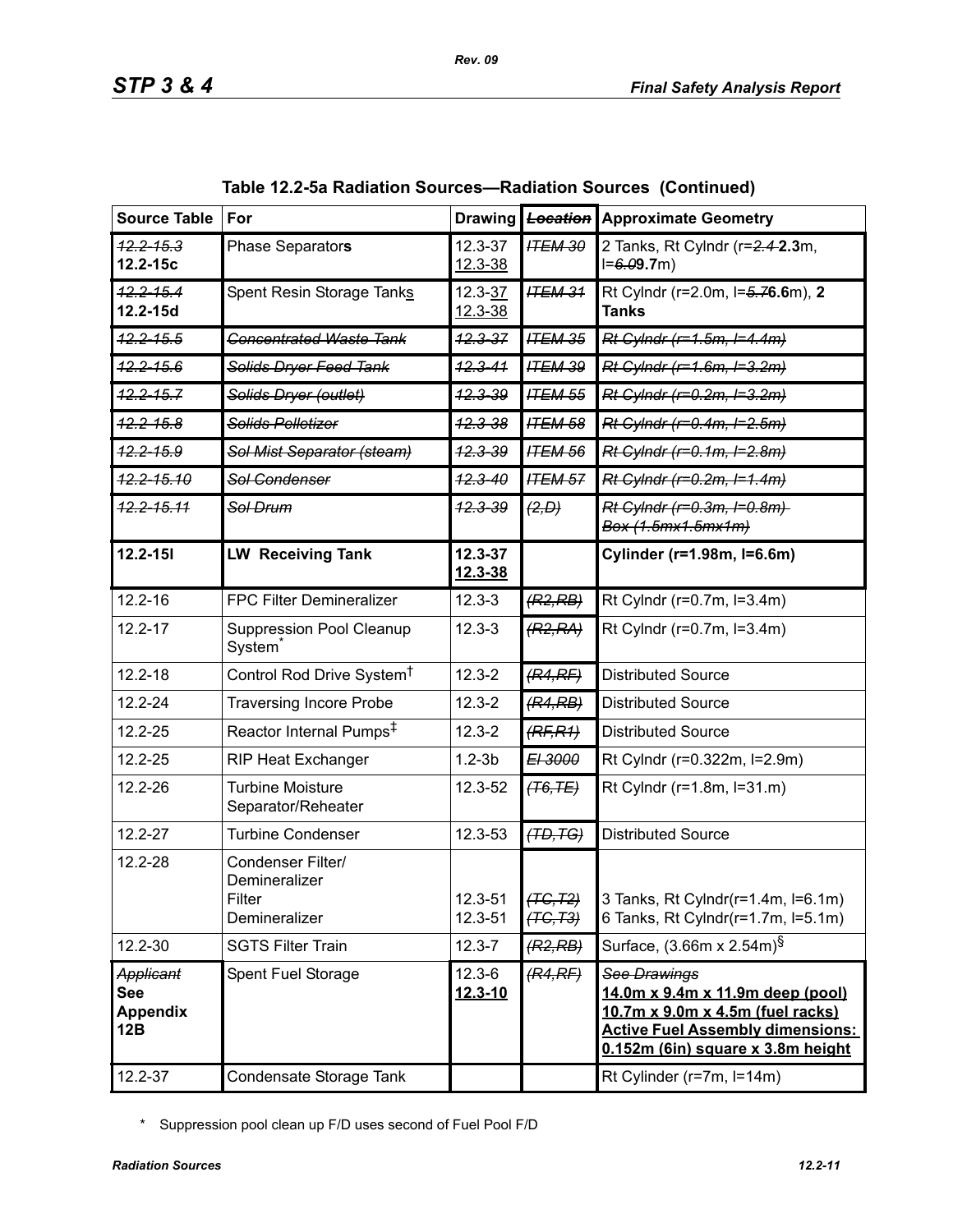| <b>Source Table</b>                               | For                                                           | <b>Drawing</b>             | Location               | <b>Approximate Geometry</b>                                                                                                                                                 |
|---------------------------------------------------|---------------------------------------------------------------|----------------------------|------------------------|-----------------------------------------------------------------------------------------------------------------------------------------------------------------------------|
| $42.2 - 15.3$<br>$12.2 - 15c$                     | Phase Separators                                              | 12.3-37<br>$12.3 - 38$     | <b>ITEM 30</b>         | 2 Tanks, Rt Cylndr (r=2.4-2.3m,<br>$I = 6.09.7m$                                                                                                                            |
| $12.2 - 15.4$<br>12.2-15d                         | Spent Resin Storage Tanks                                     | $12.3 - 37$<br>$12.3 - 38$ | <b>ITEM 31</b>         | Rt Cylndr (r=2.0m, l=5.76.6m), 2<br><b>Tanks</b>                                                                                                                            |
| <del>12.2-15.5</del>                              | <b>Concentrated Waste Tank</b>                                | $12.3 - 37$                | <b>ITEM 35</b>         | Rt Cylndr (r=1.5m, I=4.4m)                                                                                                                                                  |
| $42.2 - 15.6$                                     | Solids Dryer Feed Tank                                        | $12.3 - 41$                | <b>ITEM 39</b>         | Rt Cylndr (r=1.6m, I=3.2m)                                                                                                                                                  |
| $12.2 - 15.7$                                     | Solids Dryer (outlet)                                         | 12.3-39                    | <b>ITEM 55</b>         | Rt Cylndr (r=0.2m, l=3.2m)                                                                                                                                                  |
| $42.2 - 15.8$                                     | Solids Pelletizer                                             | <del>12.3-38</del>         | <b>ITEM 58</b>         | Rt Cylndr (r=0.4m, I=2.5m)                                                                                                                                                  |
| $42.2 - 15.9$                                     | Sol Mist Separator (steam)                                    | $42.3 - 39$                | <b>ITEM 56</b>         | Rt Cylndr (r=0.1m, I=2.8m)                                                                                                                                                  |
| $12.2 - 15.10$                                    | Sol Condenser                                                 | $12.3 - 40$                | <b>ITEM 57</b>         | Rt Cylndr (r=0.2m, I=1.4m)                                                                                                                                                  |
| <del>12.2-15.11</del>                             | Sol Drum                                                      | <del>12.3-39</del>         | (2, D)                 | Rt Cylndr (r=0.3m, I=0.8m)<br>Box (1.5mx1.5mx1m)                                                                                                                            |
| $12.2 - 151$                                      | <b>LW Receiving Tank</b>                                      | $12.3 - 37$<br>12.3-38     |                        | Cylinder (r=1.98m, l=6.6m)                                                                                                                                                  |
| $12.2 - 16$                                       | FPC Filter Demineralizer                                      | $12.3 - 3$                 | (R2, RB)               | Rt Cylndr (r=0.7m, l=3.4m)                                                                                                                                                  |
| $12.2 - 17$                                       | <b>Suppression Pool Cleanup</b><br>System <sup>®</sup>        | $12.3 - 3$                 | (R2, RA)               | Rt Cylndr (r=0.7m, l=3.4m)                                                                                                                                                  |
| $12.2 - 18$                                       | Control Rod Drive System <sup>†</sup>                         | $12.3 - 2$                 | (R4,RF)                | <b>Distributed Source</b>                                                                                                                                                   |
| $12.2 - 24$                                       | <b>Traversing Incore Probe</b>                                | $12.3 - 2$                 | (R4, RB)               | <b>Distributed Source</b>                                                                                                                                                   |
| 12.2-25                                           | Reactor Internal Pumps <sup>‡</sup>                           | $12.3 - 2$                 | (RF, R1)               | <b>Distributed Source</b>                                                                                                                                                   |
| $12.2 - 25$                                       | <b>RIP Heat Exchanger</b>                                     | $1.2 - 3b$                 | E <sub>1</sub> 3000    | Rt Cylndr (r=0.322m, l=2.9m)                                                                                                                                                |
| 12.2-26                                           | <b>Turbine Moisture</b><br>Separator/Reheater                 | 12.3-52                    | (T6, TE)               | Rt Cylndr (r=1.8m, l=31.m)                                                                                                                                                  |
| 12.2-27                                           | <b>Turbine Condenser</b>                                      | 12.3-53                    | (TD, TG)               | <b>Distributed Source</b>                                                                                                                                                   |
| 12.2-28                                           | Condenser Filter/<br>Demineralizer<br>Filter<br>Demineralizer | 12.3-51<br>12.3-51         | (TG, T2)<br>$(TC, T3)$ | 3 Tanks, Rt Cylndr(r=1.4m, I=6.1m)<br>6 Tanks, Rt Cylndr(r=1.7m, l=5.1m)                                                                                                    |
| 12.2-30                                           | <b>SGTS Filter Train</b>                                      | $12.3 - 7$                 | (R2, RB)               | Surface, (3.66m x 2.54m) <sup>§</sup>                                                                                                                                       |
| Applicant<br><b>See</b><br><b>Appendix</b><br>12B | Spent Fuel Storage                                            | $12.3 - 6$<br>$12.3 - 10$  | (R4,RF)                | See Drawings<br><u>14.0m x 9.4m x 11.9m deep (pool)</u><br>10.7m x 9.0m x 4.5m (fuel racks)<br><b>Active Fuel Assembly dimensions:</b><br>0.152m (6in) square x 3.8m height |
| 12.2-37                                           | Condensate Storage Tank                                       |                            |                        | Rt Cylinder (r=7m, l=14m)                                                                                                                                                   |

|  |  | Table 12.2-5a Radiation Sources—Radiation Sources (Continued) |  |
|--|--|---------------------------------------------------------------|--|
|--|--|---------------------------------------------------------------|--|

\* Suppression pool clean up F/D uses second of Fuel Pool F/D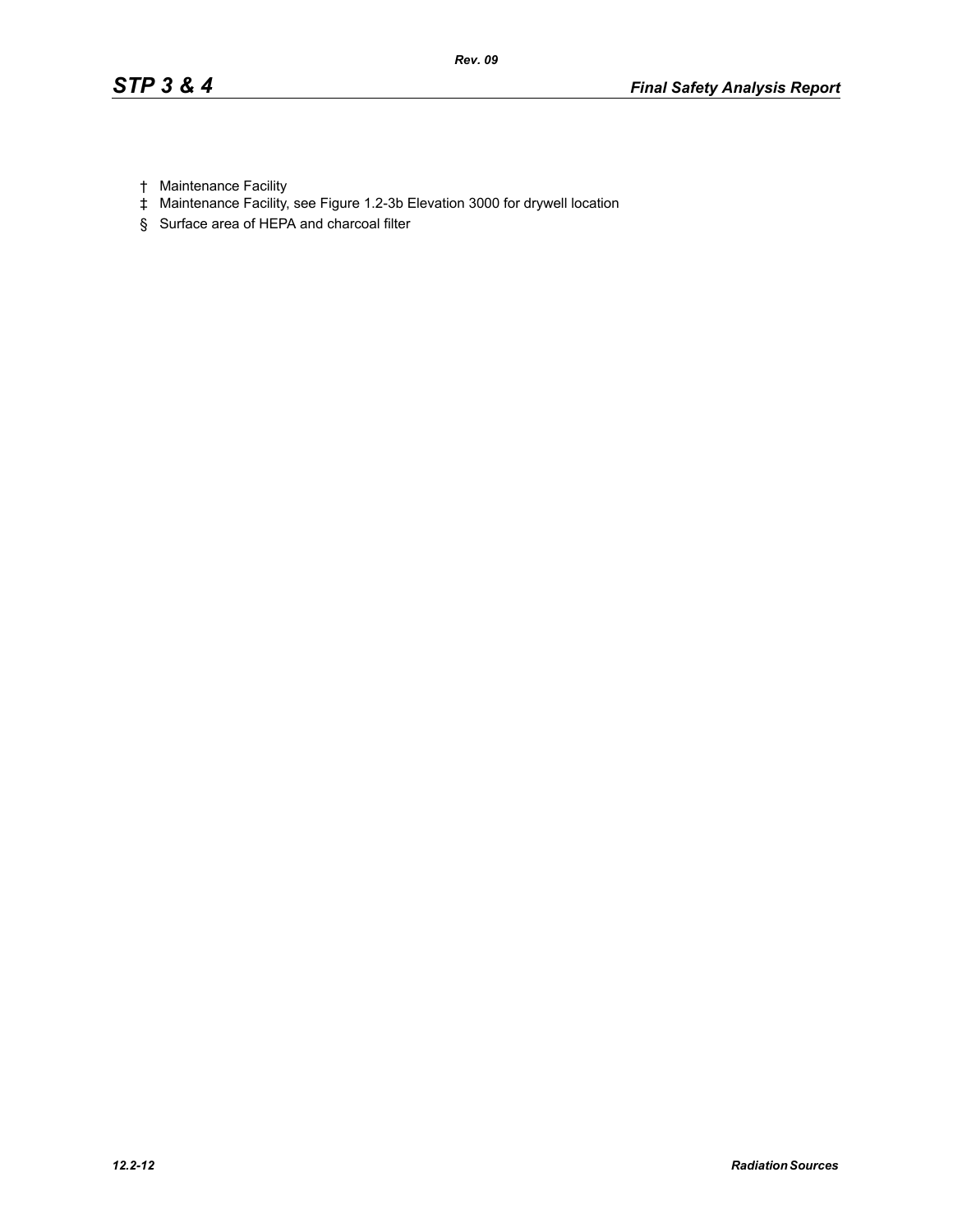- † Maintenance Facility
- ‡ Maintenance Facility, see Figure 1.2-3b Elevation 3000 for drywell location
- § Surface area of HEPA and charcoal filter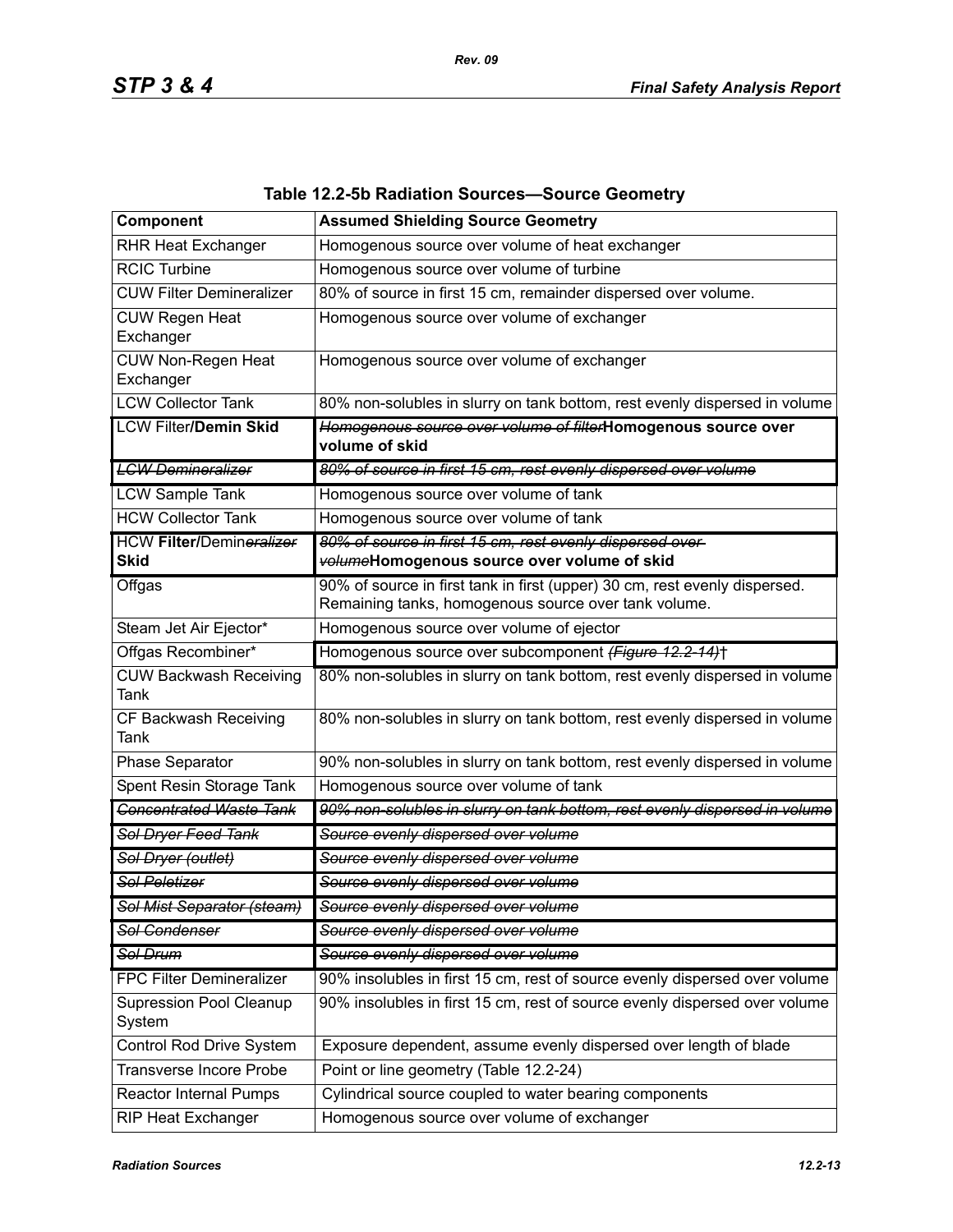| Component                               | <b>Assumed Shielding Source Geometry</b>                                                                                           |
|-----------------------------------------|------------------------------------------------------------------------------------------------------------------------------------|
| <b>RHR Heat Exchanger</b>               | Homogenous source over volume of heat exchanger                                                                                    |
| <b>RCIC Turbine</b>                     | Homogenous source over volume of turbine                                                                                           |
| <b>CUW Filter Demineralizer</b>         | 80% of source in first 15 cm, remainder dispersed over volume.                                                                     |
| <b>CUW Regen Heat</b><br>Exchanger      | Homogenous source over volume of exchanger                                                                                         |
| CUW Non-Regen Heat<br>Exchanger         | Homogenous source over volume of exchanger                                                                                         |
| <b>LCW Collector Tank</b>               | 80% non-solubles in slurry on tank bottom, rest evenly dispersed in volume                                                         |
| <b>LCW Filter/Demin Skid</b>            | Homogenous source over volume of filterHomogenous source over<br>volume of skid                                                    |
| <b>LCW Demineralizer</b>                | 80% of source in first 15 cm, rest evenly dispersed over volume                                                                    |
| <b>LCW Sample Tank</b>                  | Homogenous source over volume of tank                                                                                              |
| <b>HCW Collector Tank</b>               | Homogenous source over volume of tank                                                                                              |
| <b>HCW Filter/Demineralizer</b><br>Skid | 80% of source in first 15 cm, rest evenly dispersed over-<br>volumeHomogenous source over volume of skid                           |
| Offgas                                  | 90% of source in first tank in first (upper) 30 cm, rest evenly dispersed.<br>Remaining tanks, homogenous source over tank volume. |
| Steam Jet Air Ejector*                  | Homogenous source over volume of ejector                                                                                           |
| Offgas Recombiner*                      | Homogenous source over subcomponent (Figure 12.2-14)+                                                                              |
| <b>CUW Backwash Receiving</b><br>Tank   | 80% non-solubles in slurry on tank bottom, rest evenly dispersed in volume                                                         |
| CF Backwash Receiving<br>Tank           | 80% non-solubles in slurry on tank bottom, rest evenly dispersed in volume                                                         |
| Phase Separator                         | 90% non-solubles in slurry on tank bottom, rest evenly dispersed in volume                                                         |
| Spent Resin Storage Tank                | Homogenous source over volume of tank                                                                                              |
| <b>Concentrated Waste Tank</b>          | 90% non-solubles in slurry on tank bottom, rest evenly dispersed in volume                                                         |
| Sol Dryer Feed Tank                     | Source evenly dispersed over volume                                                                                                |
| Sol Dryer (outlet)                      | Source evenly dispersed over volume                                                                                                |
| <b>Sol Peletizer</b>                    | Source evenly dispersed over volume                                                                                                |
| <del>Sol Mist Separator (steam)</del>   | Source evenly dispersed over volume                                                                                                |
| Sol Condenser                           | Source evenly dispersed over volume                                                                                                |
| Sol Drum                                | Source evenly dispersed over volume                                                                                                |
| <b>FPC Filter Demineralizer</b>         | 90% insolubles in first 15 cm, rest of source evenly dispersed over volume                                                         |
| Supression Pool Cleanup<br>System       | 90% insolubles in first 15 cm, rest of source evenly dispersed over volume                                                         |
| Control Rod Drive System                | Exposure dependent, assume evenly dispersed over length of blade                                                                   |
| <b>Transverse Incore Probe</b>          | Point or line geometry (Table 12.2-24)                                                                                             |
| Reactor Internal Pumps                  | Cylindrical source coupled to water bearing components                                                                             |
| RIP Heat Exchanger                      | Homogenous source over volume of exchanger                                                                                         |

### **Table 12.2-5b Radiation Sources—Source Geometry**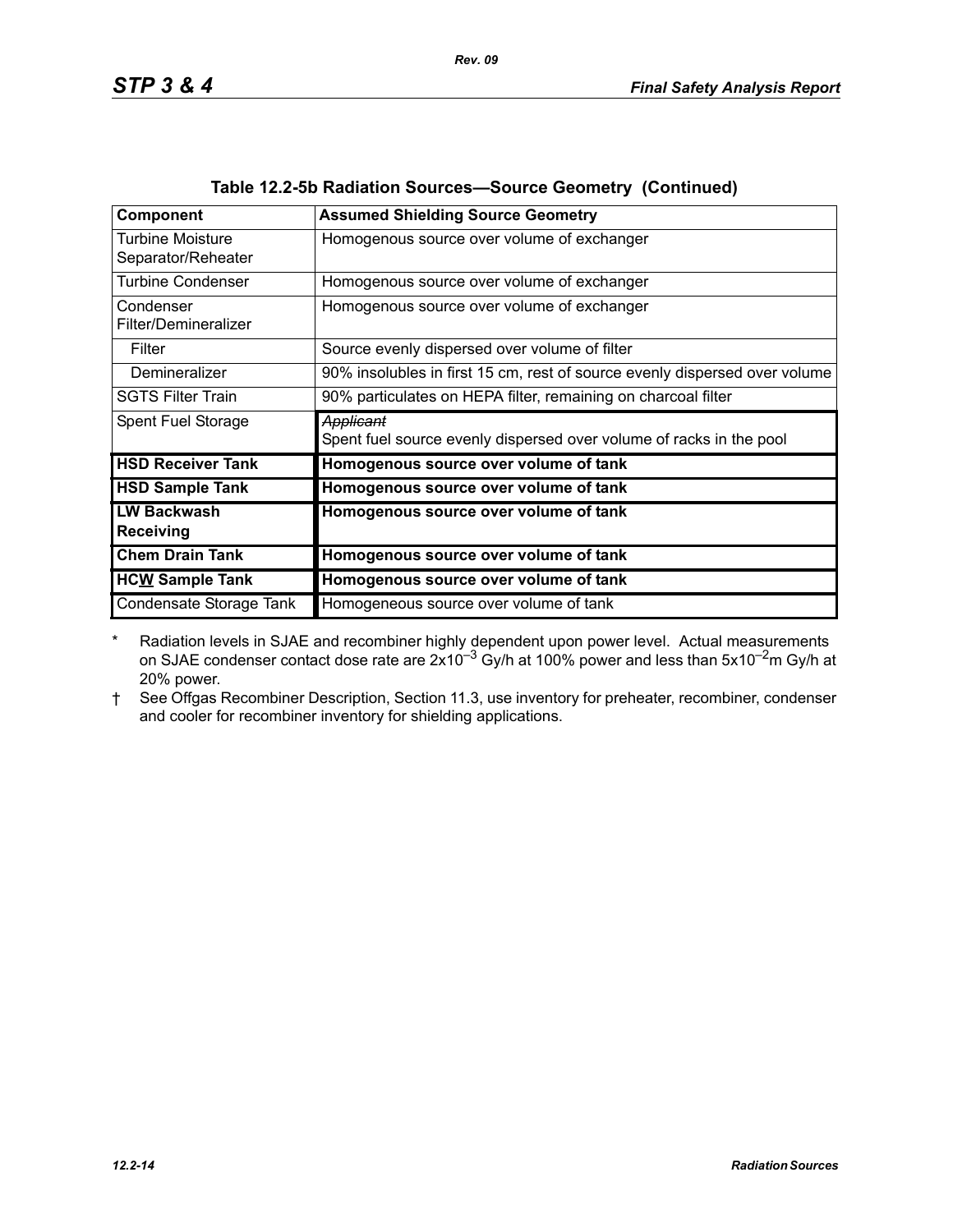| <b>Component</b>         | <b>Assumed Shielding Source Geometry</b>                                   |  |  |
|--------------------------|----------------------------------------------------------------------------|--|--|
| Turbine Moisture         | Homogenous source over volume of exchanger                                 |  |  |
| Separator/Reheater       |                                                                            |  |  |
| <b>Turbine Condenser</b> | Homogenous source over volume of exchanger                                 |  |  |
| Condenser                | Homogenous source over volume of exchanger                                 |  |  |
| Filter/Demineralizer     |                                                                            |  |  |
| Filter                   | Source evenly dispersed over volume of filter                              |  |  |
| Demineralizer            | 90% insolubles in first 15 cm, rest of source evenly dispersed over volume |  |  |
| <b>SGTS Filter Train</b> | 90% particulates on HEPA filter, remaining on charcoal filter              |  |  |
| Spent Fuel Storage       | Applicant                                                                  |  |  |
|                          | Spent fuel source evenly dispersed over volume of racks in the pool        |  |  |
| <b>HSD Receiver Tank</b> | Homogenous source over volume of tank                                      |  |  |
| <b>HSD Sample Tank</b>   | Homogenous source over volume of tank                                      |  |  |
| <b>LW Backwash</b>       | Homogenous source over volume of tank                                      |  |  |
| <b>Receiving</b>         |                                                                            |  |  |
| <b>Chem Drain Tank</b>   | Homogenous source over volume of tank                                      |  |  |
| <b>HCW Sample Tank</b>   | Homogenous source over volume of tank                                      |  |  |
| Condensate Storage Tank  | Homogeneous source over volume of tank                                     |  |  |

| Table 12.2-5b Radiation Sources-Source Geometry (Continued) |  |  |  |  |  |  |
|-------------------------------------------------------------|--|--|--|--|--|--|
|-------------------------------------------------------------|--|--|--|--|--|--|

\* Radiation levels in SJAE and recombiner highly dependent upon power level. Actual measurements on SJAE condenser contact dose rate are  $2x10^{-3}$  Gy/h at 100% power and less than 5x10<sup>-2</sup>m Gy/h at 20% power.

† See Offgas Recombiner Description, Section 11.3, use inventory for preheater, recombiner, condenser and cooler for recombiner inventory for shielding applications.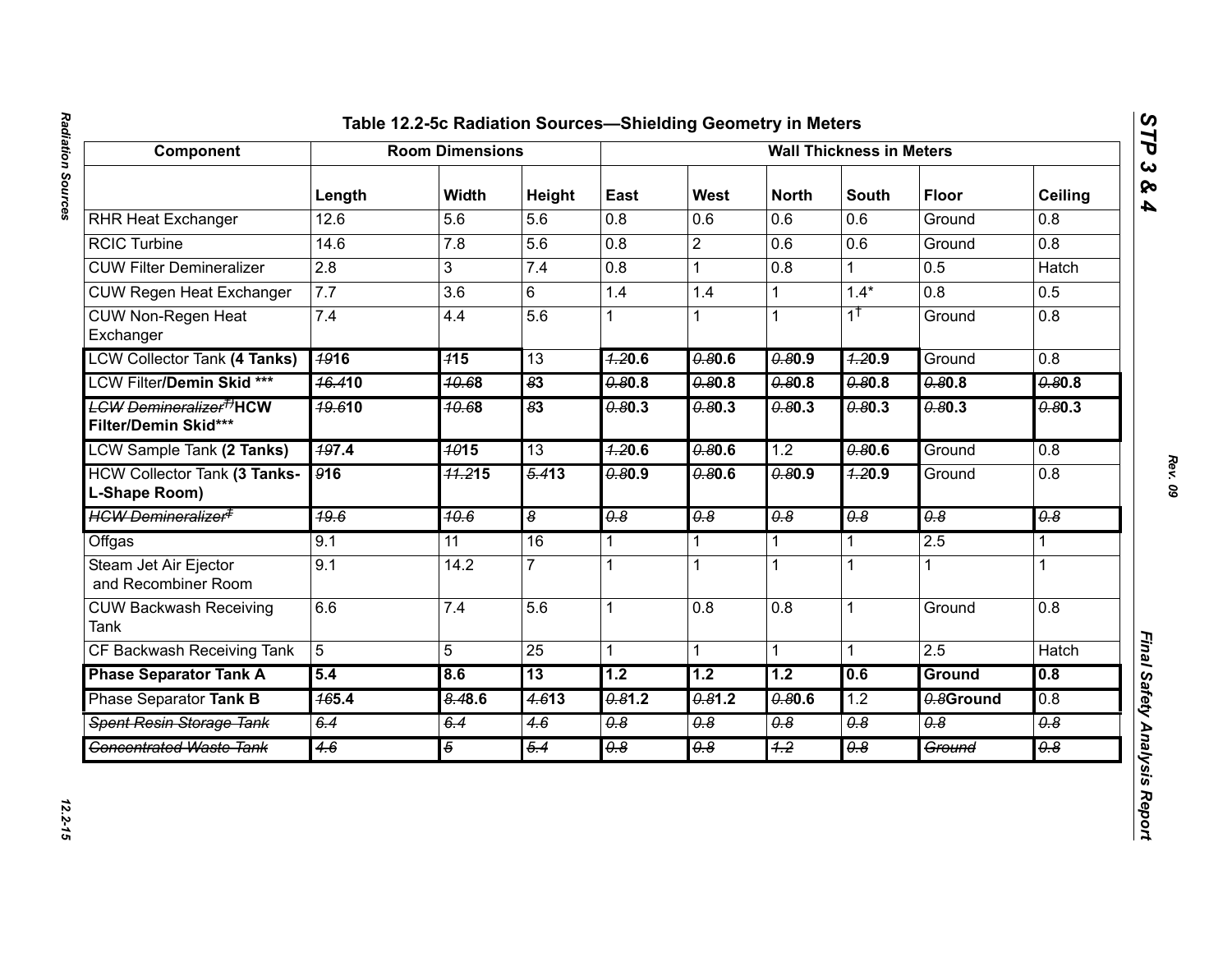## Radiation Sources *Radiation Sources 12.2-15*

# Component Table 12.24-26 Radition Sources—Shielding Geometry in Meders<br>
Next Heat Exchanger<br>
Next Heat Exchanger<br>
Next Heat Exchanger<br>
Next Heat Exchanger<br>
CGC Lurence<br>
CGC Lurence<br>
CGC Lurence<br>
CGC Lurence<br>
CGC Lurence<br>

*STP 3 & 4*

12.2-15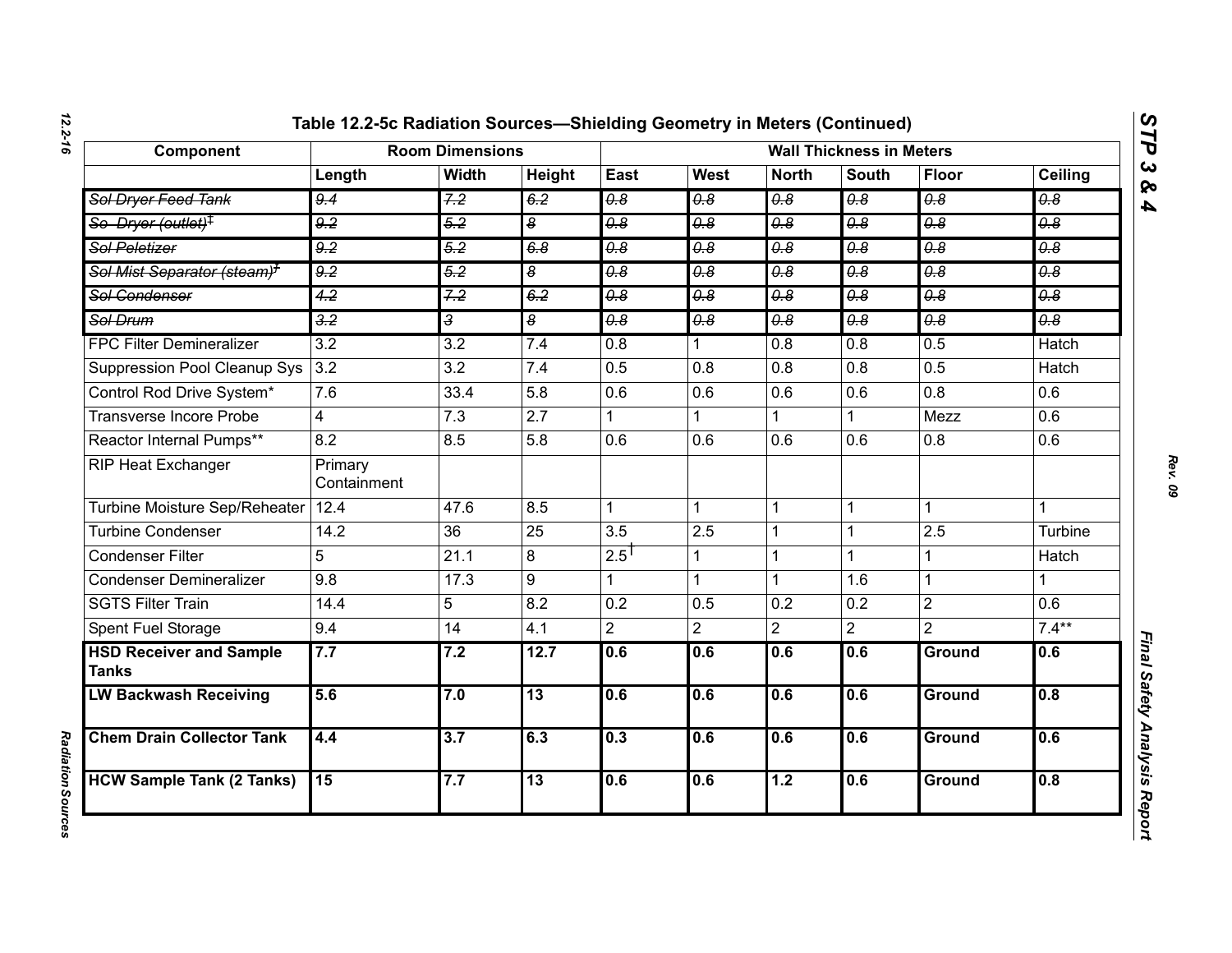| Component                                      | <b>Room Dimensions</b> |                  |                             | <b>Wall Thickness in Meters</b>  |                                  |                                  |                             |                       |                                  |
|------------------------------------------------|------------------------|------------------|-----------------------------|----------------------------------|----------------------------------|----------------------------------|-----------------------------|-----------------------|----------------------------------|
|                                                | Length                 | <b>Width</b>     | Height                      | East                             | West                             | <b>North</b>                     | <b>South</b>                | Floor                 | Ceiling                          |
| Sol Dryer Feed Tank                            | 9.4                    | 7.2              | 6.2                         | $\overline{\theta.8}$            | $\overline{\theta \cdot \theta}$ | $\overline{\theta.8}$            | $\overline{\theta.8}$       | $\overline{\theta.8}$ | $\overline{\theta.8}$            |
| So Dryer (outlet) <sup>‡</sup>                 | 9.2                    | 5.2              | $\overline{\boldsymbol{s}}$ | $\overline{\theta.8}$            | 0.8                              | 0.8                              | 0.8                         | 0.8                   | 0.8                              |
| <b>Sol Peletizer</b>                           | $\overline{9.2}$       | $\overline{5.2}$ | 6.8                         | $\overline{\theta \cdot \theta}$ | $\overline{\theta \cdot \theta}$ | $\overline{\theta.8}$            | $\overline{\theta \cdot 8}$ | $\overline{\theta.8}$ | $\overline{\theta \cdot \theta}$ |
| Sol Mist Separator (steam) <sup>7</sup>        | 9.2                    | 5.2              | $\overline{\boldsymbol{s}}$ | $\overline{\theta.8}$            | $\theta$ .8                      | $\theta$ .8                      | $\overline{\theta.8}$       | $\overline{\theta.8}$ | $\overline{\theta \cdot \theta}$ |
| Sol Condenser                                  | 4.2                    | 7.2              | 6.2                         | $\overline{0.8}$                 | 0.8                              | $\overline{\theta \cdot \theta}$ | $\overline{0.8}$            | $\overline{\theta.8}$ | 0.8                              |
| Sol Drum                                       | $\frac{3.2}{5}$        | 3                | $\overline{\boldsymbol{s}}$ | 0.8                              | 0.8                              | 0.8                              | $\overline{\theta.8}$       | $\overline{\theta.8}$ | $\overline{\theta \cdot \theta}$ |
| <b>FPC Filter Demineralizer</b>                | $\overline{3.2}$       | $\overline{3.2}$ | 7.4                         | $\overline{0.8}$                 |                                  | $\overline{0.8}$                 | $\overline{0.8}$            | 0.5                   | <b>Hatch</b>                     |
| Suppression Pool Cleanup Sys                   | 3.2                    | $\overline{3.2}$ | 7.4                         | 0.5                              | $\overline{0.8}$                 | 0.8                              | 0.8                         | 0.5                   | <b>Hatch</b>                     |
| Control Rod Drive System*                      | 7.6                    | 33.4             | 5.8                         | 0.6                              | 0.6                              | 0.6                              | 0.6                         | 0.8                   | 0.6                              |
| Transverse Incore Probe                        | $\overline{4}$         | $\overline{7.3}$ | $\overline{2.7}$            |                                  |                                  |                                  |                             | Mezz                  | $\overline{0.6}$                 |
| Reactor Internal Pumps**                       | 8.2                    | 8.5              | 5.8                         | 0.6                              | 0.6                              | 0.6                              | 0.6                         | 0.8                   | 0.6                              |
| RIP Heat Exchanger                             | Primary<br>Containment |                  |                             |                                  |                                  |                                  |                             |                       |                                  |
| Turbine Moisture Sep/Reheater                  | 12.4                   | 47.6             | 8.5                         |                                  | $\mathbf{1}$                     | $\mathbf{1}$                     | $\mathbf 1$                 |                       | 1                                |
| <b>Turbine Condenser</b>                       | 14.2                   | $\overline{36}$  | 25                          | 3.5                              | 2.5                              | $\overline{1}$                   |                             | 2.5                   | Turbine                          |
| <b>Condenser Filter</b>                        | 5                      | 21.1             | 8                           | $2.5$ <sup>T</sup>               | 1                                | $\mathbf{1}$                     | 1                           |                       | Hatch                            |
| <b>Condenser Demineralizer</b>                 | 9.8                    | 17.3             | 9                           |                                  |                                  | $\mathbf{1}$                     | 1.6                         | 1                     | $\mathbf{1}$                     |
| <b>SGTS Filter Train</b>                       | 14.4                   | 5                | 8.2                         | $\overline{0.2}$                 | 0.5                              | 0.2                              | 0.2                         | $\overline{2}$        | $\overline{0.6}$                 |
| Spent Fuel Storage                             | 9.4                    | 14               | 4.1                         | $\overline{2}$                   | $\overline{2}$                   | $\overline{2}$                   | $\overline{2}$              | $\overline{2}$        | $7.4***$                         |
| <b>HSD Receiver and Sample</b><br><b>Tanks</b> | 7.7                    | 7.2              | 12.7                        | 0.6                              | 0.6                              | 0.6                              | 0.6                         | Ground                | 0.6                              |
| <b>LW Backwash Receiving</b>                   | 5.6                    | 7.0              | 13                          | 0.6                              | 0.6                              | 0.6                              | 0.6                         | <b>Ground</b>         | 0.8                              |
| <b>Chem Drain Collector Tank</b>               | 4.4                    | $\overline{3.7}$ | 6.3                         | 0.3                              | 0.6                              | 0.6                              | 0.6                         | Ground                | 0.6                              |
| <b>HCW Sample Tank (2 Tanks)</b>               | $\overline{15}$        | 7.7              | $\overline{13}$             | 0.6                              | 0.6                              | 1.2                              | 0.6                         | Ground                | 0.8                              |

*Radiation Sources* 

**Radiation Sources** 

*STP 3 & 4*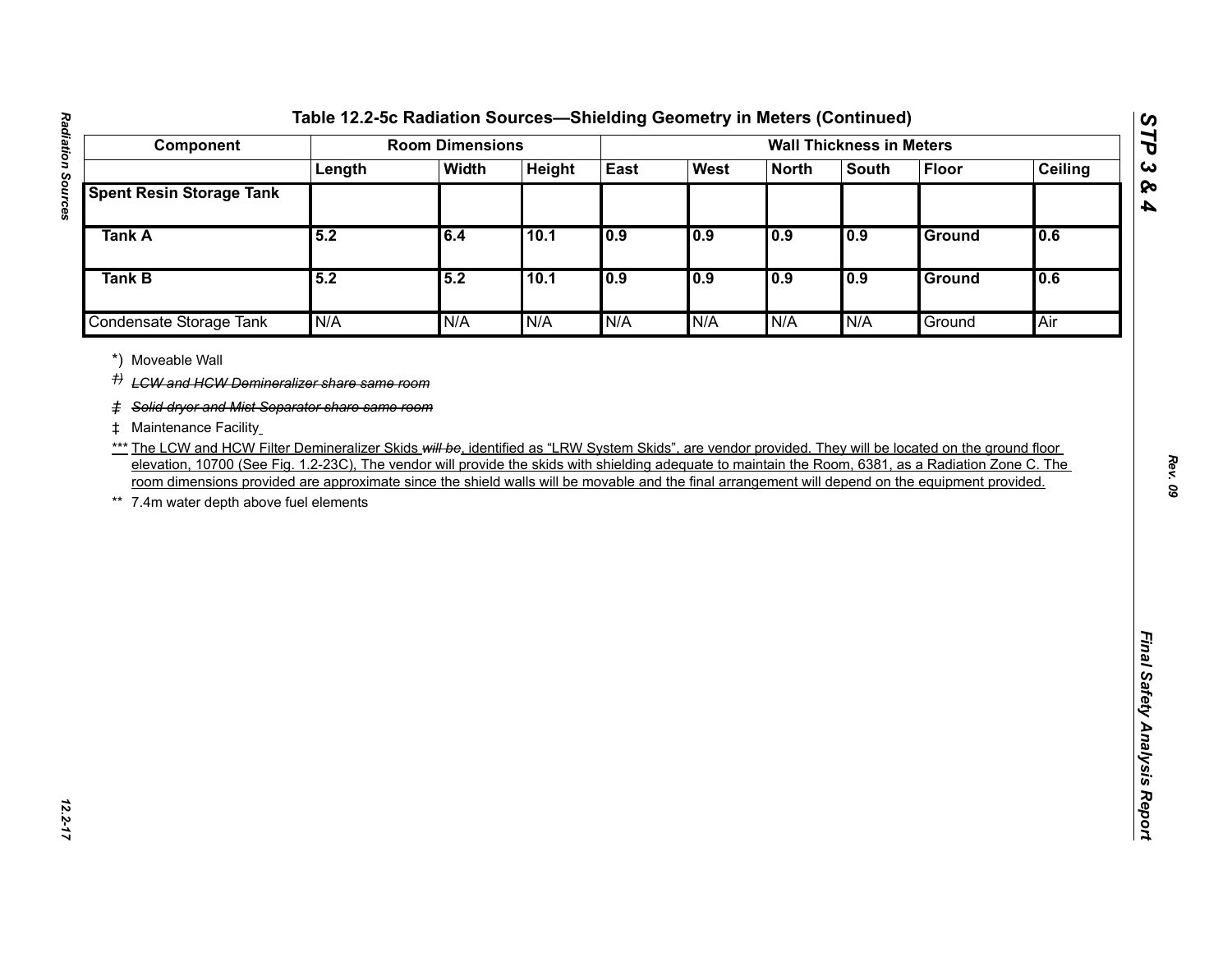| Component                                                                                                                                                                                                                                                                                                                                                                                                                                                                                                                                    |        | <b>Room Dimensions</b> |        |      |      |              | <b>Wall Thickness in Meters</b> |               |                |
|----------------------------------------------------------------------------------------------------------------------------------------------------------------------------------------------------------------------------------------------------------------------------------------------------------------------------------------------------------------------------------------------------------------------------------------------------------------------------------------------------------------------------------------------|--------|------------------------|--------|------|------|--------------|---------------------------------|---------------|----------------|
|                                                                                                                                                                                                                                                                                                                                                                                                                                                                                                                                              | Length | <b>Width</b>           | Height | East | West | <b>North</b> | <b>South</b>                    | <b>Floor</b>  | <b>Ceiling</b> |
| <b>Spent Resin Storage Tank</b>                                                                                                                                                                                                                                                                                                                                                                                                                                                                                                              |        |                        |        |      |      |              |                                 |               |                |
| <b>Tank A</b>                                                                                                                                                                                                                                                                                                                                                                                                                                                                                                                                | 5.2    | 6.4                    | 10.1   | 0.9  | 0.9  | 0.9          | 0.9                             | Ground        | 0.6            |
| Tank B                                                                                                                                                                                                                                                                                                                                                                                                                                                                                                                                       | 5.2    | 5.2                    | 10.1   | 0.9  | 0.9  | 0.9          | 0.9                             | <b>Ground</b> | 0.6            |
| Condensate Storage Tank                                                                                                                                                                                                                                                                                                                                                                                                                                                                                                                      | N/A    | N/A                    | N/A    | N/A  | N/A  | N/A          | N/A                             | Ground        | Air            |
| # Maintenance Facility<br>*** The LCW and HCW Filter Demineralizer Skids will be, identified as "LRW System Skids", are vendor provided. They will be located on the ground floor<br>elevation, 10700 (See Fig. 1.2-23C), The vendor will provide the skids with shielding adequate to maintain the Room, 6381, as a Radiation Zone C. The<br>room dimensions provided are approximate since the shield walls will be movable and the final arrangement will depend on the equipment provided.<br>7.4m water depth above fuel elements<br>** |        |                        |        |      |      |              |                                 |               |                |

*STP 3 & 4*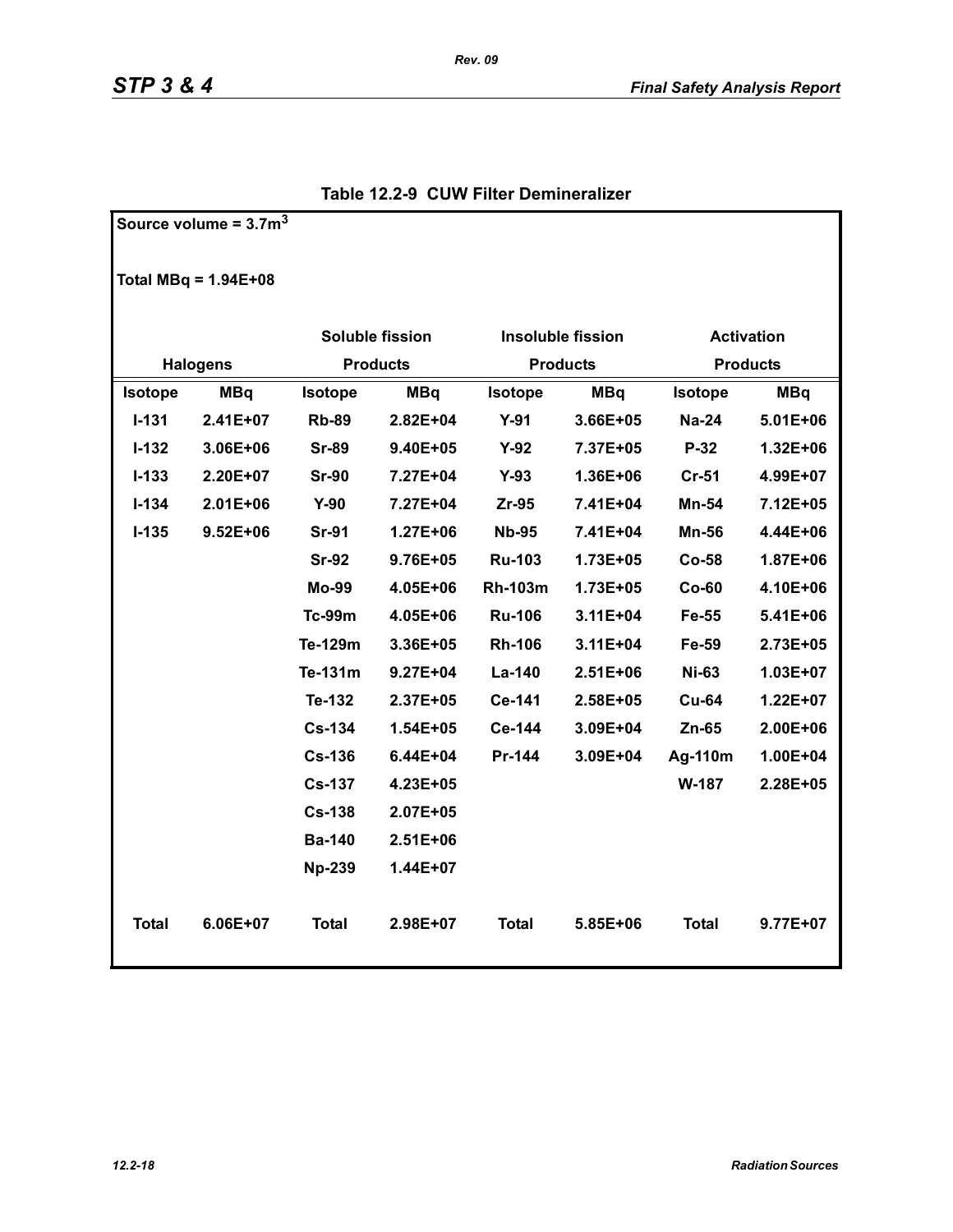**Source volume = 3.7m<sup>3</sup>**

|                | Total MBq = $1.94E+08$ |                        |                       |                |                          |                   |              |  |
|----------------|------------------------|------------------------|-----------------------|----------------|--------------------------|-------------------|--------------|--|
|                |                        | <b>Soluble fission</b> |                       |                | <b>Insoluble fission</b> | <b>Activation</b> |              |  |
|                | <b>Halogens</b>        | <b>Products</b>        |                       |                | <b>Products</b>          | <b>Products</b>   |              |  |
| <b>Isotope</b> | <b>MBq</b>             | <b>Isotope</b>         | <b>MBq</b><br>Isotope |                | <b>MBq</b>               | Isotope           | <b>MBq</b>   |  |
| $I - 131$      | $2.41E+07$             | <b>Rb-89</b>           | $2.82E + 04$          | $Y-91$         | $3.66E + 05$             | <b>Na-24</b>      | 5.01E+06     |  |
| $I-132$        | 3.06E+06               | <b>Sr-89</b>           | $9.40E + 05$          | $Y-92$         | 7.37E+05                 | $P-32$            | $1.32E + 06$ |  |
| $I-133$        | 2.20E+07               | <b>Sr-90</b>           | 7.27E+04              | $Y-93$         | 1.36E+06                 | $Cr-51$           | 4.99E+07     |  |
| $I-134$        | $2.01E + 06$           | $Y-90$                 | 7.27E+04              | $Zr-95$        | 7.41E+04                 | Mn-54             | 7.12E+05     |  |
| $I-135$        | $9.52E + 06$           | <b>Sr-91</b>           | $1.27E + 06$          | <b>Nb-95</b>   | 7.41E+04                 | Mn-56             | 4.44E+06     |  |
|                |                        | <b>Sr-92</b>           | 9.76E+05              | <b>Ru-103</b>  | 1.73E+05                 | $Co-58$           | 1.87E+06     |  |
|                |                        | Mo-99                  | 4.05E+06              | <b>Rh-103m</b> | 1.73E+05                 | $Co-60$           | 4.10E+06     |  |
|                |                        | <b>Tc-99m</b>          | 4.05E+06              | <b>Ru-106</b>  | 3.11E+04                 | Fe-55             | 5.41E+06     |  |
|                |                        | Te-129m                | 3.36E+05              | <b>Rh-106</b>  | $3.11E + 04$             | Fe-59             | 2.73E+05     |  |
|                |                        | Te-131m                | $9.27E + 04$          | La-140         | $2.51E+06$               | <b>Ni-63</b>      | $1.03E + 07$ |  |
|                |                        | Te-132                 | 2.37E+05              | Ce-141         | 2.58E+05                 | <b>Cu-64</b>      | $1.22E + 07$ |  |
|                |                        | <b>Cs-134</b>          | $1.54E + 05$          | Ce-144         | 3.09E+04                 | $Zn-65$           | 2.00E+06     |  |
|                |                        | $Cs-136$               | $6.44E + 04$          | Pr-144         | 3.09E+04                 | Ag-110m           | 1.00E+04     |  |
|                |                        | <b>Cs-137</b>          | $4.23E + 05$          |                |                          | W-187             | 2.28E+05     |  |
|                |                        | <b>Cs-138</b>          | 2.07E+05              |                |                          |                   |              |  |
|                |                        | <b>Ba-140</b>          | $2.51E + 06$          |                |                          |                   |              |  |
|                |                        | <b>Np-239</b>          | 1.44E+07              |                |                          |                   |              |  |
| <b>Total</b>   | $6.06E + 07$           | <b>Total</b>           | $2.98E + 07$          | Total          | 5.85E+06                 | <b>Total</b>      | 9.77E+07     |  |

### **Table 12.2-9 CUW Filter Demineralizer**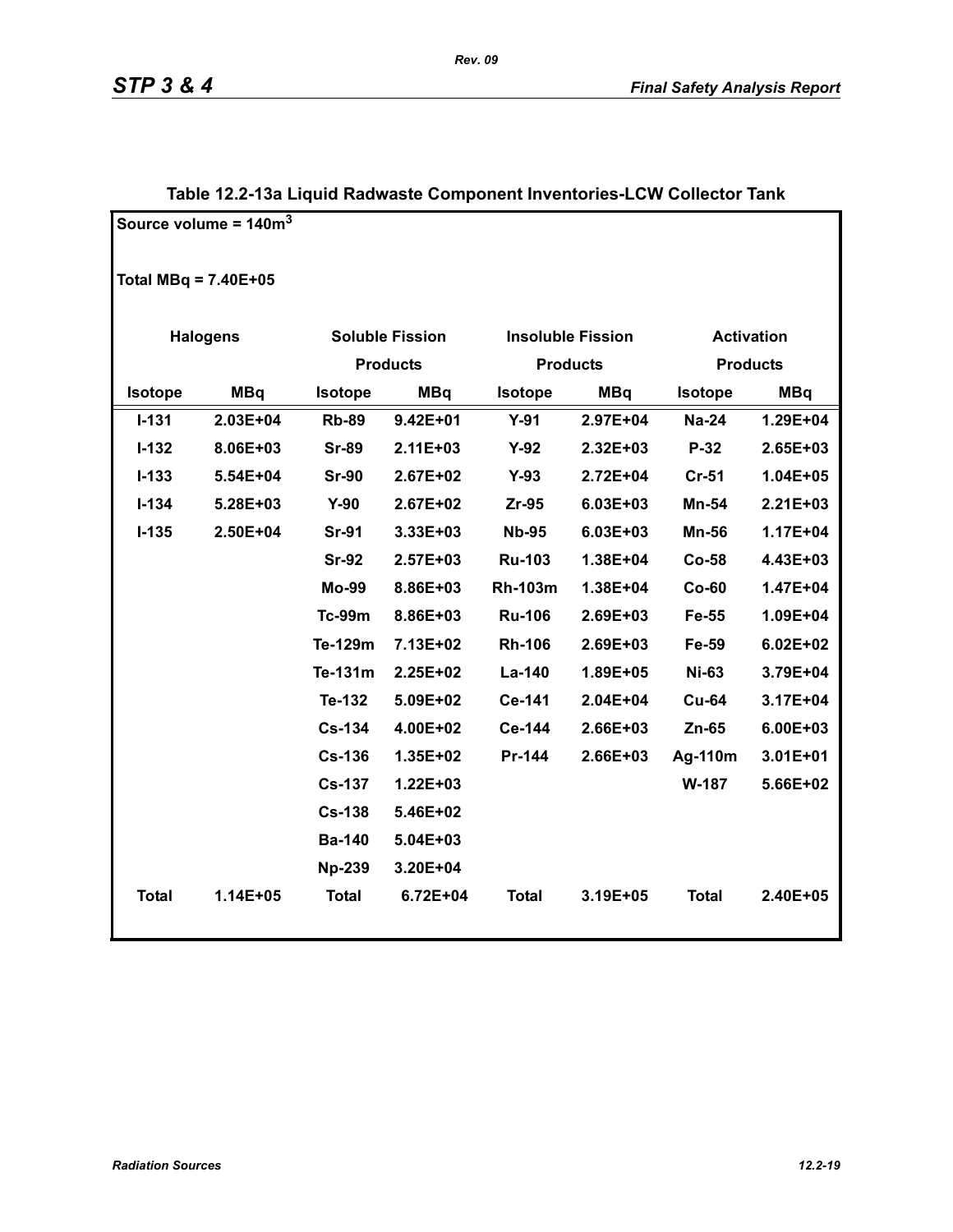|                        | Source volume = $140m3$ |                 |                        |                 |                          |                   |                 |
|------------------------|-------------------------|-----------------|------------------------|-----------------|--------------------------|-------------------|-----------------|
| Total MBq = $7.40E+05$ |                         |                 |                        |                 |                          |                   |                 |
|                        | <b>Halogens</b>         |                 | <b>Soluble Fission</b> |                 | <b>Insoluble Fission</b> | <b>Activation</b> |                 |
|                        |                         | <b>Products</b> |                        | <b>Products</b> |                          |                   | <b>Products</b> |
| Isotope                | <b>MBq</b>              | <b>Isotope</b>  | <b>MBq</b>             | <b>Isotope</b>  | <b>MBq</b>               | <b>Isotope</b>    | <b>MBq</b>      |
| $I - 131$              | $2.03E + 04$            | <b>Rb-89</b>    | $9.42E + 01$           | $Y-91$          | 2.97E+04                 | <b>Na-24</b>      | 1.29E+04        |
| $I - 132$              | 8.06E+03                | <b>Sr-89</b>    | $2.11E + 03$           | $Y-92$          | 2.32E+03                 | $P-32$            | 2.65E+03        |
| $I - 133$              | 5.54E+04                | <b>Sr-90</b>    | 2.67E+02               | $Y-93$          | 2.72E+04                 | $Cr-51$           | 1.04E+05        |
| $I - 134$              | 5.28E+03                | $Y-90$          | 2.67E+02               | Zr-95           | $6.03E + 03$             | <b>Mn-54</b>      | $2.21E + 03$    |
| $I-135$                | 2.50E+04                | <b>Sr-91</b>    | 3.33E+03               | <b>Nb-95</b>    | 6.03E+03                 | <b>Mn-56</b>      | 1.17E+04        |
|                        |                         | <b>Sr-92</b>    | 2.57E+03               | <b>Ru-103</b>   | 1.38E+04                 | $Co-58$           | 4.43E+03        |
|                        |                         | <b>Mo-99</b>    | 8.86E+03               | <b>Rh-103m</b>  | 1.38E+04                 | $Co-60$           | 1.47E+04        |
|                        |                         | <b>Tc-99m</b>   | 8.86E+03               | <b>Ru-106</b>   | 2.69E+03                 | Fe-55             | 1.09E+04        |
|                        |                         | Te-129m         | 7.13E+02               | <b>Rh-106</b>   | 2.69E+03                 | Fe-59             | $6.02E + 02$    |
|                        |                         | Te-131m         | 2.25E+02               | La-140          | 1.89E+05                 | <b>Ni-63</b>      | 3.79E+04        |
|                        |                         | Te-132          | 5.09E+02               | Ce-141          | 2.04E+04                 | <b>Cu-64</b>      | 3.17E+04        |
|                        |                         | <b>Cs-134</b>   | 4.00E+02               | Ce-144          | 2.66E+03                 | Zn-65             | 6.00E+03        |
|                        |                         | <b>Cs-136</b>   | 1.35E+02               | Pr-144          | 2.66E+03                 | Ag-110m           | $3.01E + 01$    |
|                        |                         | <b>Cs-137</b>   | 1.22E+03               |                 |                          | W-187             | 5.66E+02        |
|                        |                         | <b>Cs-138</b>   | 5.46E+02               |                 |                          |                   |                 |
|                        |                         | <b>Ba-140</b>   | 5.04E+03               |                 |                          |                   |                 |
|                        |                         | <b>Np-239</b>   | 3.20E+04               |                 |                          |                   |                 |
| <b>Total</b>           | 1.14E+05                | <b>Total</b>    | $6.72E + 04$           | <b>Total</b>    | 3.19E+05                 | <b>Total</b>      | 2.40E+05        |

### **Table 12.2-13a Liquid Radwaste Component Inventories-LCW Collector Tank**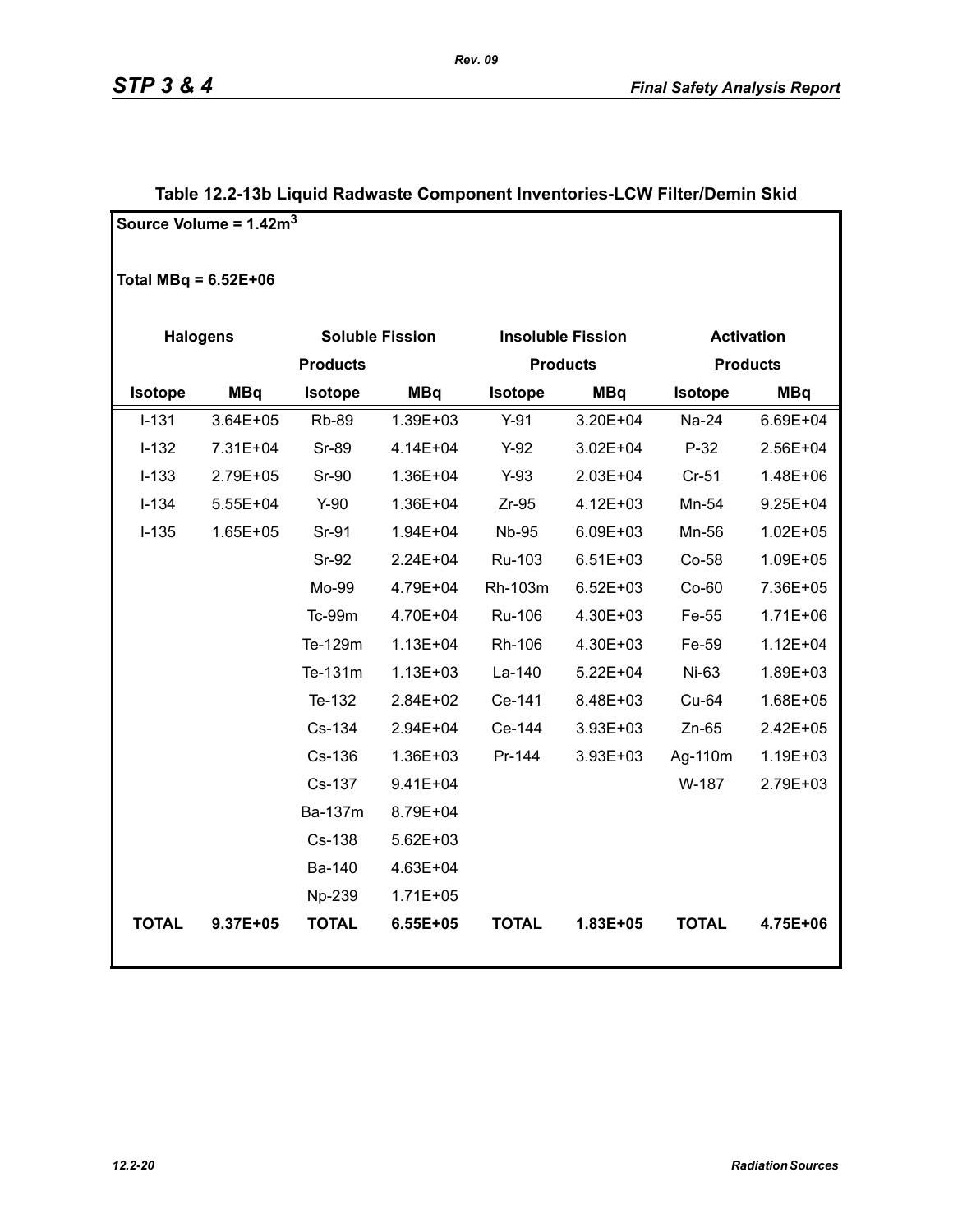|                        | Source Volume = $1.42m3$ |                 |                        |                |                          |                |                   |
|------------------------|--------------------------|-----------------|------------------------|----------------|--------------------------|----------------|-------------------|
| Total MBq = $6.52E+06$ |                          |                 |                        |                |                          |                |                   |
| <b>Halogens</b>        |                          |                 | <b>Soluble Fission</b> |                | <b>Insoluble Fission</b> |                | <b>Activation</b> |
|                        |                          | <b>Products</b> |                        |                | <b>Products</b>          |                | <b>Products</b>   |
| <b>Isotope</b>         | <b>MBq</b>               | <b>Isotope</b>  | <b>MBq</b>             | <b>Isotope</b> | <b>MBq</b>               | <b>Isotope</b> | <b>MBq</b>        |
| $I - 131$              | 3.64E+05                 | <b>Rb-89</b>    | 1.39E+03               | $Y-91$         | 3.20E+04                 | Na-24          | 6.69E+04          |
| $I-132$                | 7.31E+04                 | <b>Sr-89</b>    | 4.14E+04               | $Y-92$         | $3.02E + 04$             | $P-32$         | 2.56E+04          |
| $I-133$                | 2.79E+05                 | <b>Sr-90</b>    | 1.36E+04               | $Y-93$         | 2.03E+04                 | $Cr-51$        | 1.48E+06          |
| $I-134$                | $5.55E + 04$             | $Y-90$          | 1.36E+04               | $Zr-95$        | 4.12E+03                 | Mn-54          | $9.25E + 04$      |
| $I-135$                | 1.65E+05                 | Sr-91           | 1.94E+04               | <b>Nb-95</b>   | 6.09E+03                 | Mn-56          | $1.02E + 05$      |
|                        |                          | <b>Sr-92</b>    | 2.24E+04               | Ru-103         | $6.51E + 03$             | $Co-58$        | 1.09E+05          |
|                        |                          | Mo-99           | 4.79E+04               | Rh-103m        | $6.52E + 03$             | $Co-60$        | 7.36E+05          |
|                        |                          | Tc-99m          | 4.70E+04               | Ru-106         | 4.30E+03                 | Fe-55          | 1.71E+06          |
|                        |                          | Te-129m         | $1.13E + 04$           | Rh-106         | 4.30E+03                 | Fe-59          | $1.12E + 04$      |
|                        |                          | Te-131m         | $1.13E + 03$           | La-140         | $5.22E + 04$             | Ni-63          | 1.89E+03          |
|                        |                          | Te-132          | 2.84E+02               | Ce-141         | 8.48E+03                 | Cu-64          | 1.68E+05          |
|                        |                          | Cs-134          | 2.94E+04               | Ce-144         | 3.93E+03                 | $Zn-65$        | 2.42E+05          |
|                        |                          | Cs-136          | 1.36E+03               | Pr-144         | 3.93E+03                 | Ag-110m        | 1.19E+03          |
|                        |                          | Cs-137          | 9.41E+04               |                |                          | W-187          | 2.79E+03          |
|                        |                          | Ba-137m         | 8.79E+04               |                |                          |                |                   |
|                        |                          | Cs-138          | $5.62E + 03$           |                |                          |                |                   |
|                        |                          | Ba-140          | 4.63E+04               |                |                          |                |                   |
|                        |                          | Np-239          | $1.71E + 05$           |                |                          |                |                   |
| <b>TOTAL</b>           | 9.37E+05                 | <b>TOTAL</b>    | $6.55E + 05$           | <b>TOTAL</b>   | 1.83E+05                 | <b>TOTAL</b>   | 4.75E+06          |

### **Table 12.2-13b Liquid Radwaste Component Inventories-LCW Filter/Demin Skid**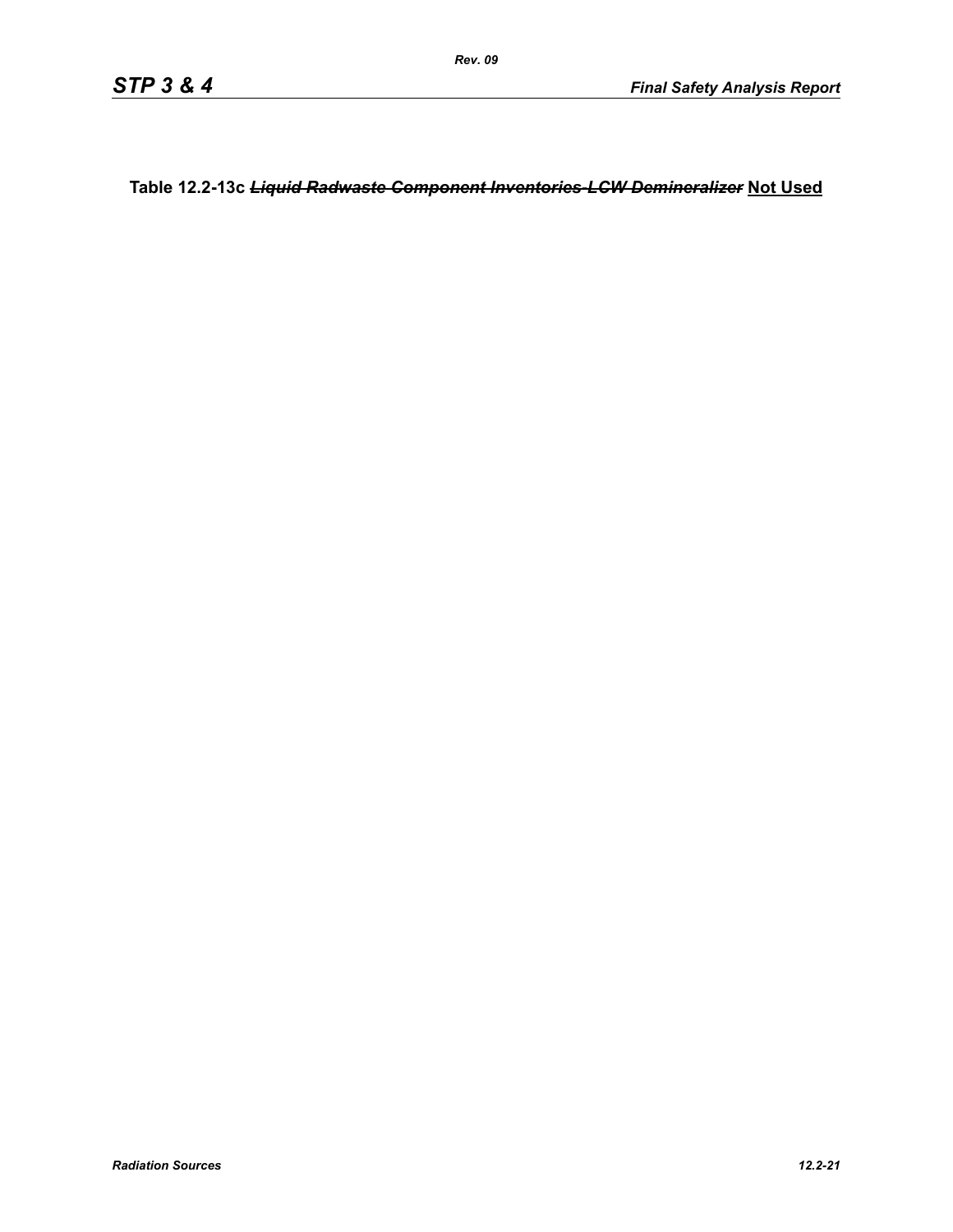**Table 12.2-13c** *Liquid Radwaste Component Inventories-LCW Demineralizer* **Not Used**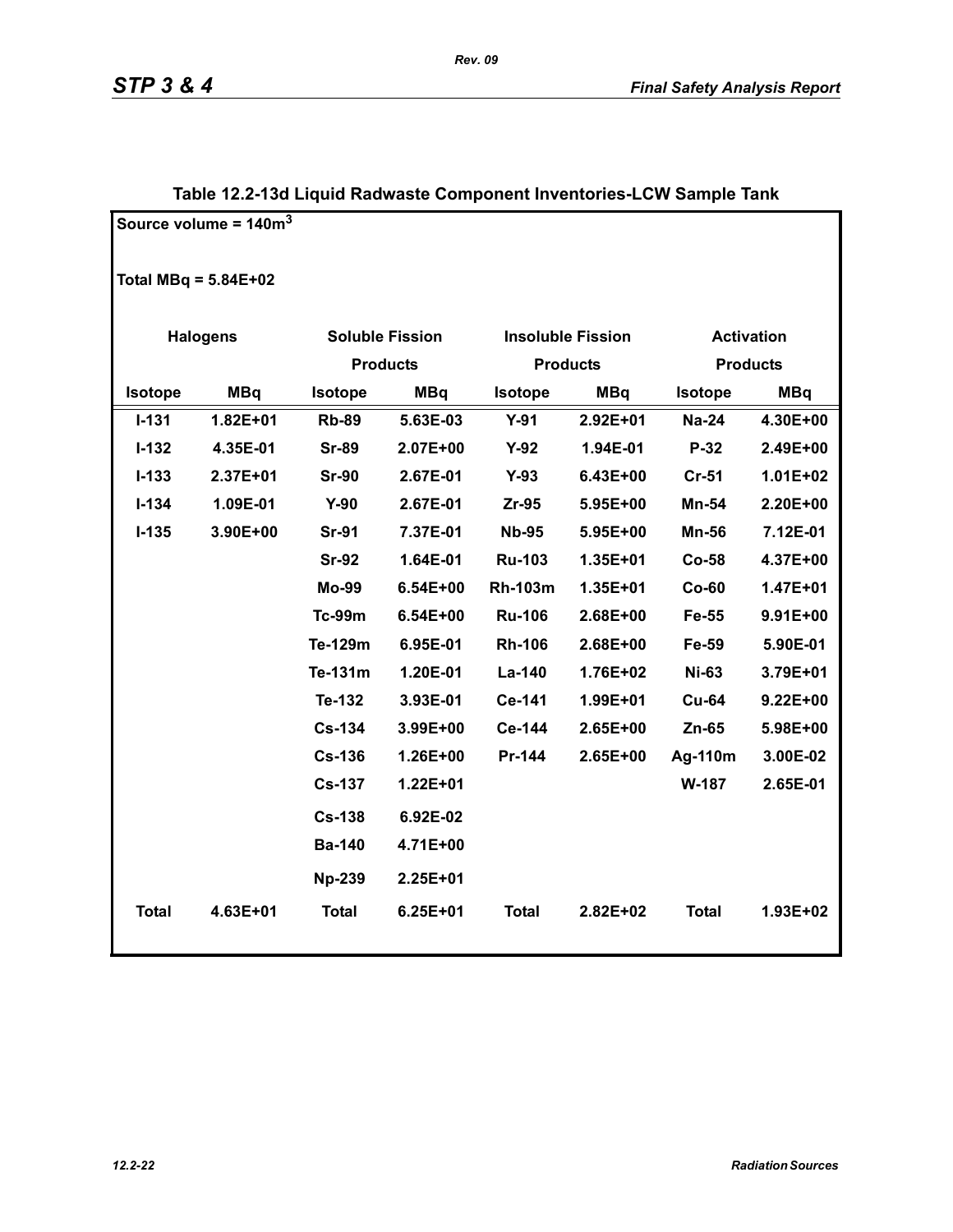|                        | Source volume = $140m3$ |                        |              |                |                          |                   |                 |
|------------------------|-------------------------|------------------------|--------------|----------------|--------------------------|-------------------|-----------------|
| Total MBq = $5.84E+02$ |                         |                        |              |                |                          |                   |                 |
|                        | <b>Halogens</b>         | <b>Soluble Fission</b> |              |                | <b>Insoluble Fission</b> | <b>Activation</b> |                 |
|                        |                         | <b>Products</b>        |              |                | <b>Products</b>          |                   | <b>Products</b> |
| Isotope                | <b>MBq</b>              | <b>Isotope</b>         | <b>MBq</b>   | Isotope        | <b>MBq</b>               | <b>Isotope</b>    | <b>MBq</b>      |
| $I - 131$              | 1.82E+01                | <b>Rb-89</b>           | 5.63E-03     | $Y-91$         | $2.92E + 01$             | <b>Na-24</b>      | 4.30E+00        |
| $I-132$                | 4.35E-01                | <b>Sr-89</b>           | 2.07E+00     | $Y-92$         | 1.94E-01                 | $P-32$            | 2.49E+00        |
| $I-133$                | 2.37E+01                | <b>Sr-90</b>           | 2.67E-01     | $Y-93$         | 6.43E+00                 | Cr-51             | 1.01E+02        |
| $I - 134$              | 1.09E-01                | $Y-90$                 | 2.67E-01     | $Zr-95$        | 5.95E+00                 | Mn-54             | 2.20E+00        |
| $I-135$                | 3.90E+00                | <b>Sr-91</b>           | 7.37E-01     | <b>Nb-95</b>   | 5.95E+00                 | Mn-56             | 7.12E-01        |
|                        |                         | <b>Sr-92</b>           | 1.64E-01     | <b>Ru-103</b>  | 1.35E+01                 | <b>Co-58</b>      | 4.37E+00        |
|                        |                         | <b>Mo-99</b>           | 6.54E+00     | <b>Rh-103m</b> | 1.35E+01                 | $Co-60$           | 1.47E+01        |
|                        |                         | <b>Tc-99m</b>          | 6.54E+00     | <b>Ru-106</b>  | 2.68E+00                 | Fe-55             | 9.91E+00        |
|                        |                         | Te-129m                | 6.95E-01     | <b>Rh-106</b>  | 2.68E+00                 | Fe-59             | 5.90E-01        |
|                        |                         | Te-131m                | 1.20E-01     | La-140         | 1.76E+02                 | <b>Ni-63</b>      | 3.79E+01        |
|                        |                         | Te-132                 | 3.93E-01     | Ce-141         | 1.99E+01                 | <b>Cu-64</b>      | $9.22E + 00$    |
|                        |                         | <b>Cs-134</b>          | 3.99E+00     | Ce-144         | 2.65E+00                 | Zn-65             | 5.98E+00        |
|                        |                         | <b>Cs-136</b>          | 1.26E+00     | Pr-144         | 2.65E+00                 | Ag-110m           | 3.00E-02        |
|                        |                         | <b>Cs-137</b>          | 1.22E+01     |                |                          | W-187             | 2.65E-01        |
|                        |                         | <b>Cs-138</b>          | 6.92E-02     |                |                          |                   |                 |
|                        |                         | <b>Ba-140</b>          | 4.71E+00     |                |                          |                   |                 |
|                        |                         | <b>Np-239</b>          | 2.25E+01     |                |                          |                   |                 |
| <b>Total</b>           | 4.63E+01                | <b>Total</b>           | $6.25E + 01$ | <b>Total</b>   | 2.82E+02                 | <b>Total</b>      | 1.93E+02        |

### **Table 12.2-13d Liquid Radwaste Component Inventories-LCW Sample Tank**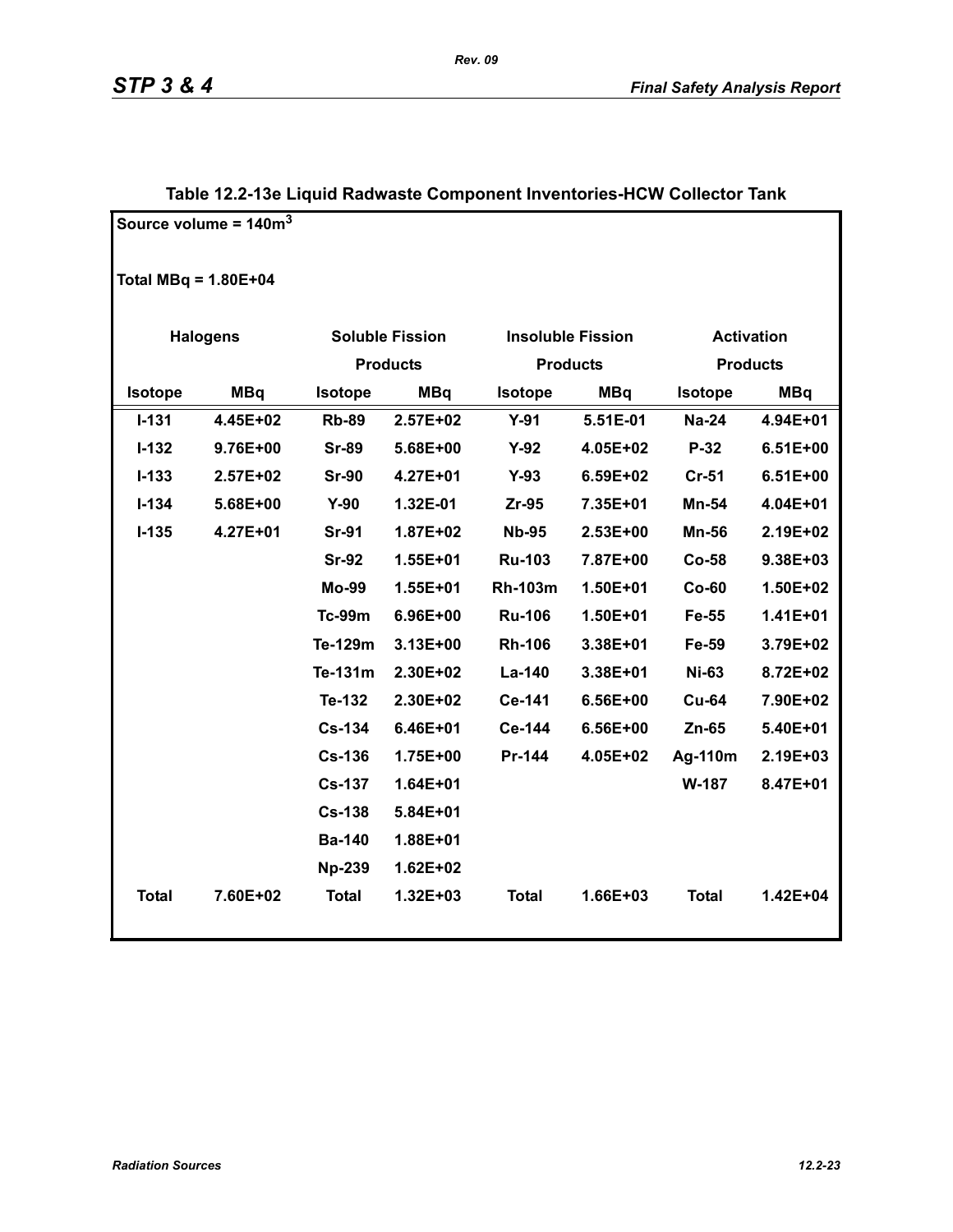|                        | Source volume = $140m3$ |                              |                        |                |                          |                   |                 |
|------------------------|-------------------------|------------------------------|------------------------|----------------|--------------------------|-------------------|-----------------|
| Total MBq = $1.80E+04$ |                         |                              |                        |                |                          |                   |                 |
|                        | <b>Halogens</b>         |                              | <b>Soluble Fission</b> |                | <b>Insoluble Fission</b> | <b>Activation</b> |                 |
|                        |                         | <b>Products</b>              |                        |                | <b>Products</b>          |                   | <b>Products</b> |
| Isotope                | <b>MBq</b>              | <b>Isotope</b><br><b>MBq</b> |                        | <b>Isotope</b> | <b>MBq</b>               | <b>Isotope</b>    | <b>MBq</b>      |
| $I - 131$              | 4.45E+02                | <b>Rb-89</b>                 | 2.57E+02               | $Y-91$         | 5.51E-01                 | <b>Na-24</b>      | 4.94E+01        |
| $I-132$                | 9.76E+00                | <b>Sr-89</b>                 | 5.68E+00               | $Y-92$         | 4.05E+02                 | $P-32$            | $6.51E+00$      |
| $I - 133$              | $2.57E+02$              | <b>Sr-90</b>                 | 4.27E+01               | $Y-93$         | 6.59E+02                 | <b>Cr-51</b>      | $6.51E+00$      |
| $I - 134$              | 5.68E+00                | $Y-90$                       | 1.32E-01               | Zr-95          | 7.35E+01                 | Mn-54             | 4.04E+01        |
| $I-135$                | 4.27E+01                | <b>Sr-91</b>                 | 1.87E+02               | <b>Nb-95</b>   | 2.53E+00                 | <b>Mn-56</b>      | 2.19E+02        |
|                        |                         | <b>Sr-92</b>                 | 1.55E+01               | <b>Ru-103</b>  | 7.87E+00                 | $Co-58$           | 9.38E+03        |
|                        |                         | Mo-99                        | 1.55E+01               | <b>Rh-103m</b> | 1.50E+01                 | $Co-60$           | 1.50E+02        |
|                        |                         | <b>Tc-99m</b>                | 6.96E+00               | <b>Ru-106</b>  | 1.50E+01                 | Fe-55             | 1.41E+01        |
|                        |                         | Te-129m                      | $3.13E+00$             | <b>Rh-106</b>  | 3.38E+01                 | Fe-59             | 3.79E+02        |
|                        |                         | Te-131m                      | 2.30E+02               | La-140         | 3.38E+01                 | <b>Ni-63</b>      | 8.72E+02        |
|                        |                         | Te-132                       | 2.30E+02               | Ce-141         | 6.56E+00                 | <b>Cu-64</b>      | 7.90E+02        |
|                        |                         | <b>Cs-134</b>                | 6.46E+01               | Ce-144         | 6.56E+00                 | Zn-65             | 5.40E+01        |
|                        |                         | <b>Cs-136</b>                | 1.75E+00               | Pr-144         | 4.05E+02                 | Ag-110m           | 2.19E+03        |
|                        |                         | <b>Cs-137</b>                | 1.64E+01               |                |                          | W-187             | 8.47E+01        |
|                        |                         | <b>Cs-138</b>                | 5.84E+01               |                |                          |                   |                 |
|                        |                         | <b>Ba-140</b>                | 1.88E+01               |                |                          |                   |                 |
|                        |                         | <b>Np-239</b>                | $1.62E + 02$           |                |                          |                   |                 |
| <b>Total</b>           | 7.60E+02                | <b>Total</b>                 | 1.32E+03               | <b>Total</b>   | 1.66E+03                 | <b>Total</b>      | 1.42E+04        |

### **Table 12.2-13e Liquid Radwaste Component Inventories-HCW Collector Tank**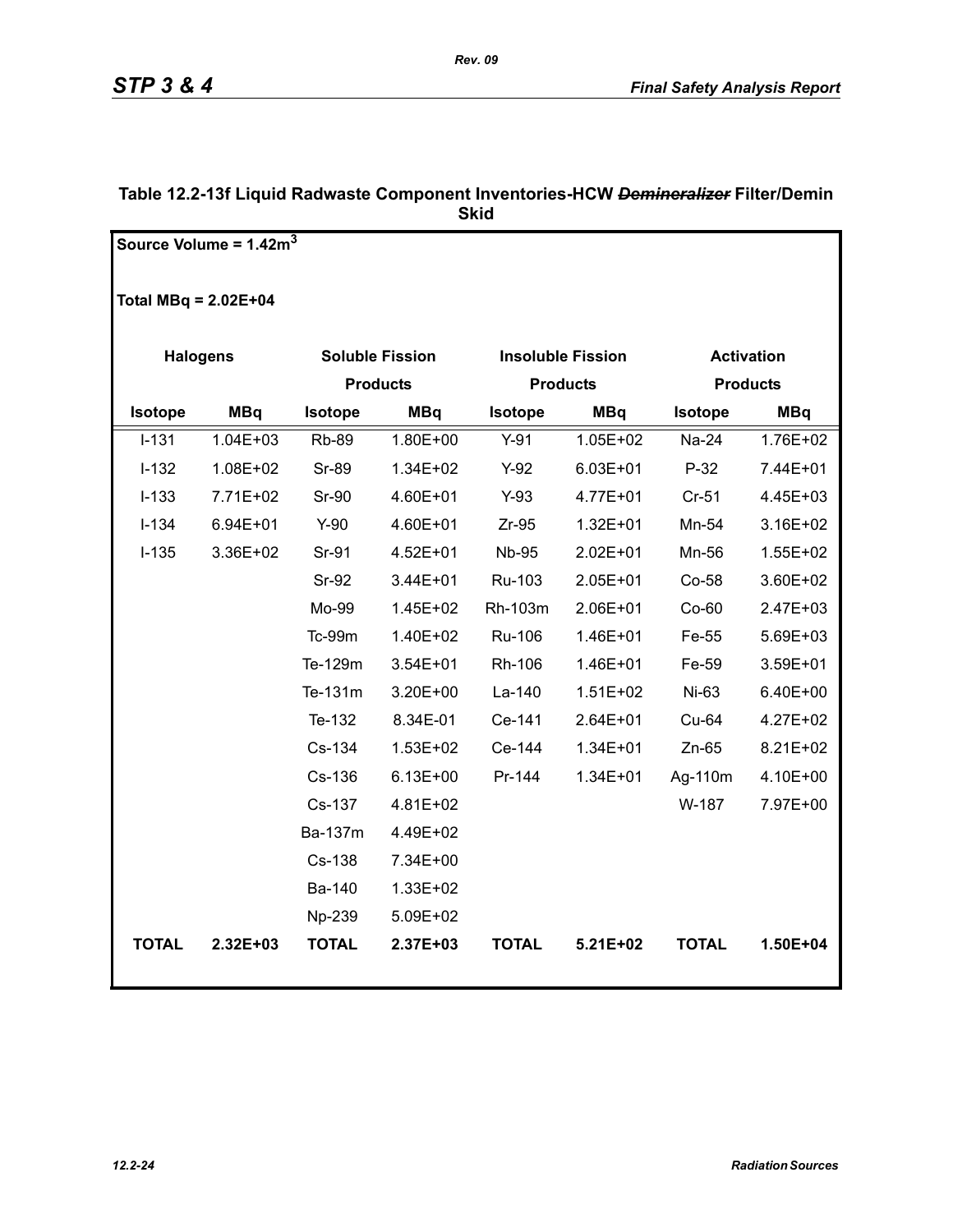|                        | Source Volume = $1.42m3$ |                        |              |                |                          |                |                   |
|------------------------|--------------------------|------------------------|--------------|----------------|--------------------------|----------------|-------------------|
|                        |                          |                        |              |                |                          |                |                   |
| Total MBq = $2.02E+04$ |                          |                        |              |                |                          |                |                   |
|                        |                          |                        |              |                |                          |                |                   |
|                        | <b>Halogens</b>          | <b>Soluble Fission</b> |              |                | <b>Insoluble Fission</b> |                | <b>Activation</b> |
|                        |                          | <b>Products</b>        |              |                | <b>Products</b>          |                | <b>Products</b>   |
| <b>Isotope</b>         | <b>MBq</b>               | <b>Isotope</b>         | <b>MBq</b>   | <b>Isotope</b> | <b>MBq</b>               | <b>Isotope</b> | <b>MBq</b>        |
| $I-131$                | $1.04E + 03$             | <b>Rb-89</b>           | 1.80E+00     | $Y-91$         | $1.05E + 02$             | Na-24          | 1.76E+02          |
| $I-132$                | 1.08E+02                 | Sr-89                  | 1.34E+02     | $Y-92$         | $6.03E + 01$             | $P-32$         | 7.44E+01          |
| $I-133$                | 7.71E+02                 | <b>Sr-90</b>           | 4.60E+01     | $Y-93$         | 4.77E+01                 | $Cr-51$        | 4.45E+03          |
| $I-134$                | $6.94E + 01$             | $Y-90$                 | 4.60E+01     | $Zr-95$        | $1.32E + 01$             | Mn-54          | 3.16E+02          |
| $I-135$                | 3.36E+02                 | Sr-91                  | 4.52E+01     | <b>Nb-95</b>   | 2.02E+01                 | Mn-56          | 1.55E+02          |
|                        |                          | <b>Sr-92</b>           | 3.44E+01     | Ru-103         | 2.05E+01                 | Co-58          | 3.60E+02          |
|                        |                          | Mo-99                  | 1.45E+02     | Rh-103m        | 2.06E+01                 | $Co-60$        | $2.47E + 03$      |
|                        |                          | Tc-99m                 | 1.40E+02     | Ru-106         | 1.46E+01                 | Fe-55          | 5.69E+03          |
|                        |                          | Te-129m                | 3.54E+01     | Rh-106         | 1.46E+01                 | Fe-59          | 3.59E+01          |
|                        |                          | Te-131m                | 3.20E+00     | La-140         | $1.51E + 02$             | Ni-63          | 6.40E+00          |
|                        |                          | Te-132                 | 8.34E-01     | Ce-141         | 2.64E+01                 | Cu-64          | 4.27E+02          |
|                        |                          | Cs-134                 | 1.53E+02     | Ce-144         | $1.34E + 01$             | $Zn-65$        | 8.21E+02          |
|                        |                          | Cs-136                 | $6.13E + 00$ | Pr-144         | $1.34E + 01$             | Ag-110m        | 4.10E+00          |
|                        |                          | Cs-137                 | 4.81E+02     |                |                          | W-187          | 7.97E+00          |
|                        |                          | Ba-137m                | 4.49E+02     |                |                          |                |                   |
|                        |                          | Cs-138                 | 7.34E+00     |                |                          |                |                   |
|                        |                          | Ba-140                 | 1.33E+02     |                |                          |                |                   |
|                        |                          | Np-239                 | 5.09E+02     |                |                          |                |                   |
| <b>TOTAL</b>           | 2.32E+03                 | <b>TOTAL</b>           | 2.37E+03     | <b>TOTAL</b>   | 5.21E+02                 | <b>TOTAL</b>   | 1.50E+04          |
|                        |                          |                        |              |                |                          |                |                   |

### **Table 12.2-13f Liquid Radwaste Component Inventories-HCW** *Demineralizer* **Filter/Demin Skid**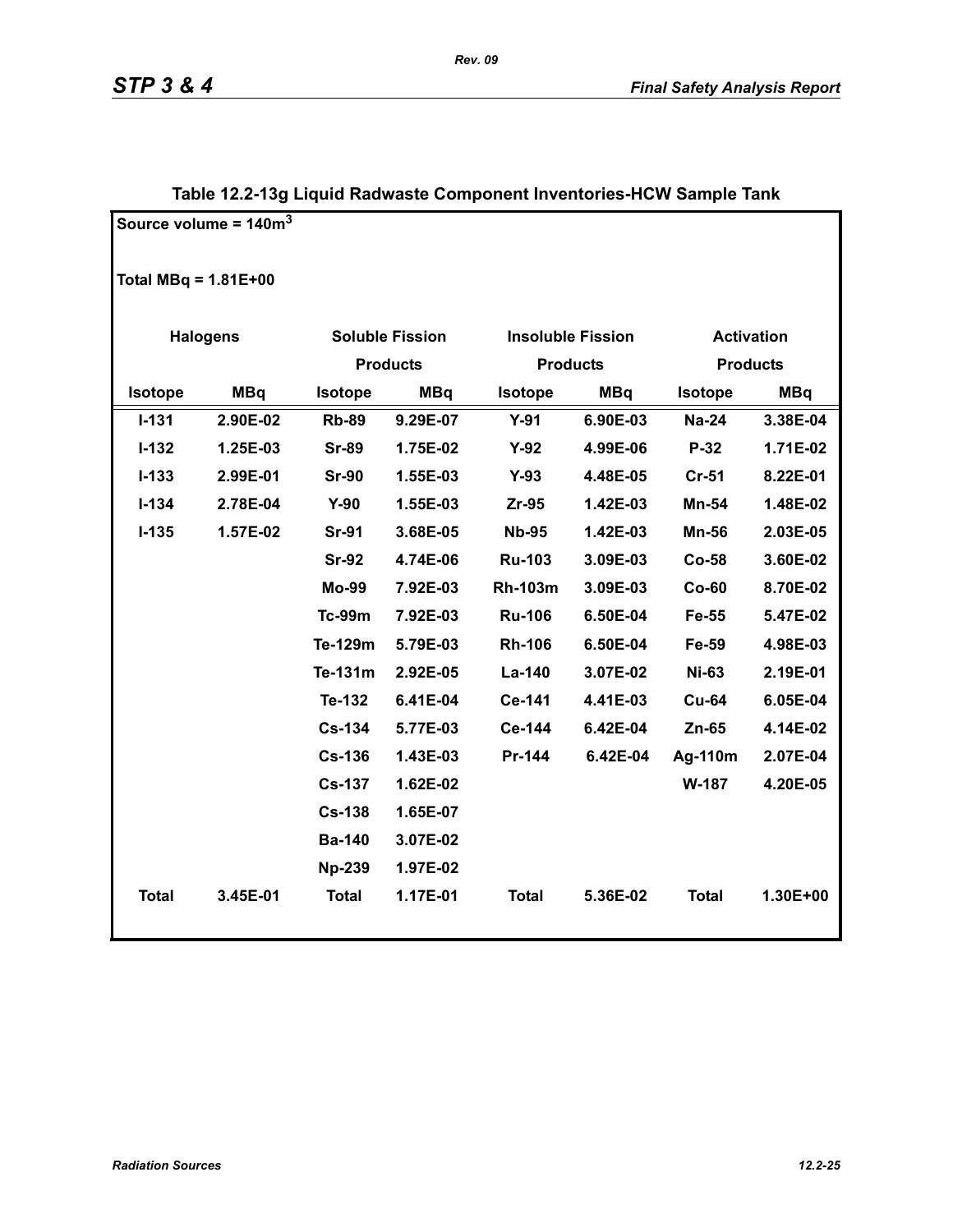|                        | Source volume = $140m^3$ |                 |                        |                          |            |                   |            |
|------------------------|--------------------------|-----------------|------------------------|--------------------------|------------|-------------------|------------|
| Total MBq = $1.81E+00$ |                          |                 |                        |                          |            |                   |            |
|                        | <b>Halogens</b>          |                 | <b>Soluble Fission</b> | <b>Insoluble Fission</b> |            | <b>Activation</b> |            |
|                        |                          | <b>Products</b> |                        | <b>Products</b>          |            | <b>Products</b>   |            |
| Isotope                | <b>MBq</b>               | Isotope         | <b>MBq</b>             | <b>Isotope</b>           | <b>MBq</b> | <b>Isotope</b>    | <b>MBq</b> |
| $I - 131$              | 2.90E-02                 | <b>Rb-89</b>    | 9.29E-07               | $Y-91$                   | 6.90E-03   | <b>Na-24</b>      | 3.38E-04   |
| $I-132$                | 1.25E-03                 | <b>Sr-89</b>    | 1.75E-02               | $Y-92$                   | 4.99E-06   | P-32              | 1.71E-02   |
| $I-133$                | 2.99E-01                 | <b>Sr-90</b>    | 1.55E-03               | $Y-93$                   | 4.48E-05   | $Cr-51$           | 8.22E-01   |
| $I - 134$              | 2.78E-04                 | $Y-90$          | 1.55E-03               | $Zr-95$                  | 1.42E-03   | Mn-54             | 1.48E-02   |
| $I-135$                | 1.57E-02                 | <b>Sr-91</b>    | 3.68E-05               | <b>Nb-95</b>             | 1.42E-03   | <b>Mn-56</b>      | 2.03E-05   |
|                        |                          | <b>Sr-92</b>    | 4.74E-06               | <b>Ru-103</b>            | 3.09E-03   | $Co-58$           | 3.60E-02   |
|                        |                          | Mo-99           | 7.92E-03               | <b>Rh-103m</b>           | 3.09E-03   | $Co-60$           | 8.70E-02   |
|                        |                          | <b>Tc-99m</b>   | 7.92E-03               | <b>Ru-106</b>            | 6.50E-04   | Fe-55             | 5.47E-02   |
|                        |                          | Te-129m         | 5.79E-03               | <b>Rh-106</b>            | 6.50E-04   | Fe-59             | 4.98E-03   |
|                        |                          | Te-131m         | 2.92E-05               | La-140                   | 3.07E-02   | <b>Ni-63</b>      | 2.19E-01   |
|                        |                          | Te-132          | 6.41E-04               | Ce-141                   | 4.41E-03   | <b>Cu-64</b>      | 6.05E-04   |
|                        |                          | <b>Cs-134</b>   | 5.77E-03               | Ce-144                   | 6.42E-04   | $Zn-65$           | 4.14E-02   |
|                        |                          | $Cs-136$        | 1.43E-03               | Pr-144                   | 6.42E-04   | Ag-110m           | 2.07E-04   |
|                        |                          | <b>Cs-137</b>   | 1.62E-02               |                          |            | <b>W-187</b>      | 4.20E-05   |
|                        |                          | <b>Cs-138</b>   | 1.65E-07               |                          |            |                   |            |
|                        |                          | <b>Ba-140</b>   | 3.07E-02               |                          |            |                   |            |
|                        |                          | <b>Np-239</b>   | 1.97E-02               |                          |            |                   |            |
| <b>Total</b>           | 3.45E-01                 | <b>Total</b>    | 1.17E-01               | <b>Total</b>             | 5.36E-02   | <b>Total</b>      | 1.30E+00   |

### **Table 12.2-13g Liquid Radwaste Component Inventories-HCW Sample Tank**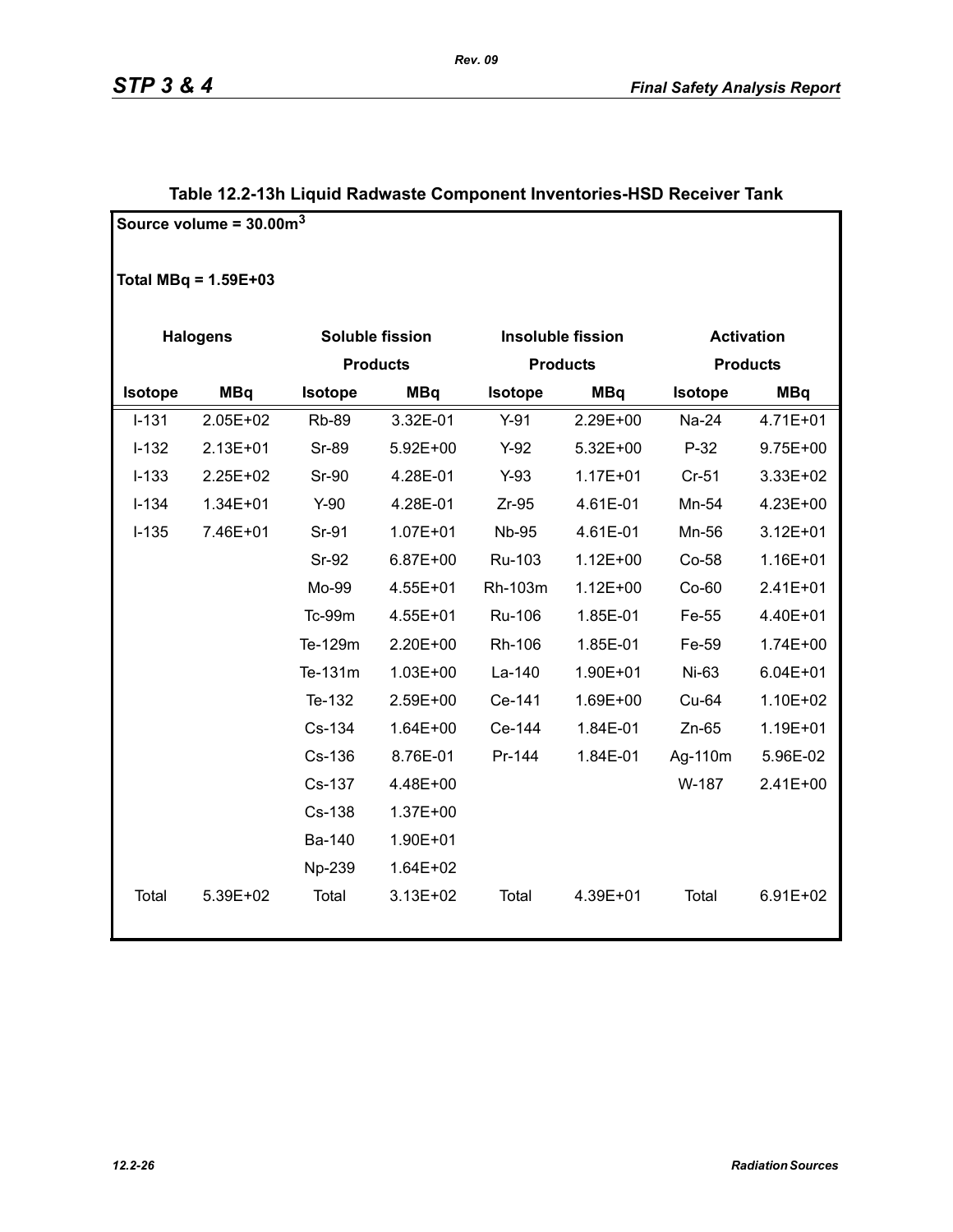|           | Source volume = $30.00m3$ |              |                 |              |                          |                   |                 |  |
|-----------|---------------------------|--------------|-----------------|--------------|--------------------------|-------------------|-----------------|--|
|           | Total MBq = $1.59E+03$    |              |                 |              |                          |                   |                 |  |
|           | <b>Halogens</b>           |              | Soluble fission |              | <b>Insoluble fission</b> | <b>Activation</b> |                 |  |
|           |                           |              | <b>Products</b> |              | <b>Products</b>          |                   | <b>Products</b> |  |
| Isotope   | <b>MBq</b>                | Isotope      | <b>MBq</b>      | Isotope      | <b>MBq</b>               | Isotope           | <b>MBq</b>      |  |
| $I - 131$ | 2.05E+02                  | <b>Rb-89</b> | 3.32E-01        | $Y-91$       | 2.29E+00                 | Na-24             | 4.71E+01        |  |
| $I-132$   | 2.13E+01                  | Sr-89        | 5.92E+00        | $Y-92$       | 5.32E+00                 | $P-32$            | $9.75E + 00$    |  |
| $I-133$   | 2.25E+02                  | <b>Sr-90</b> | 4.28E-01        | $Y-93$       | $1.17E + 01$             | $Cr-51$           | 3.33E+02        |  |
| $I-134$   | 1.34E+01                  | $Y-90$       | 4.28E-01        | $Zr-95$      | 4.61E-01                 | Mn-54             | 4.23E+00        |  |
| $I-135$   | 7.46E+01                  | Sr-91        | $1.07E + 01$    | <b>Nb-95</b> | 4.61E-01                 | Mn-56             | $3.12E + 01$    |  |
|           |                           | Sr-92        | 6.87E+00        | Ru-103       | $1.12E + 00$             | Co-58             | 1.16E+01        |  |
|           |                           | Mo-99        | 4.55E+01        | Rh-103m      | $1.12E + 00$             | $Co-60$           | 2.41E+01        |  |
|           |                           | Tc-99m       | 4.55E+01        | Ru-106       | 1.85E-01                 | Fe-55             | 4.40E+01        |  |
|           |                           | Te-129m      | 2.20E+00        | Rh-106       | 1.85E-01                 | Fe-59             | 1.74E+00        |  |
|           |                           | Te-131m      | $1.03E + 00$    | La-140       | 1.90E+01                 | Ni-63             | $6.04E + 01$    |  |
|           |                           | Te-132       | 2.59E+00        | Ce-141       | 1.69E+00                 | Cu-64             | 1.10E+02        |  |
|           |                           | Cs-134       | 1.64E+00        | Ce-144       | 1.84E-01                 | $Zn-65$           | 1.19E+01        |  |
|           |                           | Cs-136       | 8.76E-01        | Pr-144       | 1.84E-01                 | Ag-110m           | 5.96E-02        |  |
|           |                           | Cs-137       | 4.48E+00        |              |                          | W-187             | 2.41E+00        |  |
|           |                           | Cs-138       | 1.37E+00        |              |                          |                   |                 |  |
|           |                           | Ba-140       | 1.90E+01        |              |                          |                   |                 |  |
|           |                           | Np-239       | 1.64E+02        |              |                          |                   |                 |  |
| Total     | 5.39E+02                  | Total        | 3.13E+02        | Total        | 4.39E+01                 | Total             | 6.91E+02        |  |

### **Table 12.2-13h Liquid Radwaste Component Inventories-HSD Receiver Tank**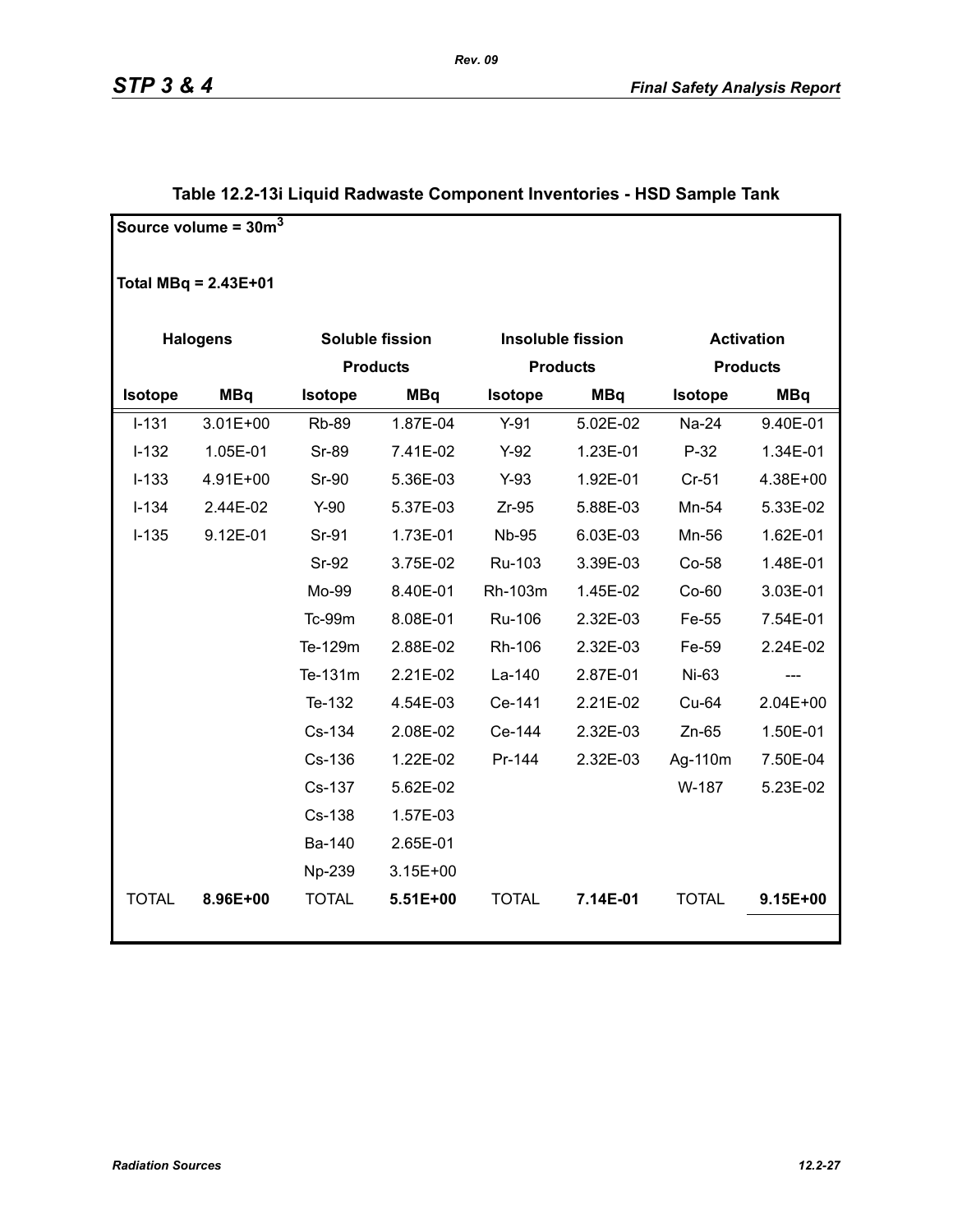|                | Source volume = $30m3$ |              |                        |                |                          |                 |                   |  |
|----------------|------------------------|--------------|------------------------|----------------|--------------------------|-----------------|-------------------|--|
|                |                        |              |                        |                |                          |                 |                   |  |
|                | Total $MBq = 2.43E+01$ |              |                        |                |                          |                 |                   |  |
|                | <b>Halogens</b>        |              | <b>Soluble fission</b> |                | <b>Insoluble fission</b> |                 | <b>Activation</b> |  |
|                |                        |              | <b>Products</b>        |                | <b>Products</b>          | <b>Products</b> |                   |  |
| <b>Isotope</b> | <b>MBq</b>             | Isotope      | <b>MBq</b>             | <b>Isotope</b> | <b>MBq</b>               | Isotope         | <b>MBq</b>        |  |
| $I-131$        | 3.01E+00               | <b>Rb-89</b> | 1.87E-04               | $Y-91$         | 5.02E-02                 | Na-24           | 9.40E-01          |  |
| $I-132$        | 1.05E-01               | <b>Sr-89</b> | 7.41E-02               | $Y-92$         | 1.23E-01                 | $P-32$          | 1.34E-01          |  |
| $I-133$        | 4.91E+00               | Sr-90        | 5.36E-03               | $Y-93$         | 1.92E-01                 | $Cr-51$         | 4.38E+00          |  |
| $I-134$        | 2.44E-02               | $Y-90$       | 5.37E-03               | $Zr-95$        | 5.88E-03                 | Mn-54           | 5.33E-02          |  |
| $I-135$        | 9.12E-01               | Sr-91        | 1.73E-01               | <b>Nb-95</b>   | 6.03E-03                 | Mn-56           | 1.62E-01          |  |
|                |                        | Sr-92        | 3.75E-02               | Ru-103         | 3.39E-03                 | Co-58           | 1.48E-01          |  |
|                |                        | Mo-99        | 8.40E-01               | Rh-103m        | 1.45E-02                 | Co-60           | 3.03E-01          |  |
|                |                        | Tc-99m       | 8.08E-01               | Ru-106         | 2.32E-03                 | Fe-55           | 7.54E-01          |  |
|                |                        | Te-129m      | 2.88E-02               | Rh-106         | 2.32E-03                 | Fe-59           | 2.24E-02          |  |
|                |                        | Te-131m      | 2.21E-02               | La-140         | 2.87E-01                 | Ni-63           | ---               |  |
|                |                        | Te-132       | 4.54E-03               | Ce-141         | 2.21E-02                 | Cu-64           | 2.04E+00          |  |
|                |                        | Cs-134       | 2.08E-02               | Ce-144         | 2.32E-03                 | $Zn-65$         | 1.50E-01          |  |
|                |                        | Cs-136       | 1.22E-02               | Pr-144         | 2.32E-03                 | Ag-110m         | 7.50E-04          |  |
|                |                        | Cs-137       | 5.62E-02               |                |                          | W-187           | 5.23E-02          |  |
|                |                        | Cs-138       | 1.57E-03               |                |                          |                 |                   |  |
|                |                        | Ba-140       | 2.65E-01               |                |                          |                 |                   |  |
|                |                        | Np-239       | 3.15E+00               |                |                          |                 |                   |  |
| <b>TOTAL</b>   | 8.96E+00               | <b>TOTAL</b> | 5.51E+00               | <b>TOTAL</b>   | 7.14E-01                 | <b>TOTAL</b>    | 9.15E+00          |  |
|                |                        |              |                        |                |                          |                 |                   |  |

### **Table 12.2-13i Liquid Radwaste Component Inventories - HSD Sample Tank**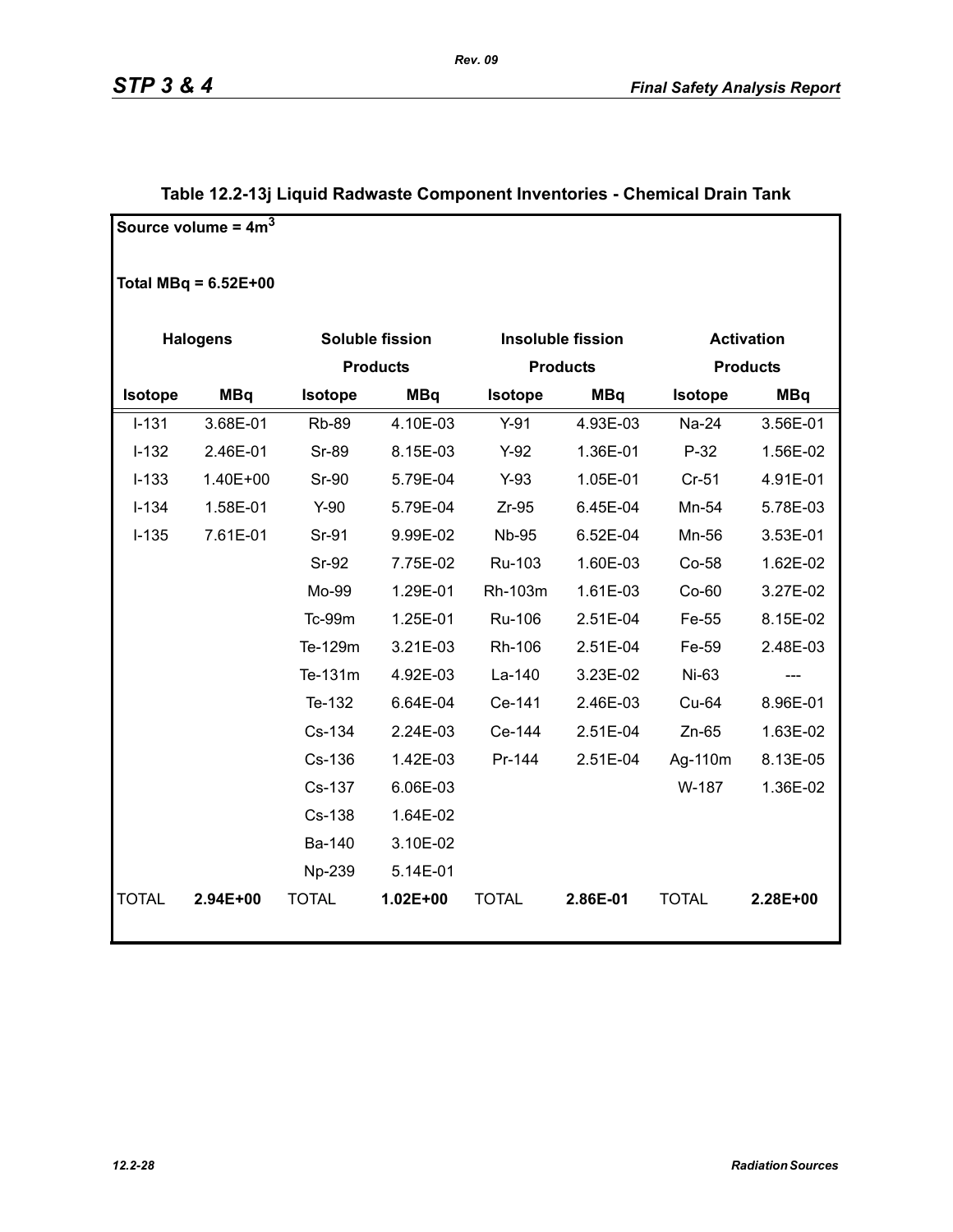|              | Source volume = $4m3$  |                 |                        |              |                          |                   |                 |  |
|--------------|------------------------|-----------------|------------------------|--------------|--------------------------|-------------------|-----------------|--|
|              | Total MBq = $6.52E+00$ |                 |                        |              |                          |                   |                 |  |
|              | <b>Halogens</b>        |                 | <b>Soluble fission</b> |              | <b>Insoluble fission</b> | <b>Activation</b> |                 |  |
|              |                        | <b>Products</b> |                        |              | <b>Products</b>          |                   | <b>Products</b> |  |
| Isotope      | <b>MBq</b>             | Isotope         | <b>MBq</b>             | Isotope      | <b>MBq</b>               | Isotope           | <b>MBq</b>      |  |
| $I-131$      | 3.68E-01               | <b>Rb-89</b>    | 4.10E-03               | $Y-91$       | 4.93E-03                 | Na-24             | 3.56E-01        |  |
| $I-132$      | 2.46E-01               | <b>Sr-89</b>    | 8.15E-03               | $Y-92$       | 1.36E-01                 | $P-32$            | 1.56E-02        |  |
| $I-133$      | 1.40E+00               | <b>Sr-90</b>    | 5.79E-04               | $Y-93$       | 1.05E-01                 | $Cr-51$           | 4.91E-01        |  |
| $I-134$      | 1.58E-01               | $Y-90$          | 5.79E-04               | $Zr-95$      | 6.45E-04                 | Mn-54             | 5.78E-03        |  |
| $I-135$      | 7.61E-01               | Sr-91           | 9.99E-02               | <b>Nb-95</b> | 6.52E-04                 | Mn-56             | 3.53E-01        |  |
|              |                        | Sr-92           | 7.75E-02               | Ru-103       | 1.60E-03                 | Co-58             | 1.62E-02        |  |
|              |                        | Mo-99           | 1.29E-01               | Rh-103m      | 1.61E-03                 | $Co-60$           | 3.27E-02        |  |
|              |                        | Tc-99m          | 1.25E-01               | Ru-106       | 2.51E-04                 | Fe-55             | 8.15E-02        |  |
|              |                        | Te-129m         | 3.21E-03               | Rh-106       | 2.51E-04                 | Fe-59             | 2.48E-03        |  |
|              |                        | Te-131m         | 4.92E-03               | La-140       | 3.23E-02                 | Ni-63             |                 |  |
|              |                        | Te-132          | 6.64E-04               | Ce-141       | 2.46E-03                 | Cu-64             | 8.96E-01        |  |
|              |                        | Cs-134          | 2.24E-03               | Ce-144       | 2.51E-04                 | $Zn-65$           | 1.63E-02        |  |
|              |                        | Cs-136          | 1.42E-03               | Pr-144       | 2.51E-04                 | Ag-110m           | 8.13E-05        |  |
|              |                        | Cs-137          | 6.06E-03               |              |                          | W-187             | 1.36E-02        |  |
|              |                        | Cs-138          | 1.64E-02               |              |                          |                   |                 |  |
|              |                        | Ba-140          | 3.10E-02               |              |                          |                   |                 |  |
|              |                        | Np-239          | 5.14E-01               |              |                          |                   |                 |  |
| <b>TOTAL</b> | 2.94E+00               | <b>TOTAL</b>    | $1.02E + 00$           | <b>TOTAL</b> | 2.86E-01                 | <b>TOTAL</b>      | 2.28E+00        |  |
|              |                        |                 |                        |              |                          |                   |                 |  |

### **Table 12.2-13j Liquid Radwaste Component Inventories - Chemical Drain Tank**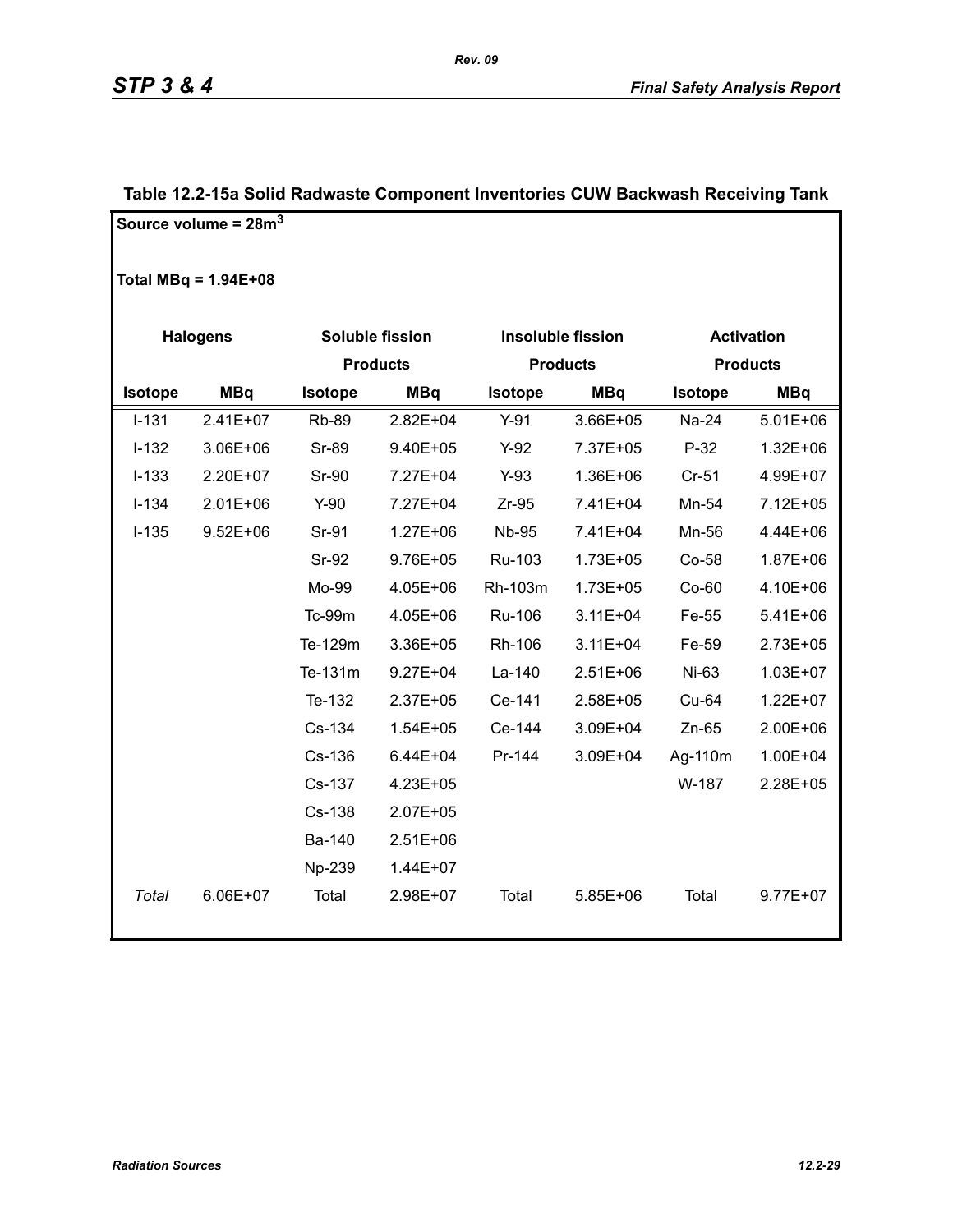|                | Source volume = $28m3$ |              |                 |                |                          |                |                   |
|----------------|------------------------|--------------|-----------------|----------------|--------------------------|----------------|-------------------|
|                | Total MBq = $1.94E+08$ |              |                 |                |                          |                |                   |
|                | <b>Halogens</b>        |              | Soluble fission |                | <b>Insoluble fission</b> |                | <b>Activation</b> |
|                |                        |              | <b>Products</b> |                | <b>Products</b>          |                | <b>Products</b>   |
| <b>Isotope</b> | <b>MBq</b>             | Isotope      | <b>MBq</b>      | <b>Isotope</b> | <b>MBq</b>               | <b>Isotope</b> | <b>MBq</b>        |
| $I-131$        | $2.41E+07$             | <b>Rb-89</b> | $2.82E + 04$    | $Y-91$         | 3.66E+05                 | Na-24          | $5.01E + 06$      |
| $I-132$        | 3.06E+06               | Sr-89        | 9.40E+05        | $Y-92$         | 7.37E+05                 | $P-32$         | $1.32E + 06$      |
| $I-133$        | 2.20E+07               | Sr-90        | 7.27E+04        | $Y-93$         | 1.36E+06                 | $Cr-51$        | 4.99E+07          |
| $I-134$        | $2.01E + 06$           | $Y-90$       | 7.27E+04        | $Zr-95$        | 7.41E+04                 | Mn-54          | 7.12E+05          |
| $I-135$        | $9.52E + 06$           | Sr-91        | $1.27E + 06$    | <b>Nb-95</b>   | 7.41E+04                 | Mn-56          | 4.44E+06          |
|                |                        | <b>Sr-92</b> | 9.76E+05        | Ru-103         | $1.73E + 05$             | Co-58          | 1.87E+06          |
|                |                        | Mo-99        | 4.05E+06        | Rh-103m        | 1.73E+05                 | $Co-60$        | 4.10E+06          |
|                |                        | Tc-99m       | 4.05E+06        | Ru-106         | $3.11E + 04$             | Fe-55          | $5.41E + 06$      |
|                |                        | Te-129m      | 3.36E+05        | Rh-106         | $3.11E + 04$             | Fe-59          | 2.73E+05          |
|                |                        | Te-131m      | $9.27E + 04$    | La-140         | $2.51E+06$               | Ni-63          | 1.03E+07          |
|                |                        | Te-132       | $2.37E + 05$    | Ce-141         | 2.58E+05                 | Cu-64          | 1.22E+07          |
|                |                        | Cs-134       | $1.54E + 05$    | Ce-144         | 3.09E+04                 | $Zn-65$        | 2.00E+06          |
|                |                        | Cs-136       | $6.44E + 04$    | Pr-144         | 3.09E+04                 | Ag-110m        | 1.00E+04          |
|                |                        | Cs-137       | 4.23E+05        |                |                          | W-187          | 2.28E+05          |
|                |                        | Cs-138       | 2.07E+05        |                |                          |                |                   |
|                |                        | Ba-140       | 2.51E+06        |                |                          |                |                   |
|                |                        | Np-239       | 1.44E+07        |                |                          |                |                   |
| Total          | 6.06E+07               | Total        | 2.98E+07        | Total          | 5.85E+06                 | Total          | $9.77E + 07$      |

### **Table 12.2-15a Solid Radwaste Component Inventories CUW Backwash Receiving Tank**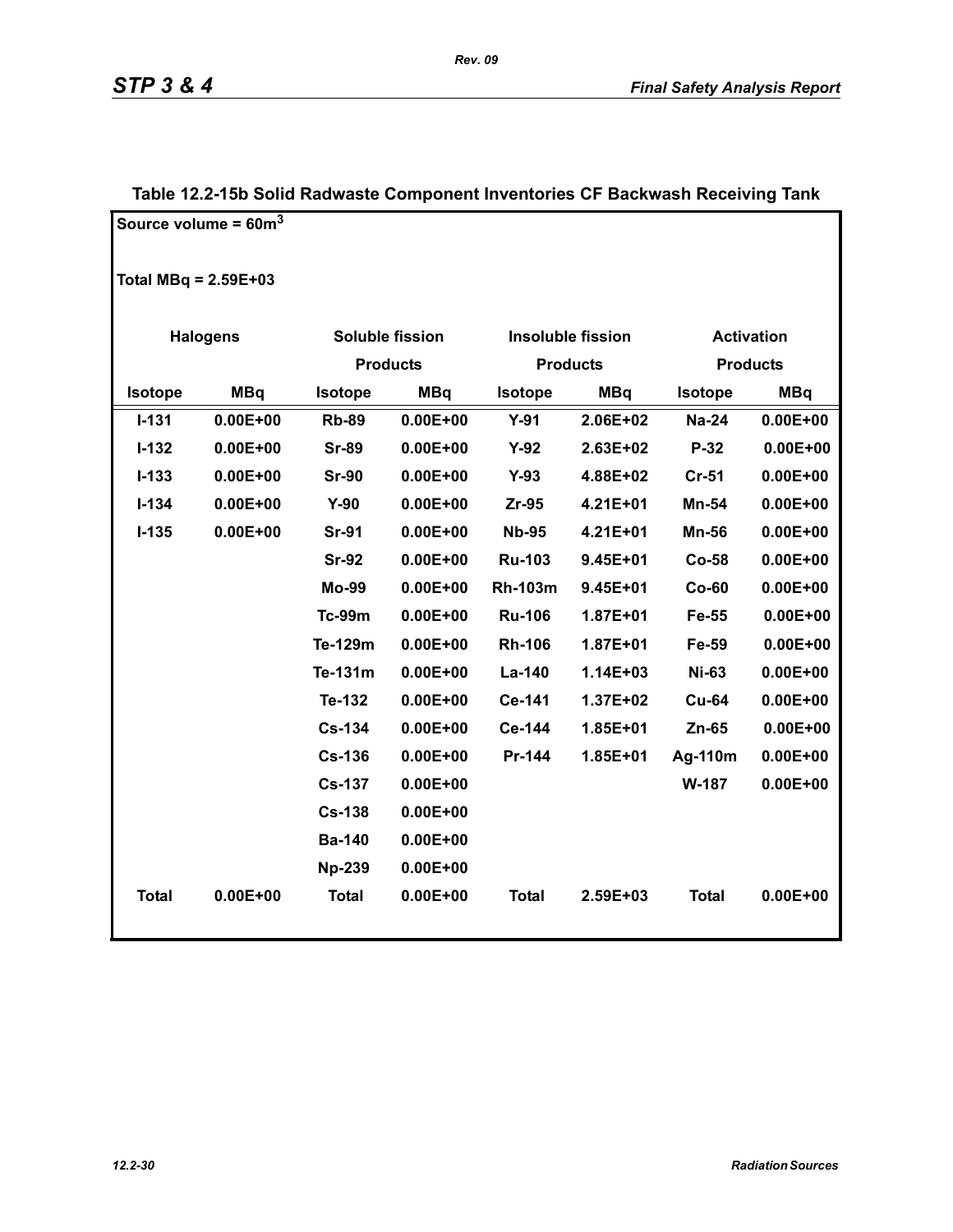|                        | Source volume = $60m^3$ |                 |                 |                |                          |                |                   |
|------------------------|-------------------------|-----------------|-----------------|----------------|--------------------------|----------------|-------------------|
| Total MBq = $2.59E+03$ |                         |                 |                 |                |                          |                |                   |
|                        | <b>Halogens</b>         |                 | Soluble fission |                | <b>Insoluble fission</b> |                | <b>Activation</b> |
|                        |                         | <b>Products</b> |                 |                | <b>Products</b>          |                | <b>Products</b>   |
| Isotope                | <b>MBq</b>              | Isotope         | <b>MBq</b>      | Isotope        | <b>MBq</b>               | <b>Isotope</b> | <b>MBq</b>        |
| $I - 131$              | $0.00E + 00$            | <b>Rb-89</b>    | $0.00E + 00$    | $Y-91$         | 2.06E+02                 | <b>Na-24</b>   | $0.00E + 00$      |
| $I-132$                | $0.00E + 00$            | <b>Sr-89</b>    | $0.00E + 00$    | $Y-92$         | 2.63E+02                 | P-32           | $0.00E + 00$      |
| $I-133$                | $0.00E + 00$            | <b>Sr-90</b>    | $0.00E + 00$    | $Y-93$         | 4.88E+02                 | $Cr-51$        | $0.00E + 00$      |
| $I-134$                | $0.00E + 00$            | $Y-90$          | $0.00E + 00$    | Zr-95          | 4.21E+01                 | Mn-54          | $0.00E + 00$      |
| $I-135$                | $0.00E + 00$            | <b>Sr-91</b>    | $0.00E + 00$    | <b>Nb-95</b>   | 4.21E+01                 | <b>Mn-56</b>   | $0.00E + 00$      |
|                        |                         | <b>Sr-92</b>    | $0.00E + 00$    | <b>Ru-103</b>  | 9.45E+01                 | <b>Co-58</b>   | $0.00E + 00$      |
|                        |                         | <b>Mo-99</b>    | $0.00E + 00$    | <b>Rh-103m</b> | 9.45E+01                 | $Co-60$        | $0.00E + 00$      |
|                        |                         | <b>Tc-99m</b>   | $0.00E + 00$    | <b>Ru-106</b>  | 1.87E+01                 | Fe-55          | $0.00E + 00$      |
|                        |                         | Te-129m         | $0.00E + 00$    | <b>Rh-106</b>  | 1.87E+01                 | Fe-59          | $0.00E + 00$      |
|                        |                         | Te-131m         | $0.00E + 00$    | La-140         | 1.14E+03                 | <b>Ni-63</b>   | $0.00E + 00$      |
|                        |                         | Te-132          | $0.00E + 00$    | Ce-141         | 1.37E+02                 | <b>Cu-64</b>   | $0.00E + 00$      |
|                        |                         | <b>Cs-134</b>   | $0.00E + 00$    | Ce-144         | 1.85E+01                 | $Zn-65$        | $0.00E + 00$      |
|                        |                         | <b>Cs-136</b>   | $0.00E + 00$    | Pr-144         | 1.85E+01                 | Ag-110m        | $0.00E + 00$      |
|                        |                         | <b>Cs-137</b>   | $0.00E + 00$    |                |                          | W-187          | $0.00E + 00$      |
|                        |                         | <b>Cs-138</b>   | $0.00E + 00$    |                |                          |                |                   |
|                        |                         | <b>Ba-140</b>   | $0.00E + 00$    |                |                          |                |                   |
|                        |                         | <b>Np-239</b>   | $0.00E + 00$    |                |                          |                |                   |
| <b>Total</b>           | $0.00E + 00$            | <b>Total</b>    | $0.00E + 00$    | <b>Total</b>   | 2.59E+03                 | <b>Total</b>   | $0.00E + 00$      |

### **Table 12.2-15b Solid Radwaste Component Inventories CF Backwash Receiving Tank**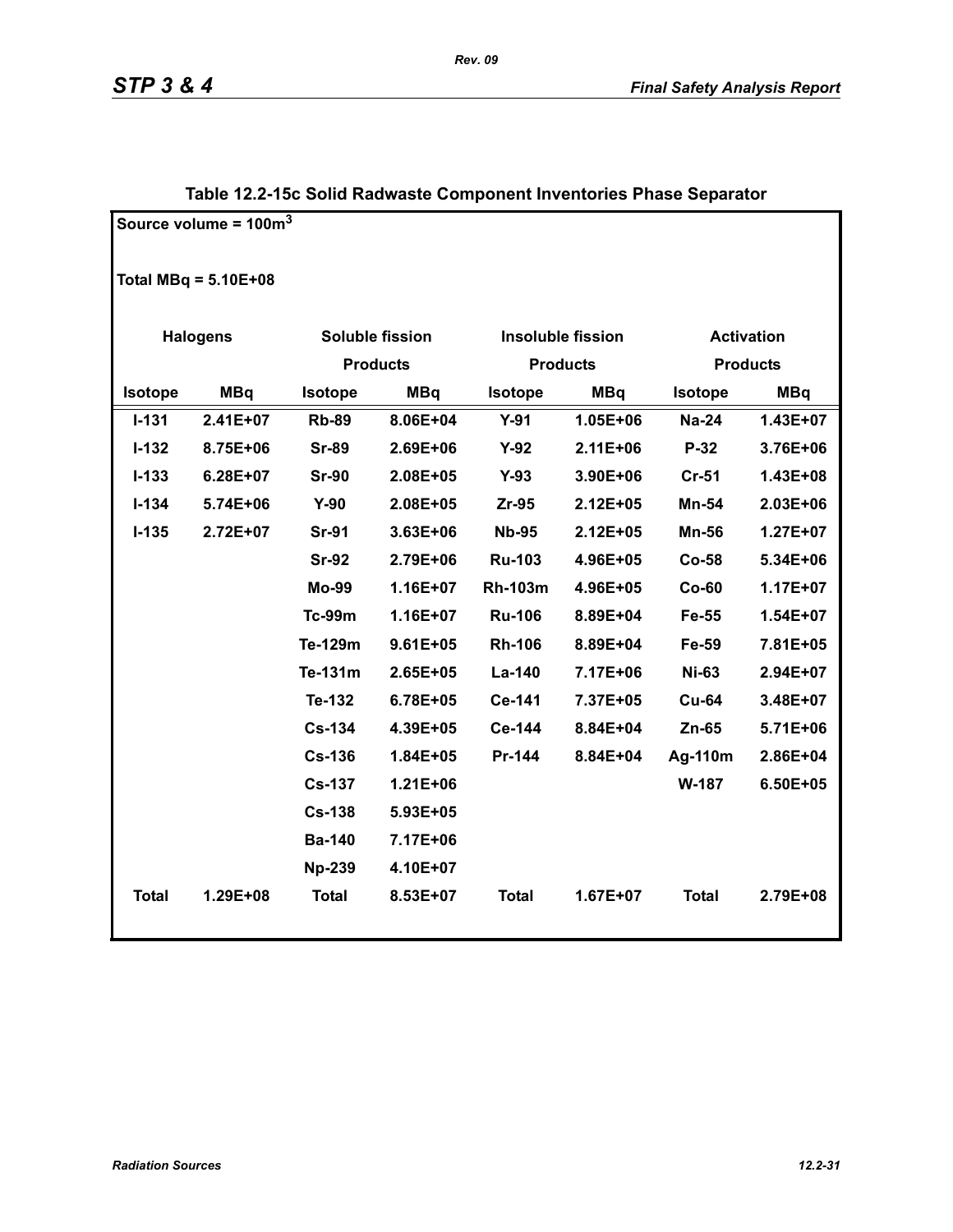|                | Source volume = $100m^3$ |                |                        |                |                          |                |                   |
|----------------|--------------------------|----------------|------------------------|----------------|--------------------------|----------------|-------------------|
|                | Total MBq = $5.10E+08$   |                |                        |                |                          |                |                   |
|                | <b>Halogens</b>          |                | <b>Soluble fission</b> |                | <b>Insoluble fission</b> |                | <b>Activation</b> |
|                |                          |                | <b>Products</b>        |                | <b>Products</b>          |                | <b>Products</b>   |
| <b>Isotope</b> | <b>MBq</b>               | <b>Isotope</b> | <b>MBq</b>             | <b>Isotope</b> | <b>MBq</b>               | <b>Isotope</b> | <b>MBq</b>        |
| $I - 131$      | 2.41E+07                 | <b>Rb-89</b>   | 8.06E+04               | $Y-91$         | 1.05E+06                 | <b>Na-24</b>   | $1.43E + 07$      |
| $I-132$        | 8.75E+06                 | <b>Sr-89</b>   | 2.69E+06               | $Y-92$         | 2.11E+06                 | $P-32$         | 3.76E+06          |
| $I-133$        | 6.28E+07                 | <b>Sr-90</b>   | 2.08E+05               | $Y-93$         | 3.90E+06                 | $Cr-51$        | 1.43E+08          |
| $I-134$        | 5.74E+06                 | $Y-90$         | 2.08E+05               | Zr-95          | 2.12E+05                 | <b>Mn-54</b>   | 2.03E+06          |
| $I-135$        | 2.72E+07                 | <b>Sr-91</b>   | 3.63E+06               | <b>Nb-95</b>   | 2.12E+05                 | <b>Mn-56</b>   | $1.27E + 07$      |
|                |                          | <b>Sr-92</b>   | 2.79E+06               | <b>Ru-103</b>  | 4.96E+05                 | Co-58          | 5.34E+06          |
|                |                          | <b>Mo-99</b>   | 1.16E+07               | <b>Rh-103m</b> | 4.96E+05                 | $Co-60$        | 1.17E+07          |
|                |                          | <b>Tc-99m</b>  | 1.16E+07               | <b>Ru-106</b>  | 8.89E+04                 | Fe-55          | 1.54E+07          |
|                |                          | Te-129m        | $9.61E + 05$           | <b>Rh-106</b>  | 8.89E+04                 | Fe-59          | 7.81E+05          |
|                |                          | Te-131m        | 2.65E+05               | La-140         | 7.17E+06                 | <b>Ni-63</b>   | 2.94E+07          |
|                |                          | Te-132         | 6.78E+05               | Ce-141         | 7.37E+05                 | <b>Cu-64</b>   | 3.48E+07          |
|                |                          | <b>Cs-134</b>  | 4.39E+05               | Ce-144         | 8.84E+04                 | $Zn-65$        | 5.71E+06          |
|                |                          | <b>Cs-136</b>  | 1.84E+05               | Pr-144         | 8.84E+04                 | Ag-110m        | 2.86E+04          |
|                |                          | <b>Cs-137</b>  | $1.21E + 06$           |                |                          | <b>W-187</b>   | 6.50E+05          |
|                |                          | <b>Cs-138</b>  | 5.93E+05               |                |                          |                |                   |
|                |                          | <b>Ba-140</b>  | 7.17E+06               |                |                          |                |                   |
|                |                          | <b>Np-239</b>  | 4.10E+07               |                |                          |                |                   |
| <b>Total</b>   | 1.29E+08                 | <b>Total</b>   | 8.53E+07               | <b>Total</b>   | $1.67E + 07$             | <b>Total</b>   | 2.79E+08          |

### **Table 12.2-15c Solid Radwaste Component Inventories Phase Separator**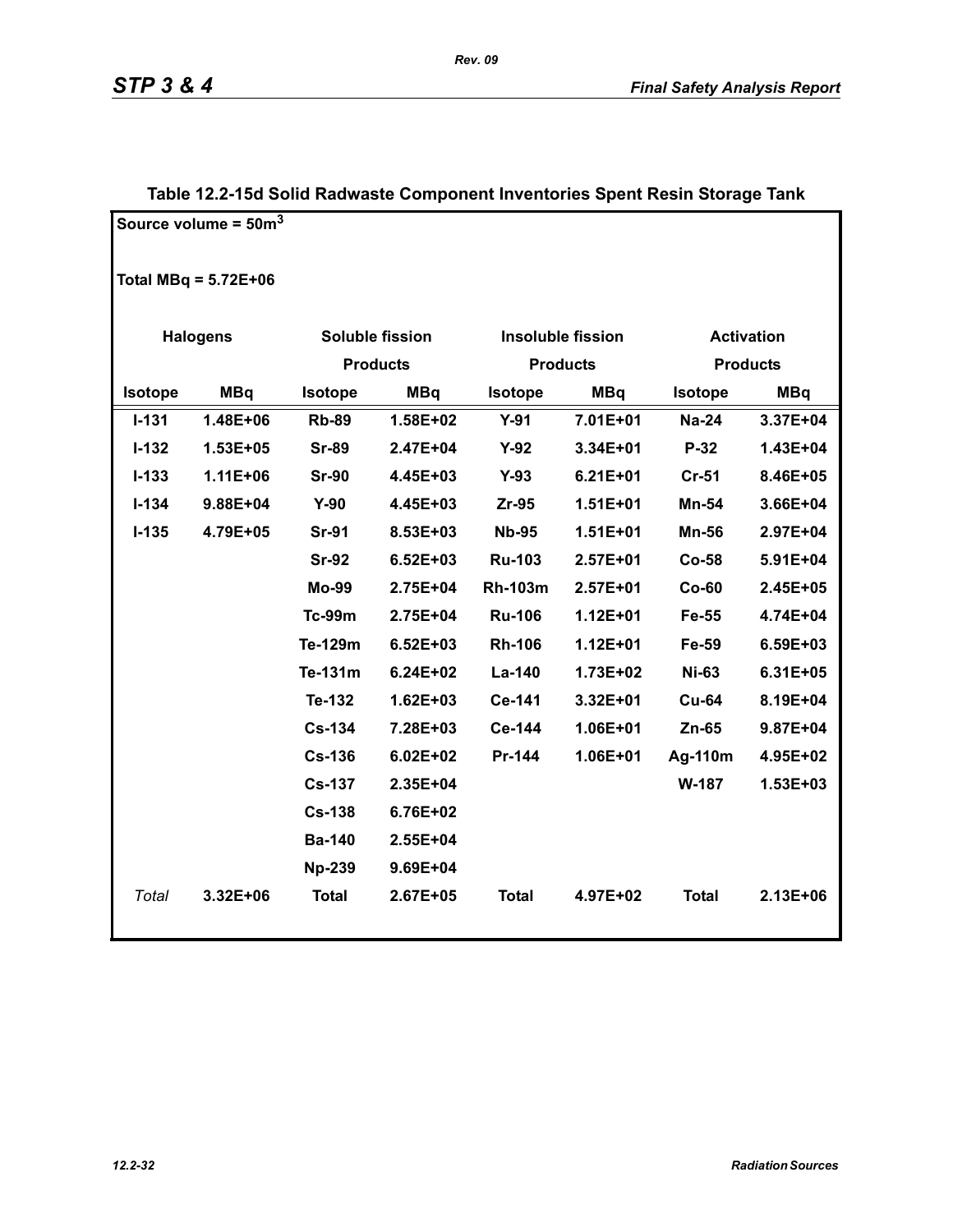|                | Source volume = $50m^3$ |               |                 |                |                          |              |                   |
|----------------|-------------------------|---------------|-----------------|----------------|--------------------------|--------------|-------------------|
|                | Total MBq = $5.72E+06$  |               |                 |                |                          |              |                   |
|                | <b>Halogens</b>         |               | Soluble fission |                | <b>Insoluble fission</b> |              | <b>Activation</b> |
|                |                         |               | <b>Products</b> |                | <b>Products</b>          |              | <b>Products</b>   |
| <b>Isotope</b> | <b>MBq</b>              | Isotope       | <b>MBq</b>      | <b>Isotope</b> | <b>MBq</b>               | Isotope      | <b>MBq</b>        |
| $I - 131$      | 1.48E+06                | <b>Rb-89</b>  | 1.58E+02        | $Y-91$         | 7.01E+01                 | <b>Na-24</b> | 3.37E+04          |
| $I-132$        | 1.53E+05                | <b>Sr-89</b>  | 2.47E+04        | $Y-92$         | 3.34E+01                 | P-32         | 1.43E+04          |
| $I - 133$      | 1.11E+06                | <b>Sr-90</b>  | 4.45E+03        | $Y-93$         | $6.21E + 01$             | $Cr-51$      | 8.46E+05          |
| $I - 134$      | 9.88E+04                | $Y-90$        | 4.45E+03        | $Zr-95$        | 1.51E+01                 | Mn-54        | 3.66E+04          |
| $I-135$        | 4.79E+05                | <b>Sr-91</b>  | 8.53E+03        | <b>Nb-95</b>   | $1.51E+01$               | <b>Mn-56</b> | 2.97E+04          |
|                |                         | <b>Sr-92</b>  | $6.52E + 03$    | <b>Ru-103</b>  | $2.57E + 01$             | Co-58        | 5.91E+04          |
|                |                         | <b>Mo-99</b>  | 2.75E+04        | <b>Rh-103m</b> | $2.57E + 01$             | $Co-60$      | 2.45E+05          |
|                |                         | <b>Tc-99m</b> | 2.75E+04        | <b>Ru-106</b>  | $1.12E + 01$             | Fe-55        | 4.74E+04          |
|                |                         | Te-129m       | $6.52E + 03$    | <b>Rh-106</b>  | $1.12E + 01$             | Fe-59        | 6.59E+03          |
|                |                         | Te-131m       | $6.24E + 02$    | La-140         | 1.73E+02                 | <b>Ni-63</b> | 6.31E+05          |
|                |                         | Te-132        | $1.62E + 03$    | Ce-141         | 3.32E+01                 | <b>Cu-64</b> | 8.19E+04          |
|                |                         | <b>Cs-134</b> | 7.28E+03        | Ce-144         | 1.06E+01                 | Zn-65        | 9.87E+04          |
|                |                         | <b>Cs-136</b> | $6.02E + 02$    | Pr-144         | 1.06E+01                 | Ag-110m      | 4.95E+02          |
|                |                         | <b>Cs-137</b> | 2.35E+04        |                |                          | W-187        | $1.53E + 03$      |
|                |                         | <b>Cs-138</b> | 6.76E+02        |                |                          |              |                   |
|                |                         | <b>Ba-140</b> | 2.55E+04        |                |                          |              |                   |
|                |                         | <b>Np-239</b> | 9.69E+04        |                |                          |              |                   |
| Total          | 3.32E+06                | <b>Total</b>  | 2.67E+05        | <b>Total</b>   | 4.97E+02                 | <b>Total</b> | 2.13E+06          |

### **Table 12.2-15d Solid Radwaste Component Inventories Spent Resin Storage Tank**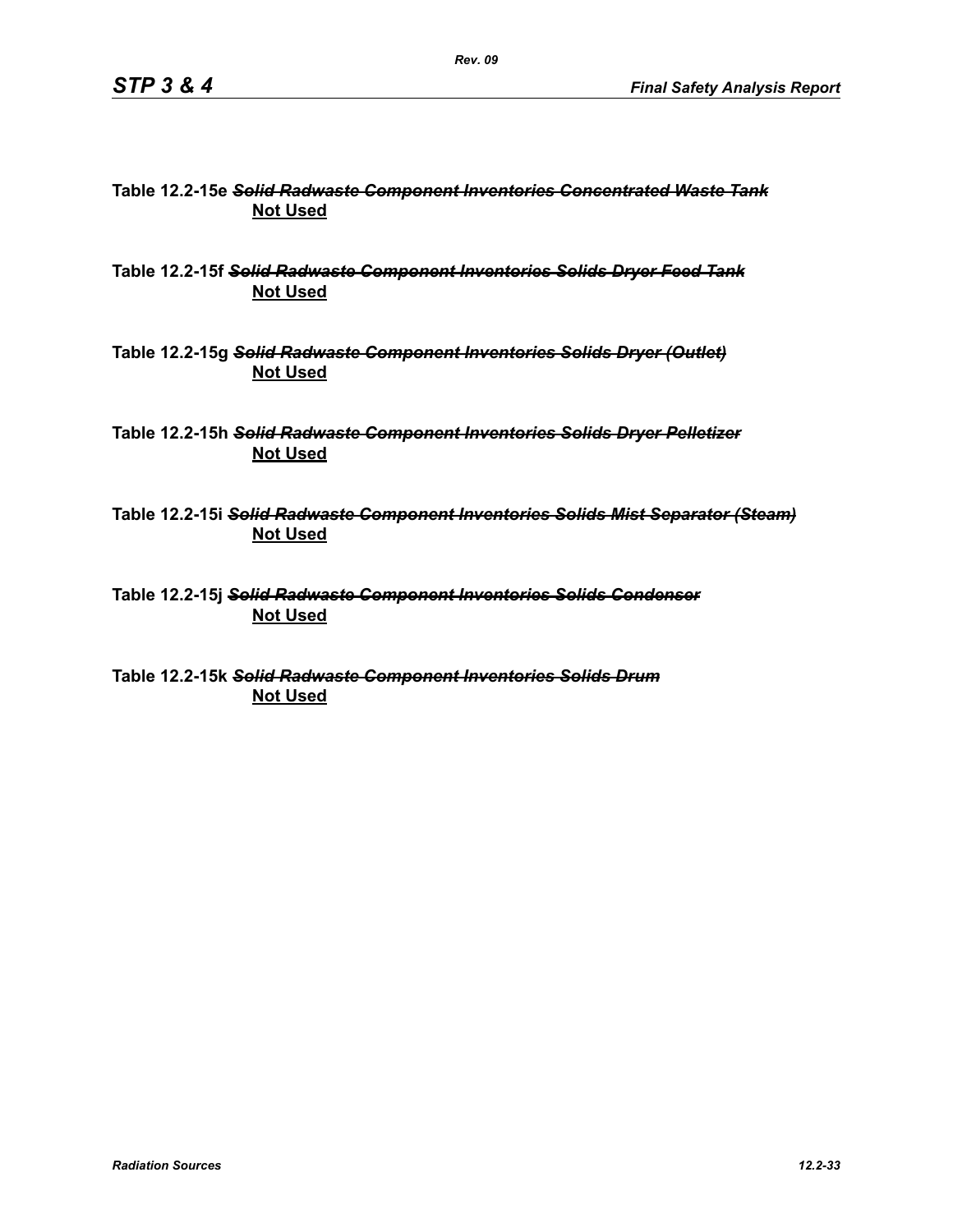### **Table 12.2-15e** *Solid Radwaste Component Inventories Concentrated Waste Tank* **Not Used**

**Table 12.2-15f** *Solid Radwaste Component Inventories Solids Dryer Feed Tank* **Not Used**

**Table 12.2-15g** *Solid Radwaste Component Inventories Solids Dryer (Outlet)* **Not Used**

**Table 12.2-15h** *Solid Radwaste Component Inventories Solids Dryer Pelletizer* **Not Used**

**Table 12.2-15i** *Solid Radwaste Component Inventories Solids Mist Separator (Steam)* **Not Used**

**Table 12.2-15j** *Solid Radwaste Component Inventories Solids Condenser* **Not Used**

**Table 12.2-15k** *Solid Radwaste Component Inventories Solids Drum* **Not Used**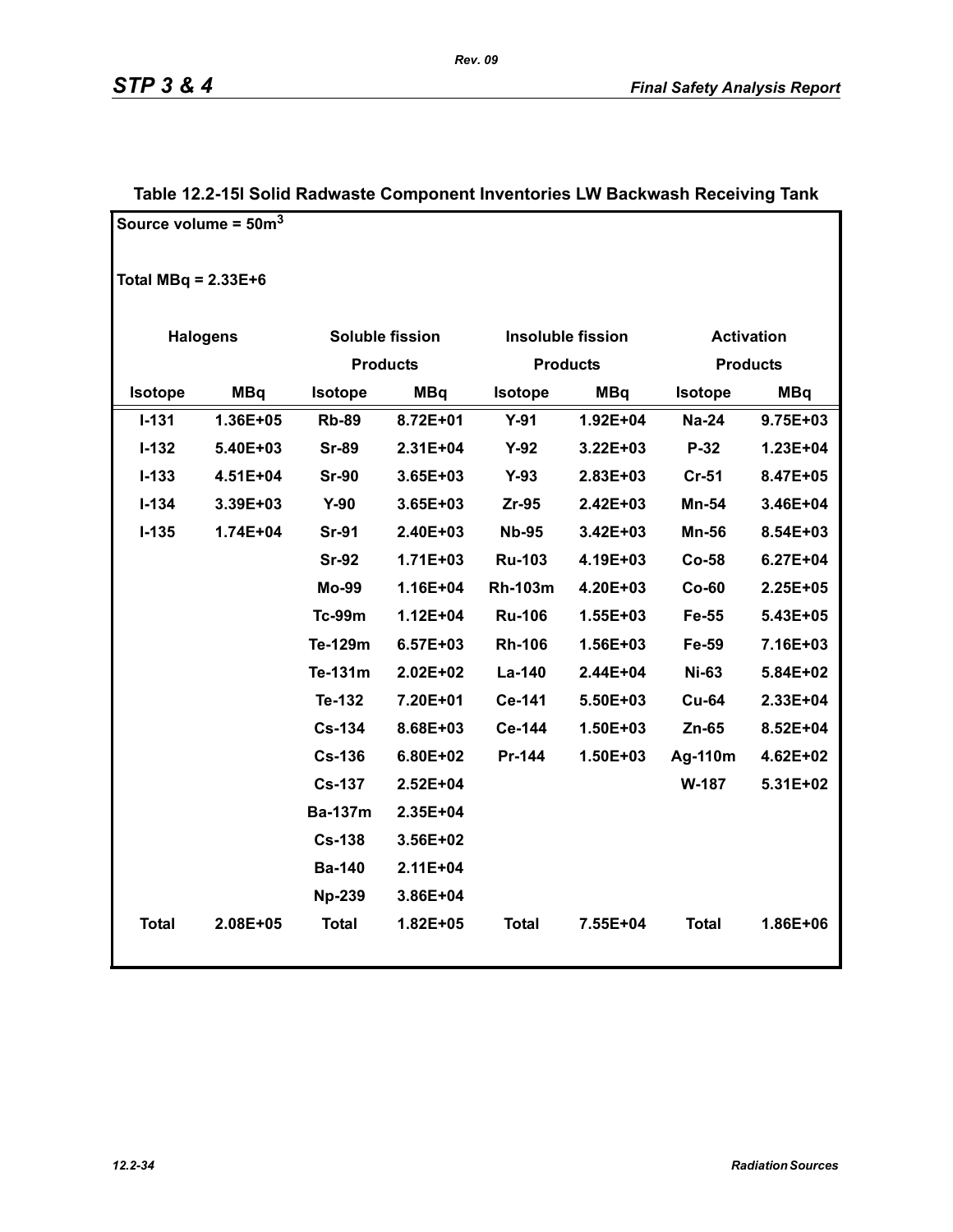|                       | Source volume = $50m3$ |                 |                 |                |                          |                |                   |
|-----------------------|------------------------|-----------------|-----------------|----------------|--------------------------|----------------|-------------------|
| Total MBq = $2.33E+6$ |                        |                 |                 |                |                          |                |                   |
|                       | <b>Halogens</b>        |                 | Soluble fission |                | <b>Insoluble fission</b> |                | <b>Activation</b> |
|                       |                        | <b>Products</b> |                 |                | <b>Products</b>          |                | <b>Products</b>   |
| Isotope               | <b>MBq</b>             | <b>Isotope</b>  | <b>MBq</b>      | <b>Isotope</b> | <b>MBq</b>               | <b>Isotope</b> | <b>MBq</b>        |
| $I - 131$             | 1.36E+05               | <b>Rb-89</b>    | 8.72E+01        | $Y-91$         | 1.92E+04                 | <b>Na-24</b>   | 9.75E+03          |
| $I-132$               | 5.40E+03               | <b>Sr-89</b>    | 2.31E+04        | $Y-92$         | $3.22E + 03$             | $P-32$         | 1.23E+04          |
| $I - 133$             | 4.51E+04               | <b>Sr-90</b>    | 3.65E+03        | $Y-93$         | 2.83E+03                 | $Cr-51$        | 8.47E+05          |
| $I - 134$             | 3.39E+03               | $Y-90$          | 3.65E+03        | $Zr-95$        | 2.42E+03                 | Mn-54          | 3.46E+04          |
| $I-135$               | 1.74E+04               | <b>Sr-91</b>    | 2.40E+03        | <b>Nb-95</b>   | 3.42E+03                 | Mn-56          | 8.54E+03          |
|                       |                        | <b>Sr-92</b>    | $1.71E + 03$    | <b>Ru-103</b>  | 4.19E+03                 | $Co-58$        | $6.27E + 04$      |
|                       |                        | <b>Mo-99</b>    | $1.16E + 04$    | <b>Rh-103m</b> | 4.20E+03                 | $Co-60$        | 2.25E+05          |
|                       |                        | <b>Tc-99m</b>   | $1.12E + 04$    | <b>Ru-106</b>  | 1.55E+03                 | Fe-55          | 5.43E+05          |
|                       |                        | Te-129m         | 6.57E+03        | <b>Rh-106</b>  | 1.56E+03                 | Fe-59          | 7.16E+03          |
|                       |                        | Te-131m         | $2.02E + 02$    | La-140         | 2.44E+04                 | <b>Ni-63</b>   | 5.84E+02          |
|                       |                        | Te-132          | 7.20E+01        | Ce-141         | 5.50E+03                 | <b>Cu-64</b>   | 2.33E+04          |
|                       |                        | <b>Cs-134</b>   | 8.68E+03        | Ce-144         | 1.50E+03                 | $Zn-65$        | 8.52E+04          |
|                       |                        | <b>Cs-136</b>   | 6.80E+02        | Pr-144         | 1.50E+03                 | Ag-110m        | 4.62E+02          |
|                       |                        | <b>Cs-137</b>   | $2.52E + 04$    |                |                          | W-187          | 5.31E+02          |
|                       |                        | <b>Ba-137m</b>  | 2.35E+04        |                |                          |                |                   |
|                       |                        | <b>Cs-138</b>   | 3.56E+02        |                |                          |                |                   |
|                       |                        | <b>Ba-140</b>   | 2.11E+04        |                |                          |                |                   |
|                       |                        | <b>Np-239</b>   | 3.86E+04        |                |                          |                |                   |
| <b>Total</b>          | 2.08E+05               | <b>Total</b>    | 1.82E+05        | <b>Total</b>   | 7.55E+04                 | <b>Total</b>   | 1.86E+06          |

### **Table 12.2-15l Solid Radwaste Component Inventories LW Backwash Receiving Tank**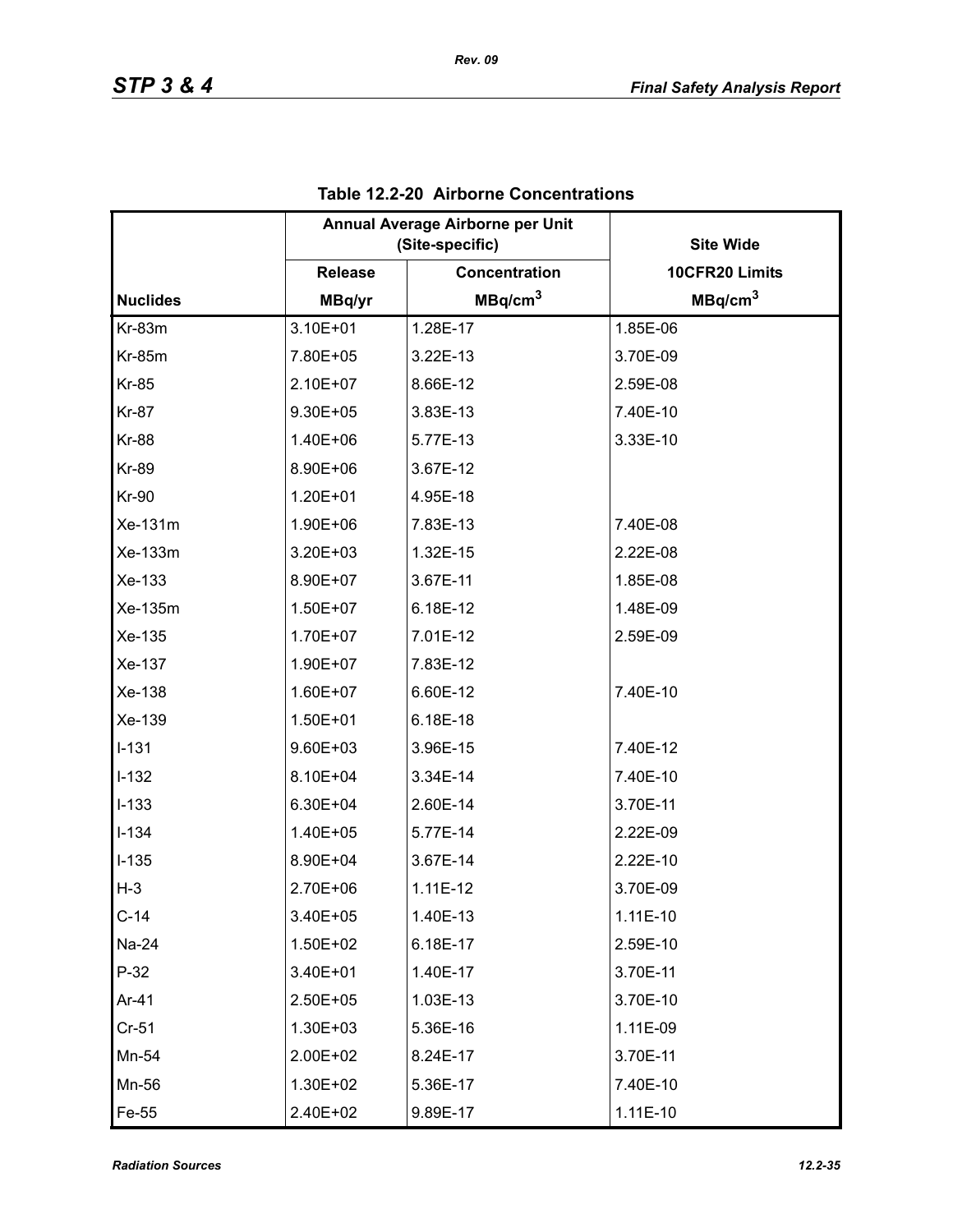|                 | Annual Average Airborne per Unit<br>(Site-specific) |                      | <b>Site Wide</b>    |
|-----------------|-----------------------------------------------------|----------------------|---------------------|
|                 | <b>Release</b>                                      | <b>Concentration</b> | 10CFR20 Limits      |
| <b>Nuclides</b> | MBq/yr                                              | MBq/cm <sup>3</sup>  | MBq/cm <sup>3</sup> |
| Kr-83m          | 3.10E+01                                            | 1.28E-17             | 1.85E-06            |
| <b>Kr-85m</b>   | 7.80E+05                                            | 3.22E-13             | 3.70E-09            |
| <b>Kr-85</b>    | 2.10E+07                                            | 8.66E-12             | 2.59E-08            |
| <b>Kr-87</b>    | 9.30E+05                                            | 3.83E-13             | 7.40E-10            |
| <b>Kr-88</b>    | 1.40E+06                                            | 5.77E-13             | 3.33E-10            |
| <b>Kr-89</b>    | 8.90E+06                                            | 3.67E-12             |                     |
| <b>Kr-90</b>    | 1.20E+01                                            | 4.95E-18             |                     |
| Xe-131m         | 1.90E+06                                            | 7.83E-13             | 7.40E-08            |
| Xe-133m         | 3.20E+03                                            | 1.32E-15             | 2.22E-08            |
| Xe-133          | 8.90E+07                                            | 3.67E-11             | 1.85E-08            |
| Xe-135m         | 1.50E+07                                            | 6.18E-12             | 1.48E-09            |
| Xe-135          | 1.70E+07                                            | 7.01E-12             | 2.59E-09            |
| Xe-137          | 1.90E+07                                            | 7.83E-12             |                     |
| Xe-138          | 1.60E+07                                            | 6.60E-12             | 7.40E-10            |
| Xe-139          | $1.50E + 01$                                        | 6.18E-18             |                     |
| $I-131$         | 9.60E+03                                            | 3.96E-15             | 7.40E-12            |
| $I-132$         | 8.10E+04                                            | 3.34E-14             | 7.40E-10            |
| $I-133$         | 6.30E+04                                            | 2.60E-14             | 3.70E-11            |
| $I - 134$       | 1.40E+05                                            | 5.77E-14             | 2.22E-09            |
| $I-135$         | 8.90E+04                                            | 3.67E-14             | 2.22E-10            |
| $H-3$           | 2.70E+06                                            | $1.11E-12$           | 3.70E-09            |
| $C-14$          | 3.40E+05                                            | 1.40E-13             | $1.11E-10$          |
| Na-24           | 1.50E+02                                            | 6.18E-17             | 2.59E-10            |
| $P-32$          | 3.40E+01                                            | 1.40E-17             | 3.70E-11            |
| Ar-41           | 2.50E+05                                            | 1.03E-13             | 3.70E-10            |
| $Cr-51$         | 1.30E+03                                            | 5.36E-16             | 1.11E-09            |
| Mn-54           | 2.00E+02                                            | 8.24E-17             | 3.70E-11            |
| Mn-56           | 1.30E+02                                            | 5.36E-17             | 7.40E-10            |
| Fe-55           | 2.40E+02                                            | 9.89E-17             | $1.11E-10$          |

### **Table 12.2-20 Airborne Concentrations**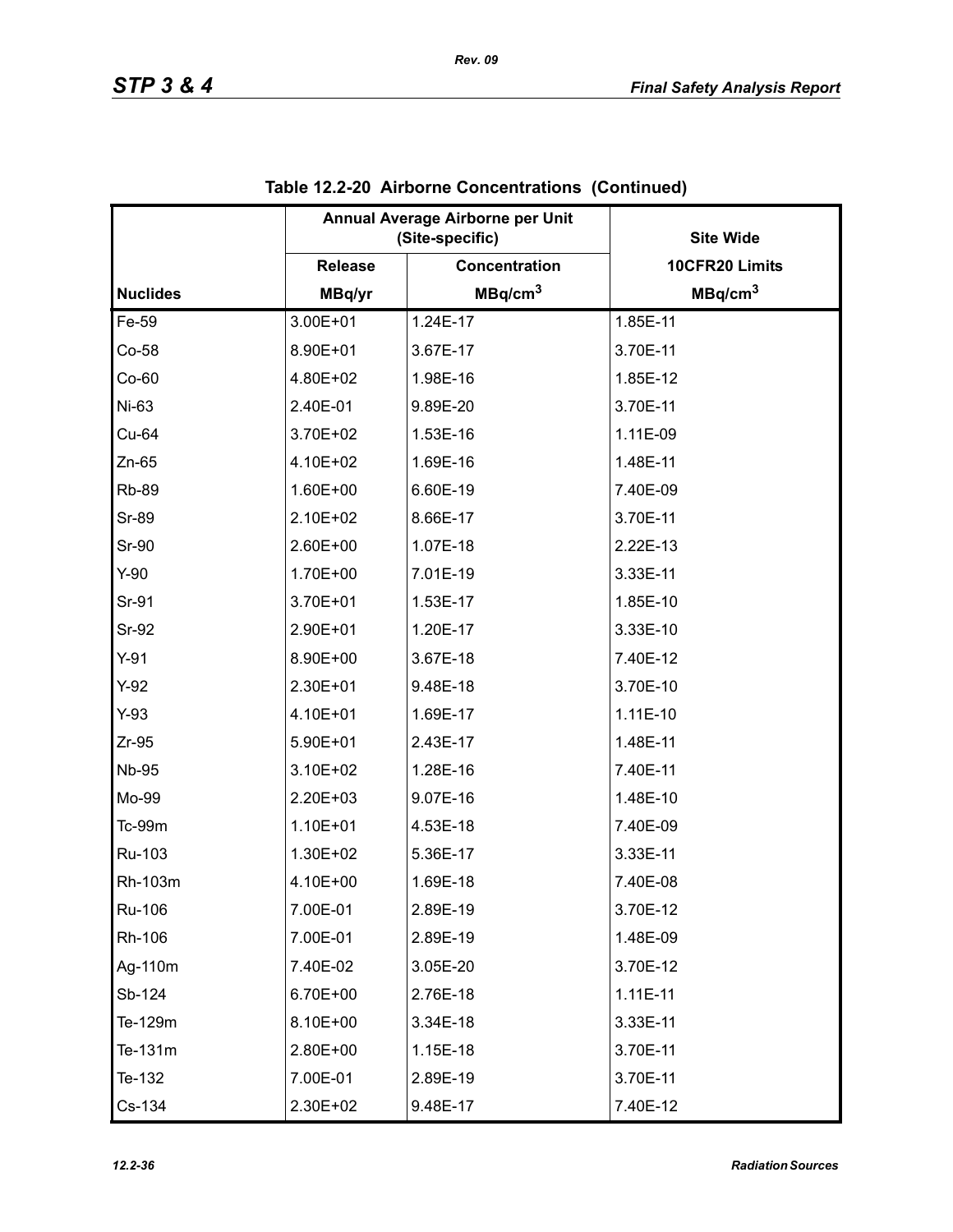|                 | Annual Average Airborne per Unit<br>(Site-specific) |                      | <b>Site Wide</b>    |
|-----------------|-----------------------------------------------------|----------------------|---------------------|
|                 | <b>Release</b>                                      | <b>Concentration</b> | 10CFR20 Limits      |
| <b>Nuclides</b> | MBq/yr                                              | MBq/cm <sup>3</sup>  | MBq/cm <sup>3</sup> |
| Fe-59           | 3.00E+01                                            | 1.24E-17             | 1.85E-11            |
| $Co-58$         | 8.90E+01                                            | 3.67E-17             | 3.70E-11            |
| $Co-60$         | 4.80E+02                                            | 1.98E-16             | 1.85E-12            |
| Ni-63           | 2.40E-01                                            | 9.89E-20             | 3.70E-11            |
| Cu-64           | 3.70E+02                                            | 1.53E-16             | 1.11E-09            |
| $Zn-65$         | 4.10E+02                                            | 1.69E-16             | 1.48E-11            |
| <b>Rb-89</b>    | 1.60E+00                                            | 6.60E-19             | 7.40E-09            |
| <b>Sr-89</b>    | 2.10E+02                                            | 8.66E-17             | 3.70E-11            |
| Sr-90           | 2.60E+00                                            | 1.07E-18             | 2.22E-13            |
| $Y-90$          | 1.70E+00                                            | 7.01E-19             | 3.33E-11            |
| Sr-91           | 3.70E+01                                            | 1.53E-17             | 1.85E-10            |
| Sr-92           | 2.90E+01                                            | 1.20E-17             | 3.33E-10            |
| $Y-91$          | 8.90E+00                                            | 3.67E-18             | 7.40E-12            |
| $Y-92$          | 2.30E+01                                            | 9.48E-18             | 3.70E-10            |
| $Y-93$          | 4.10E+01                                            | 1.69E-17             | $1.11E-10$          |
| $Zr-95$         | 5.90E+01                                            | 2.43E-17             | 1.48E-11            |
| <b>Nb-95</b>    | 3.10E+02                                            | 1.28E-16             | 7.40E-11            |
| Mo-99           | 2.20E+03                                            | 9.07E-16             | 1.48E-10            |
| Tc-99m          | 1.10E+01                                            | 4.53E-18             | 7.40E-09            |
| Ru-103          | 1.30E+02                                            | 5.36E-17             | 3.33E-11            |
| Rh-103m         | 4.10E+00                                            | 1.69E-18             | 7.40E-08            |
| Ru-106          | 7.00E-01                                            | 2.89E-19             | 3.70E-12            |
| Rh-106          | 7.00E-01                                            | 2.89E-19             | 1.48E-09            |
| Ag-110m         | 7.40E-02                                            | 3.05E-20             | 3.70E-12            |
| Sb-124          | 6.70E+00                                            | 2.76E-18             | $1.11E-11$          |
| Te-129m         | 8.10E+00                                            | 3.34E-18             | 3.33E-11            |
| Te-131m         | 2.80E+00                                            | 1.15E-18             | 3.70E-11            |
| Te-132          | 7.00E-01                                            | 2.89E-19             | 3.70E-11            |
| Cs-134          | 2.30E+02                                            | 9.48E-17             | 7.40E-12            |

|  | Table 12.2-20 Airborne Concentrations (Continued) |  |  |
|--|---------------------------------------------------|--|--|
|--|---------------------------------------------------|--|--|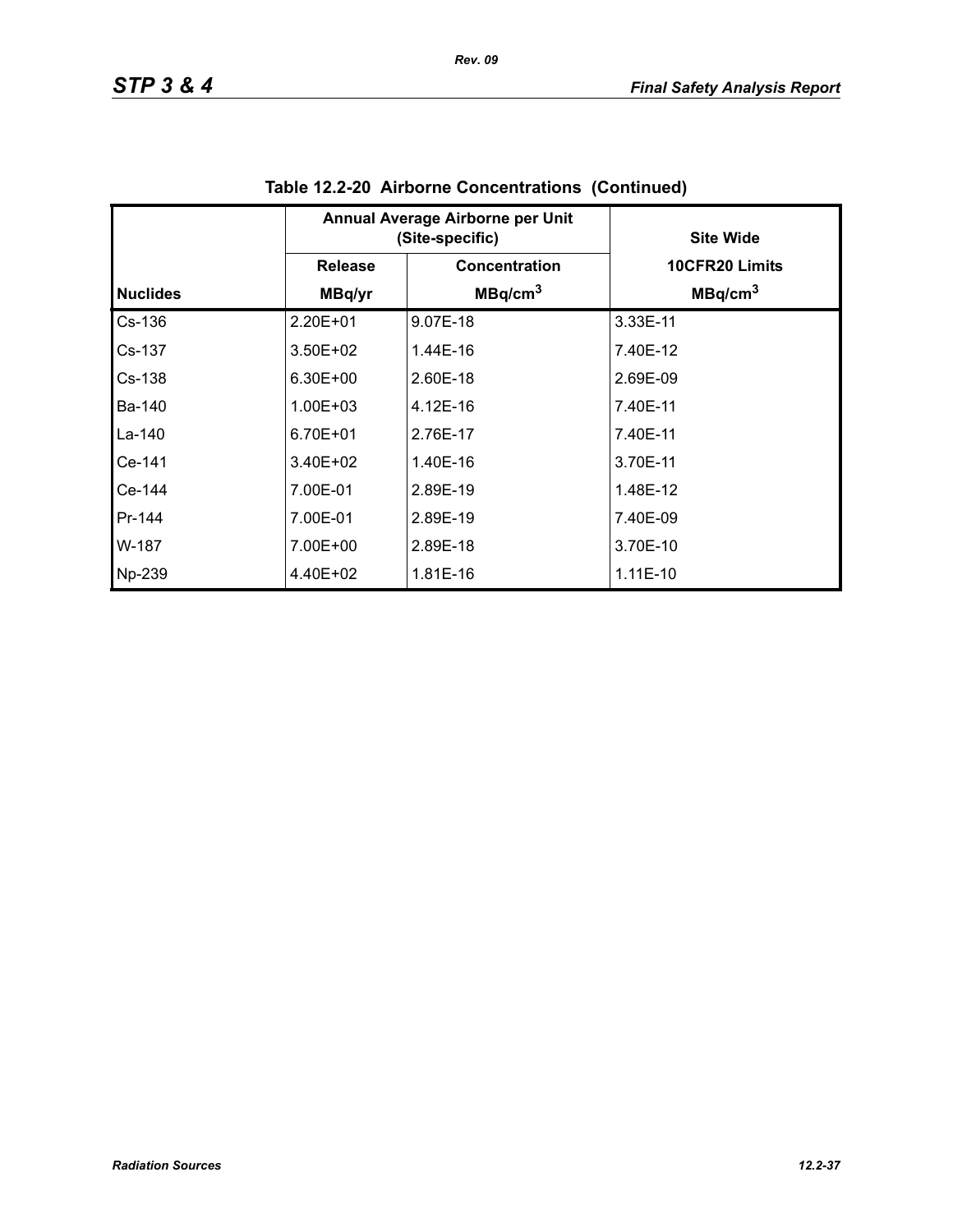|                 | Annual Average Airborne per Unit<br>(Site-specific) |                     | <b>Site Wide</b>    |
|-----------------|-----------------------------------------------------|---------------------|---------------------|
|                 | <b>Release</b>                                      | Concentration       | 10CFR20 Limits      |
| <b>Nuclides</b> | MBq/yr                                              | MBq/cm <sup>3</sup> | MBq/cm <sup>3</sup> |
| $Cs-136$        | 2.20E+01                                            | 9.07E-18            | 3.33E-11            |
| Cs-137          | $3.50E + 02$                                        | 1.44E-16            | 7.40E-12            |
| $Cs-138$        | $6.30E + 00$                                        | 2.60E-18            | 2.69E-09            |
| Ba-140          | $1.00E + 03$                                        | 4.12E-16            | 7.40E-11            |
| La-140          | 6.70E+01                                            | 2.76E-17            | 7.40E-11            |
| Ce-141          | $3.40E + 02$                                        | 1.40E-16            | 3.70E-11            |
| Ce-144          | 7.00E-01                                            | 2.89E-19            | 1.48E-12            |
| Pr-144          | 7.00E-01                                            | 2.89E-19            | 7.40E-09            |
| W-187           | 7.00E+00                                            | 2.89E-18            | 3.70E-10            |
| Np-239          | 4.40E+02                                            | 1.81E-16            | $1.11E-10$          |

| Table 12.2-20 Airborne Concentrations (Continued) |  |
|---------------------------------------------------|--|
|                                                   |  |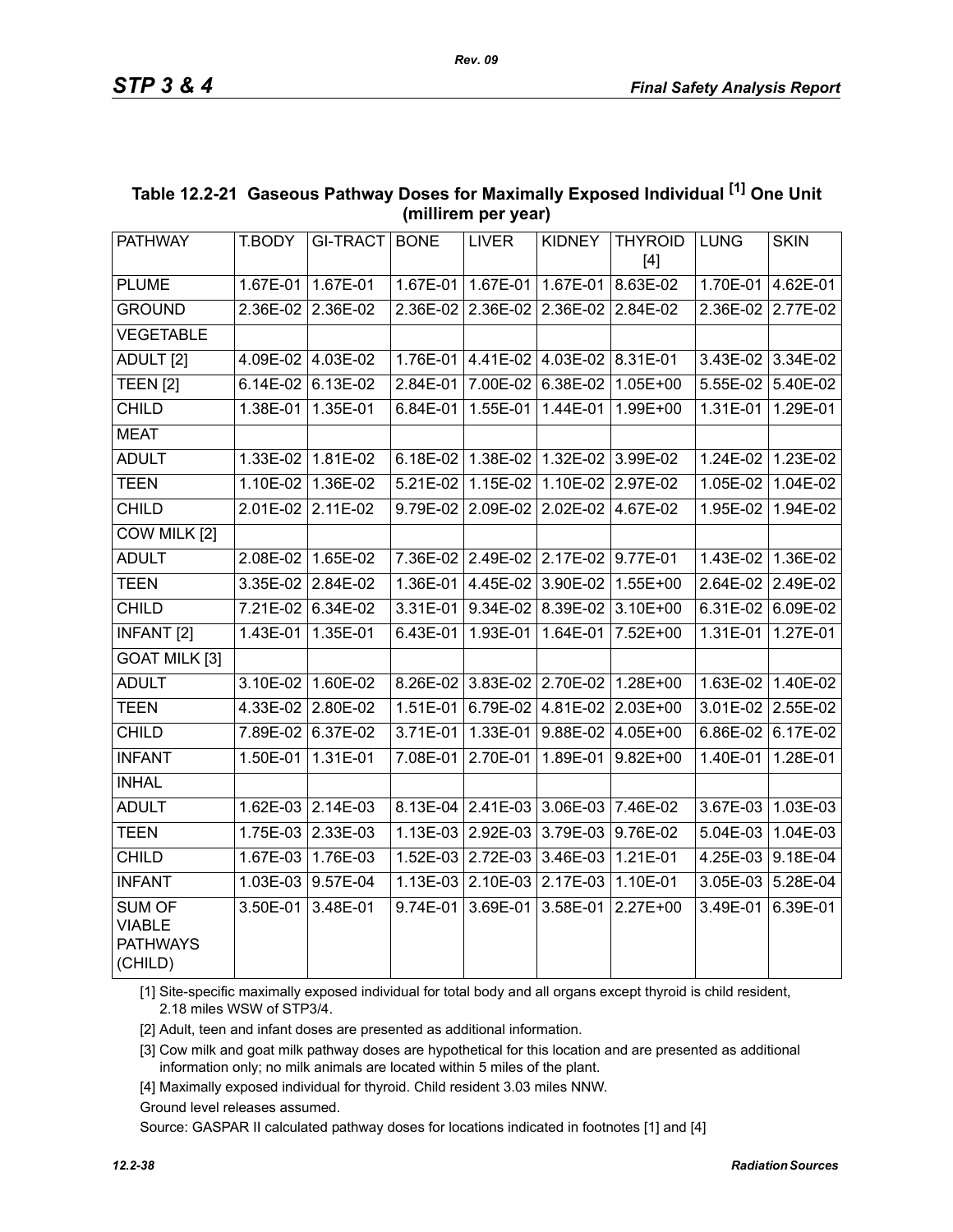| <b>PATHWAY</b>                                               |            |                   |            |                                     |                   | <b>THYROID</b>                            |             |                   |
|--------------------------------------------------------------|------------|-------------------|------------|-------------------------------------|-------------------|-------------------------------------------|-------------|-------------------|
|                                                              | T.BODY     | GI-TRACT   BONE   |            | <b>LIVER</b>                        | <b>KIDNEY</b>     | $[4]$                                     | <b>LUNG</b> | <b>SKIN</b>       |
| <b>PLUME</b>                                                 |            | 1.67E-01 1.67E-01 |            | 1.67E-01 1.67E-01                   | $1.67E-01$        | 8.63E-02                                  | 1.70E-01    | 4.62E-01          |
| <b>GROUND</b>                                                |            | 2.36E-02 2.36E-02 |            | 2.36E-02 2.36E-02                   | 2.36E-02 2.84E-02 |                                           |             | 2.36E-02 2.77E-02 |
| <b>VEGETABLE</b>                                             |            |                   |            |                                     |                   |                                           |             |                   |
| ADULT <sub>[2]</sub>                                         |            | 4.09E-02 4.03E-02 |            | 1.76E-01 4.41E-02 4.03E-02 8.31E-01 |                   |                                           |             | 3.43E-02 3.34E-02 |
| <b>TEEN [2]</b>                                              | 6.14E-02   | 6.13E-02          | 2.84E-01   | 7.00E-02                            | 6.38E-02          | 1.05E+00                                  | 5.55E-02    | 5.40E-02          |
| <b>CHILD</b>                                                 | 1.38E-01   | 1.35E-01          | 6.84E-01   | 1.55E-01                            | 1.44E-01          | 1.99E+00                                  | 1.31E-01    | 1.29E-01          |
| <b>MEAT</b>                                                  |            |                   |            |                                     |                   |                                           |             |                   |
| <b>ADULT</b>                                                 | 1.33E-02   | $1.81E-02$        | $6.18E-02$ | 1.38E-02                            | 1.32E-02 3.99E-02 |                                           | $1.24E-02$  | 1.23E-02          |
| <b>TEEN</b>                                                  | 1.10E-02   | 1.36E-02          | 5.21E-02   | $1.15E-02$                          | 1.10E-02 2.97E-02 |                                           | 1.05E-02    | 1.04E-02          |
| <b>CHILD</b>                                                 |            | 2.01E-02 2.11E-02 | 9.79E-02   | 2.09E-02                            | 2.02E-02          | 4.67E-02                                  | 1.95E-02    | 1.94E-02          |
| COW MILK [2]                                                 |            |                   |            |                                     |                   |                                           |             |                   |
| <b>ADULT</b>                                                 |            | 2.08E-02 1.65E-02 |            | 7.36E-02 2.49E-02 2.17E-02 9.77E-01 |                   |                                           |             | 1.43E-02 1.36E-02 |
| <b>TEEN</b>                                                  |            | 3.35E-02 2.84E-02 |            | 1.36E-01 4.45E-02                   | 3.90E-02          | 1.55E+00                                  |             | 2.64E-02 2.49E-02 |
| <b>CHILD</b>                                                 |            | 7.21E-02 6.34E-02 | $3.31E-01$ |                                     | 9.34E-02 8.39E-02 | 3.10E+00                                  |             | 6.31E-02 6.09E-02 |
| <b>INFANT [2]</b>                                            |            | 1.43E-01 1.35E-01 |            |                                     |                   | 6.43E-01   1.93E-01   1.64E-01   7.52E+00 |             | 1.31E-01 1.27E-01 |
| <b>GOAT MILK [3]</b>                                         |            |                   |            |                                     |                   |                                           |             |                   |
| <b>ADULT</b>                                                 |            | 3.10E-02 1.60E-02 |            | 8.26E-02 3.83E-02 2.70E-02          |                   | $1.28E+00$                                |             | 1.63E-02 1.40E-02 |
| <b>TEEN</b>                                                  | 4.33E-02   | 2.80E-02          | $1.51E-01$ | 6.79E-02                            | 4.81E-02          | 2.03E+00                                  | 3.01E-02    | 2.55E-02          |
| <b>CHILD</b>                                                 |            | 7.89E-02 6.37E-02 | $3.71E-01$ |                                     |                   | 1.33E-01 9.88E-02 4.05E+00                | 6.86E-02    | 6.17E-02          |
| <b>INFANT</b>                                                | 1.50E-01   | 1.31E-01          | 7.08E-01   | 2.70E-01                            | 1.89E-01          | $9.82E + 00$                              | 1.40E-01    | 1.28E-01          |
| <b>INHAL</b>                                                 |            |                   |            |                                     |                   |                                           |             |                   |
| <b>ADULT</b>                                                 |            | 1.62E-03 2.14E-03 |            | 8.13E-04 2.41E-03                   | 3.06E-03 7.46E-02 |                                           | 3.67E-03    | 1.03E-03          |
| <b>TEEN</b>                                                  | $1.75E-03$ | 2.33E-03          | 1.13E-03   | 2.92E-03                            | 3.79E-03          | 9.76E-02                                  | 5.04E-03    | 1.04E-03          |
| <b>CHILD</b>                                                 |            | 1.67E-03 1.76E-03 |            | 1.52E-03 2.72E-03                   | $3.46E-03$        | 1.21E-01                                  | 4.25E-03    | 9.18E-04          |
| <b>INFANT</b>                                                |            | 1.03E-03 9.57E-04 |            | 1.13E-03 2.10E-03                   | 2.17E-03          | 1.10E-01                                  | 3.05E-03    | 5.28E-04          |
| <b>SUM OF</b><br><b>VIABLE</b><br><b>PATHWAYS</b><br>(CHILD) | $3.50E-01$ | 3.48E-01          | $9.74E-01$ | 3.69E-01                            | 3.58E-01          | $2.27E+00$                                | 3.49E-01    | 6.39E-01          |
|                                                              |            |                   |            |                                     |                   |                                           |             |                   |

### **Table 12.2-21 Gaseous Pathway Doses for Maximally Exposed Individual [1] One Unit (millirem per year)**

[1] Site-specific maximally exposed individual for total body and all organs except thyroid is child resident, 2.18 miles WSW of STP3/4.

[2] Adult, teen and infant doses are presented as additional information.

[3] Cow milk and goat milk pathway doses are hypothetical for this location and are presented as additional information only; no milk animals are located within 5 miles of the plant.

[4] Maximally exposed individual for thyroid. Child resident 3.03 miles NNW.

Ground level releases assumed.

Source: GASPAR II calculated pathway doses for locations indicated in footnotes [1] and [4]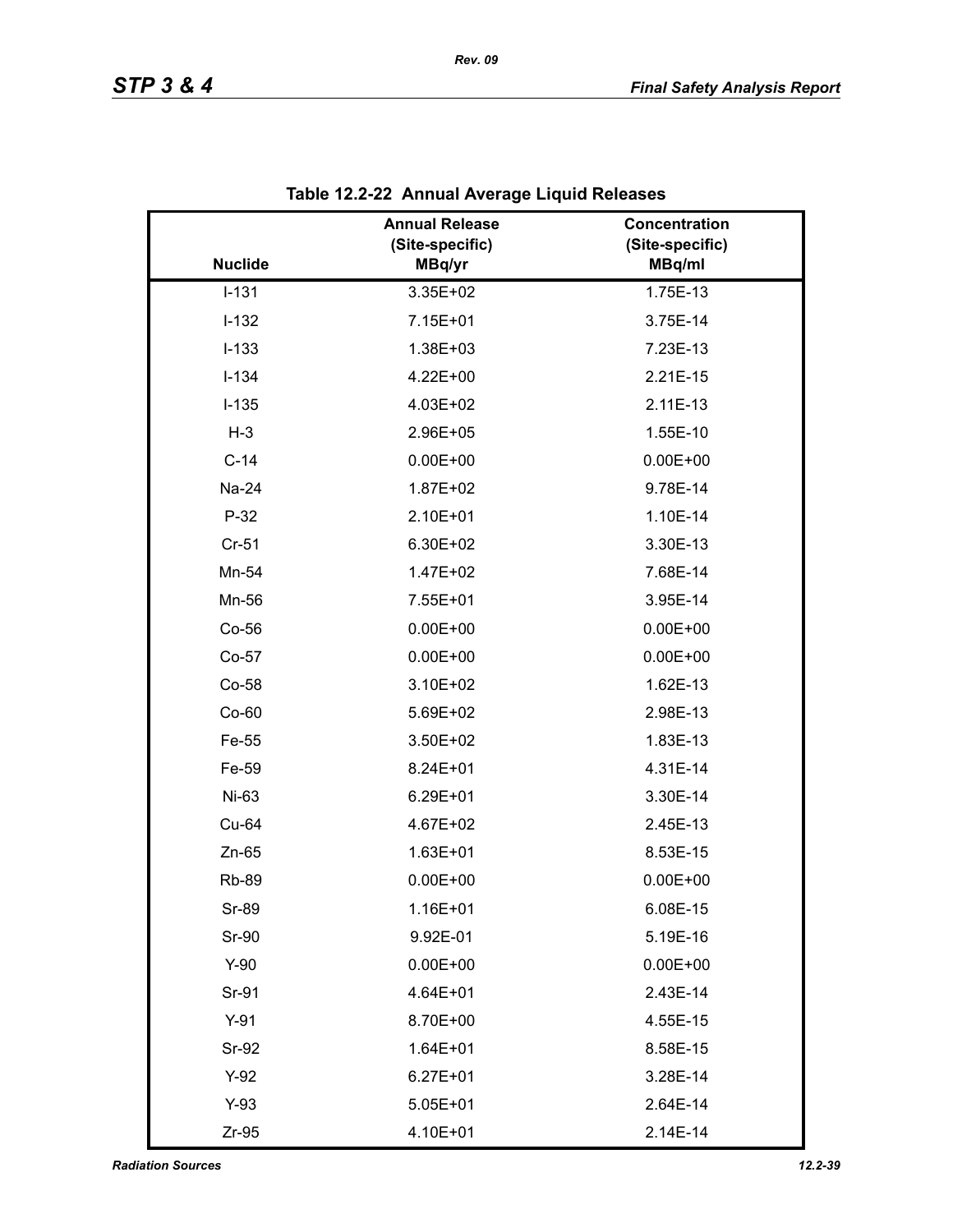|                | <b>Annual Release</b><br>(Site-specific) | Concentration<br>(Site-specific) |
|----------------|------------------------------------------|----------------------------------|
| <b>Nuclide</b> | MBq/yr                                   | MBq/ml                           |
| $I-131$        | 3.35E+02                                 | 1.75E-13                         |
| $I-132$        | 7.15E+01                                 | 3.75E-14                         |
| $I-133$        | 1.38E+03                                 | 7.23E-13                         |
| $I-134$        | 4.22E+00                                 | 2.21E-15                         |
| $I-135$        | 4.03E+02                                 | 2.11E-13                         |
| $H-3$          | 2.96E+05                                 | 1.55E-10                         |
| $C-14$         | $0.00E + 00$                             | $0.00E + 00$                     |
| Na-24          | 1.87E+02                                 | 9.78E-14                         |
| $P-32$         | 2.10E+01                                 | 1.10E-14                         |
| Cr-51          | 6.30E+02                                 | 3.30E-13                         |
| Mn-54          | 1.47E+02                                 | 7.68E-14                         |
| Mn-56          | 7.55E+01                                 | 3.95E-14                         |
| $Co-56$        | $0.00E + 00$                             | $0.00E + 00$                     |
| Co-57          | $0.00E + 00$                             | $0.00E + 00$                     |
| Co-58          | 3.10E+02                                 | 1.62E-13                         |
| $Co-60$        | 5.69E+02                                 | 2.98E-13                         |
| Fe-55          | 3.50E+02                                 | 1.83E-13                         |
| Fe-59          | 8.24E+01                                 | 4.31E-14                         |
| Ni-63          | $6.29E + 01$                             | 3.30E-14                         |
| Cu-64          | 4.67E+02                                 | 2.45E-13                         |
| $Zn-65$        | 1.63E+01                                 | 8.53E-15                         |
| <b>Rb-89</b>   | $0.00E + 00$                             | $0.00E + 00$                     |
| Sr-89          | 1.16E+01                                 | 6.08E-15                         |
| Sr-90          | 9.92E-01                                 | 5.19E-16                         |
| $Y-90$         | $0.00E + 00$                             | $0.00E + 00$                     |
| Sr-91          | 4.64E+01                                 | 2.43E-14                         |
| $Y-91$         | 8.70E+00                                 | 4.55E-15                         |
| Sr-92          | $1.64E + 01$                             | 8.58E-15                         |
| $Y-92$         | $6.27E + 01$                             | 3.28E-14                         |
| $Y-93$         | $5.05E + 01$                             | 2.64E-14                         |
| $Zr-95$        | 4.10E+01                                 | 2.14E-14                         |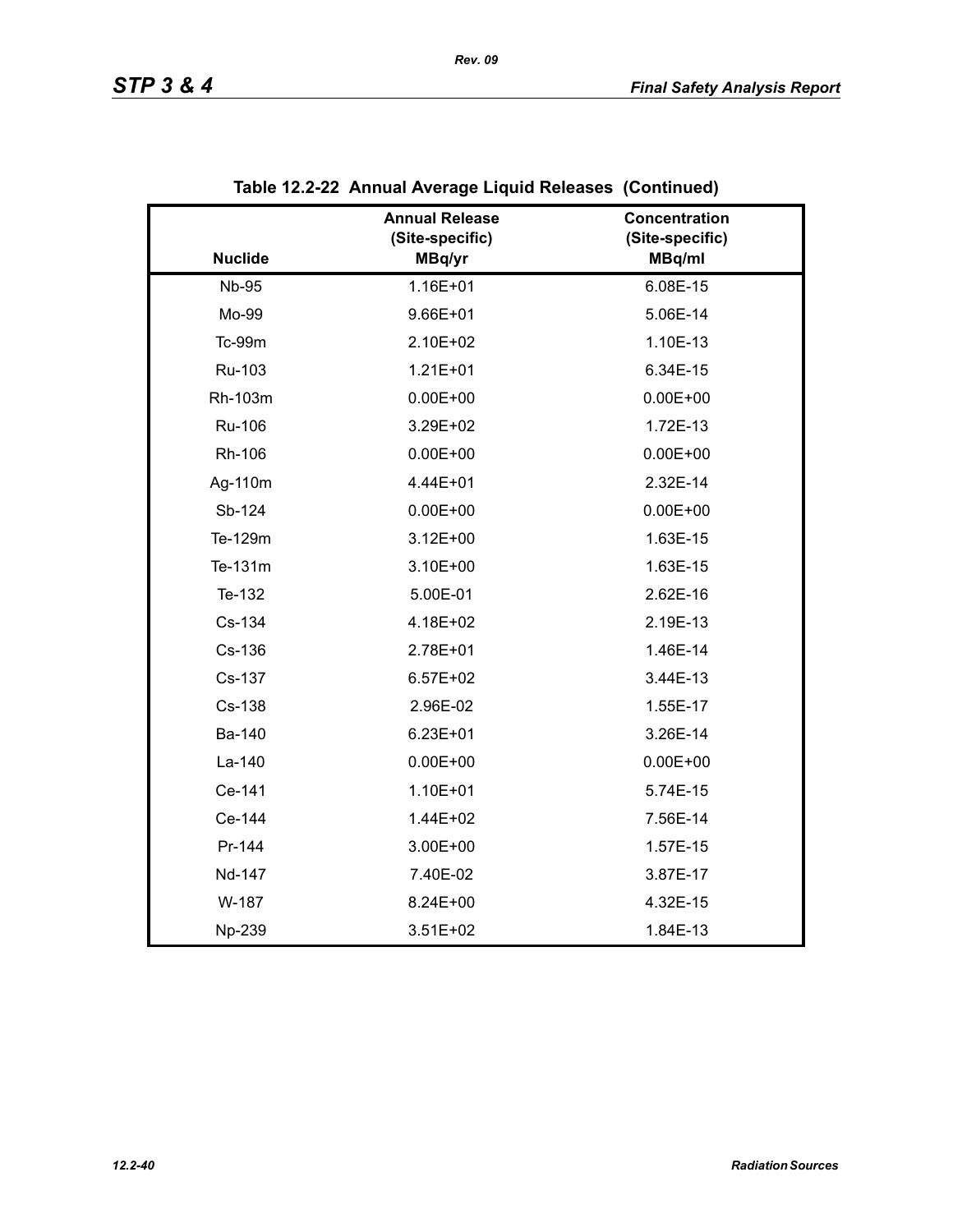|                | <b>Annual Release</b><br>(Site-specific) | Concentration<br>(Site-specific) |
|----------------|------------------------------------------|----------------------------------|
| <b>Nuclide</b> | MBq/yr                                   | MBq/ml                           |
| <b>Nb-95</b>   | 1.16E+01                                 | 6.08E-15                         |
| Mo-99          | $9.66E + 01$                             | 5.06E-14                         |
| <b>Tc-99m</b>  | 2.10E+02                                 | 1.10E-13                         |
| Ru-103         | $1.21E + 01$                             | 6.34E-15                         |
| Rh-103m        | $0.00E + 00$                             | $0.00E + 00$                     |
| Ru-106         | 3.29E+02                                 | 1.72E-13                         |
| Rh-106         | $0.00E + 00$                             | $0.00E + 00$                     |
| Ag-110m        | 4.44E+01                                 | 2.32E-14                         |
| Sb-124         | $0.00E + 00$                             | $0.00E + 00$                     |
| Te-129m        | $3.12E + 00$                             | 1.63E-15                         |
| Te-131m        | 3.10E+00                                 | 1.63E-15                         |
| Te-132         | 5.00E-01                                 | 2.62E-16                         |
| Cs-134         | 4.18E+02                                 | 2.19E-13                         |
| Cs-136         | 2.78E+01                                 | 1.46E-14                         |
| Cs-137         | $6.57E + 02$                             | 3.44E-13                         |
| Cs-138         | 2.96E-02                                 | 1.55E-17                         |
| Ba-140         | $6.23E + 01$                             | 3.26E-14                         |
| La-140         | $0.00E + 00$                             | $0.00E + 00$                     |
| Ce-141         | 1.10E+01                                 | 5.74E-15                         |
| Ce-144         | 1.44E+02                                 | 7.56E-14                         |
| Pr-144         | 3.00E+00                                 | 1.57E-15                         |
| Nd-147         | 7.40E-02                                 | 3.87E-17                         |
| W-187          | 8.24E+00                                 | 4.32E-15                         |
| Np-239         | $3.51E + 02$                             | 1.84E-13                         |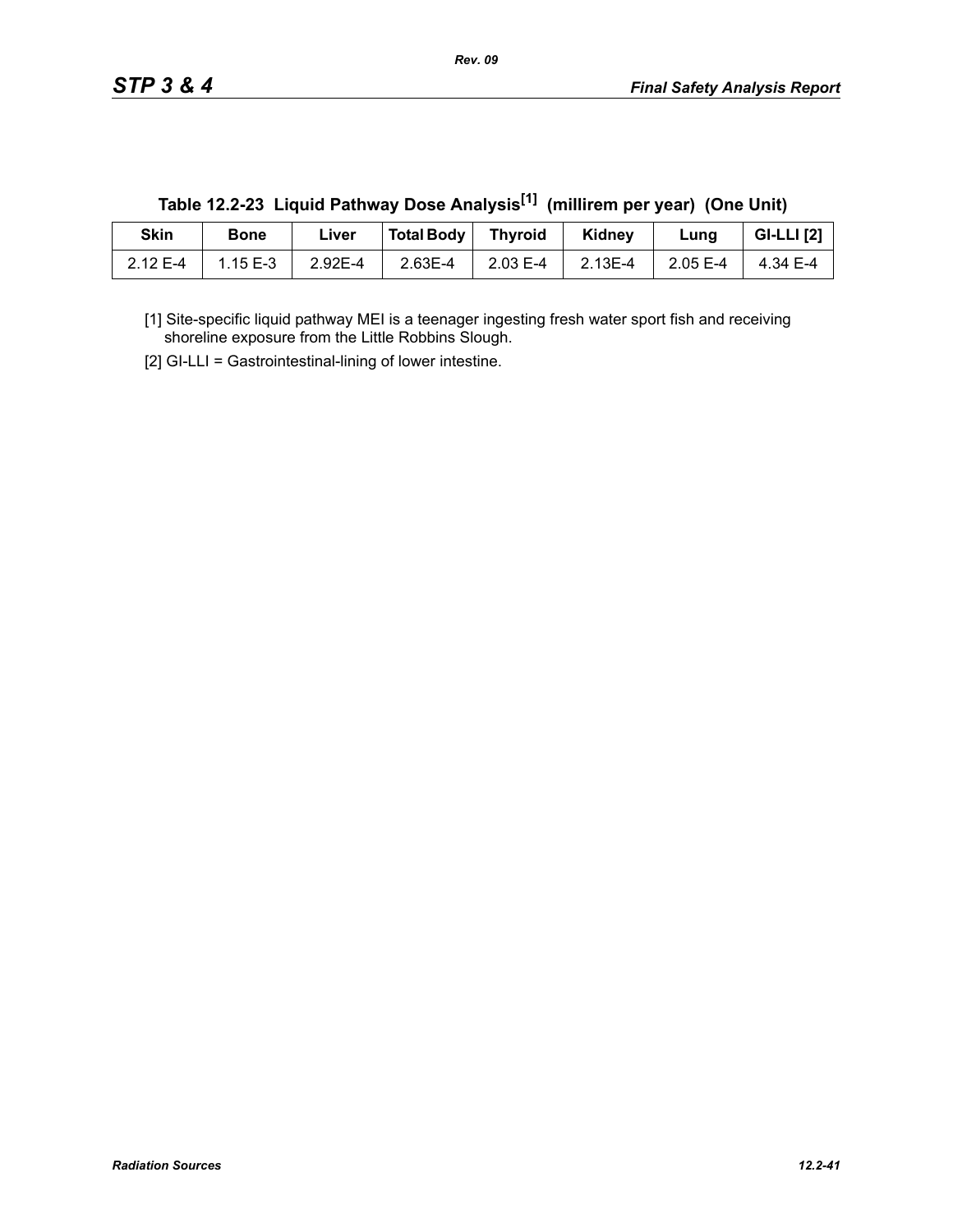| <b>Skin</b> | <b>Bone</b> | ∟iver   | Total Body   Thyroid |          | Kidney  | Lung     | <b>GI-LLI</b> [2]  |
|-------------|-------------|---------|----------------------|----------|---------|----------|--------------------|
| 2.12 E-4    | 1.15 E-3    | 2.92E-4 | 2.63E-4              | 2.03 E-4 | 2.13E-4 | 2.05 E-4 | $4.34 \text{ E-4}$ |

**Table 12.2-23 Liquid Pathway Dose Analysis[1] (millirem per year) (One Unit)**

[1] Site-specific liquid pathway MEI is a teenager ingesting fresh water sport fish and receiving shoreline exposure from the Little Robbins Slough.

[2] GI-LLI = Gastrointestinal-lining of lower intestine.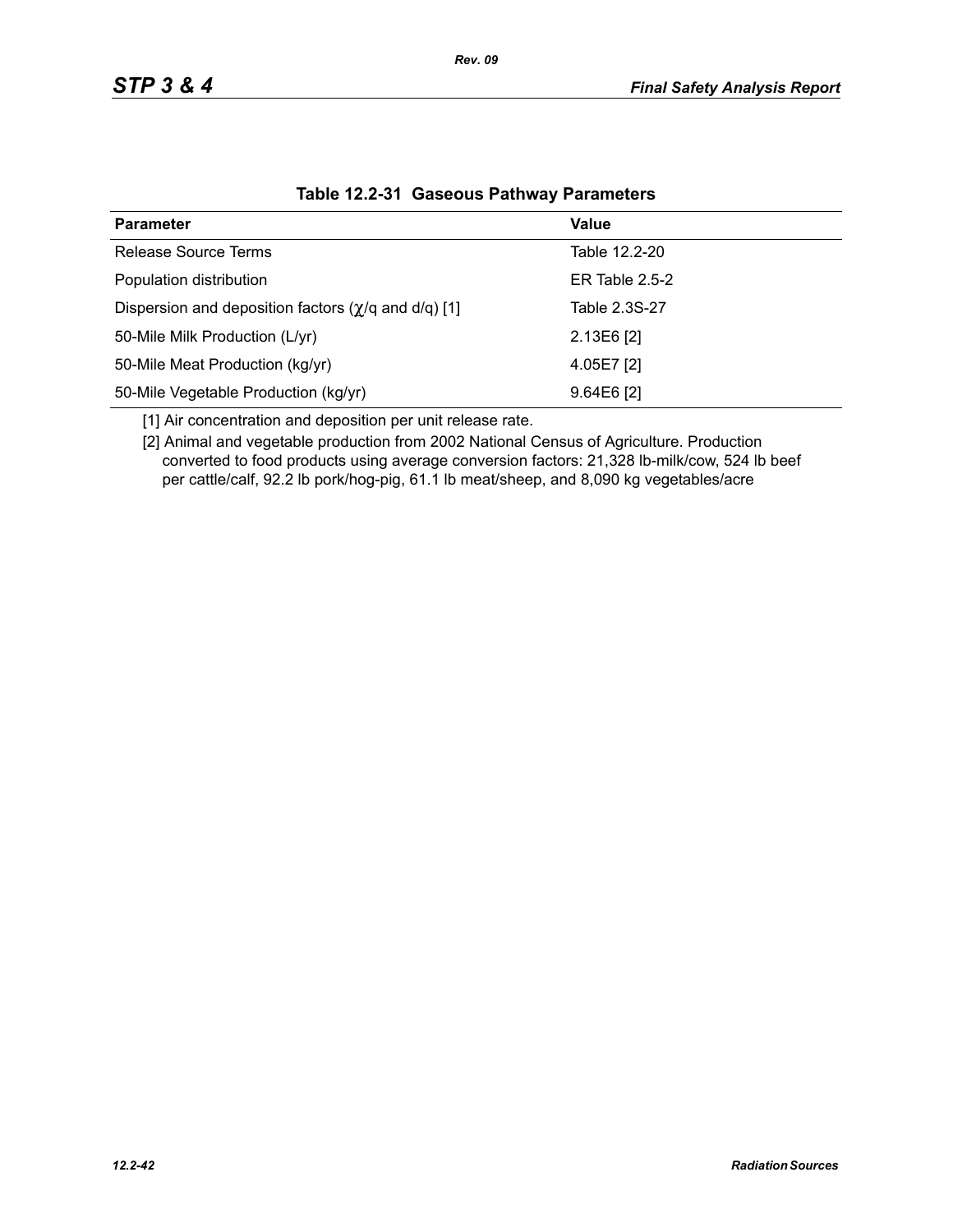| <b>Parameter</b>                                                  | Value            |
|-------------------------------------------------------------------|------------------|
| Release Source Terms                                              | Table 12.2-20    |
| Population distribution                                           | ER Table $2.5-2$ |
| Dispersion and deposition factors $(\chi/q \text{ and } d/q)$ [1] | Table 2.3S-27    |
| 50-Mile Milk Production (L/yr)                                    | $2.13E6$ [2]     |
| 50-Mile Meat Production (kg/yr)                                   | 4.05E7 [2]       |
| 50-Mile Vegetable Production (kg/yr)                              | $9.64E6$ [2]     |

### **Table 12.2-31 Gaseous Pathway Parameters**

[1] Air concentration and deposition per unit release rate.

[2] Animal and vegetable production from 2002 National Census of Agriculture. Production converted to food products using average conversion factors: 21,328 lb-milk/cow, 524 lb beef per cattle/calf, 92.2 lb pork/hog-pig, 61.1 lb meat/sheep, and 8,090 kg vegetables/acre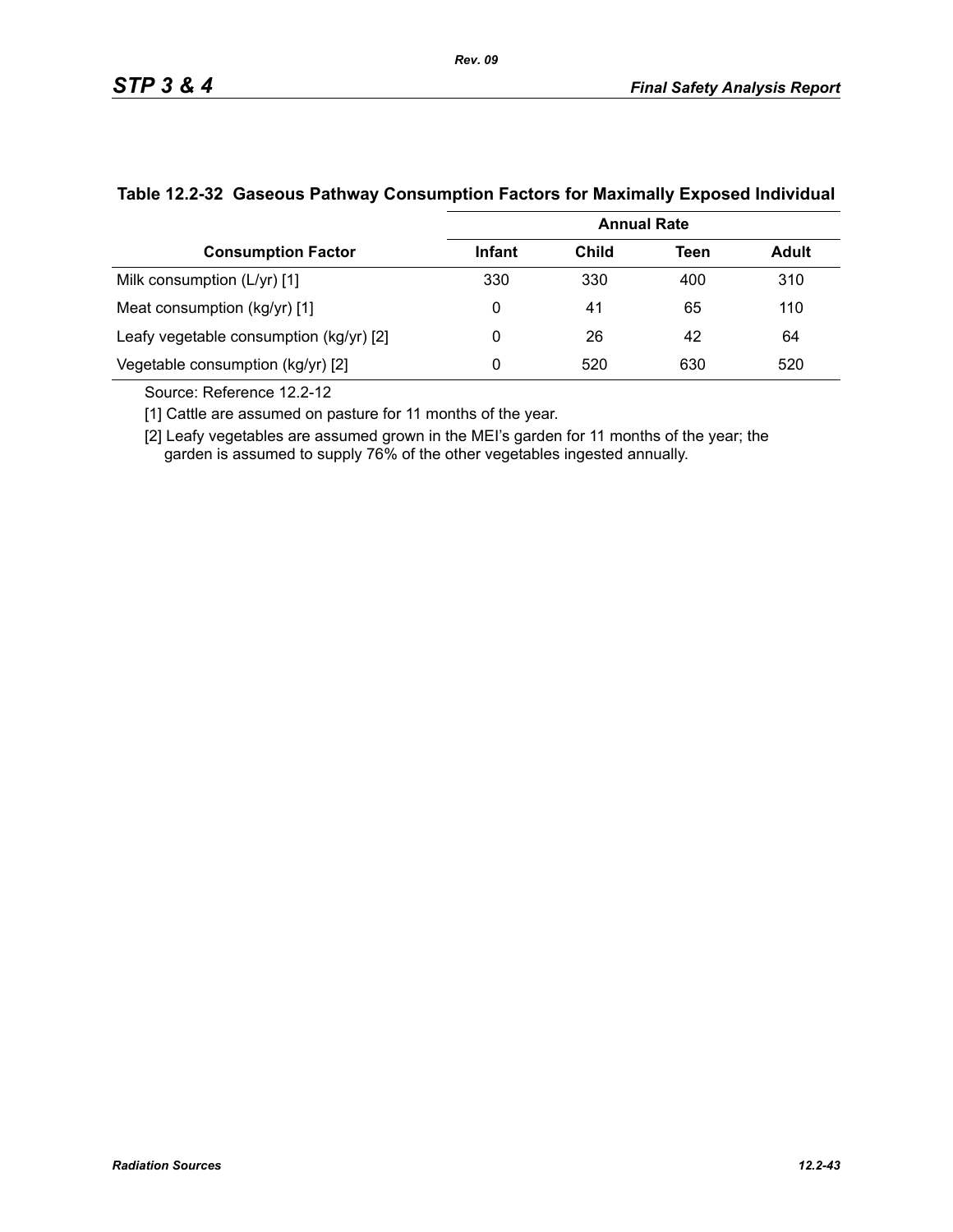|                                           | <b>Annual Rate</b> |       |      |              |  |  |
|-------------------------------------------|--------------------|-------|------|--------------|--|--|
| <b>Consumption Factor</b>                 | Infant             | Child | Teen | <b>Adult</b> |  |  |
| Milk consumption (L/yr) [1]               | 330                | 330   | 400  | 310          |  |  |
| Meat consumption (kg/yr) [1]              | 0                  | 41    | 65   | 110          |  |  |
| Leafy vegetable consumption $(kg/yr)$ [2] | 0                  | 26    | 42   | 64           |  |  |
| Vegetable consumption (kg/yr) [2]         | 0                  | 520   | 630  | 520          |  |  |

### **Table 12.2-32 Gaseous Pathway Consumption Factors for Maximally Exposed Individual**

Source: Reference 12.2-12

[1] Cattle are assumed on pasture for 11 months of the year.

[2] Leafy vegetables are assumed grown in the MEI's garden for 11 months of the year; the garden is assumed to supply 76% of the other vegetables ingested annually.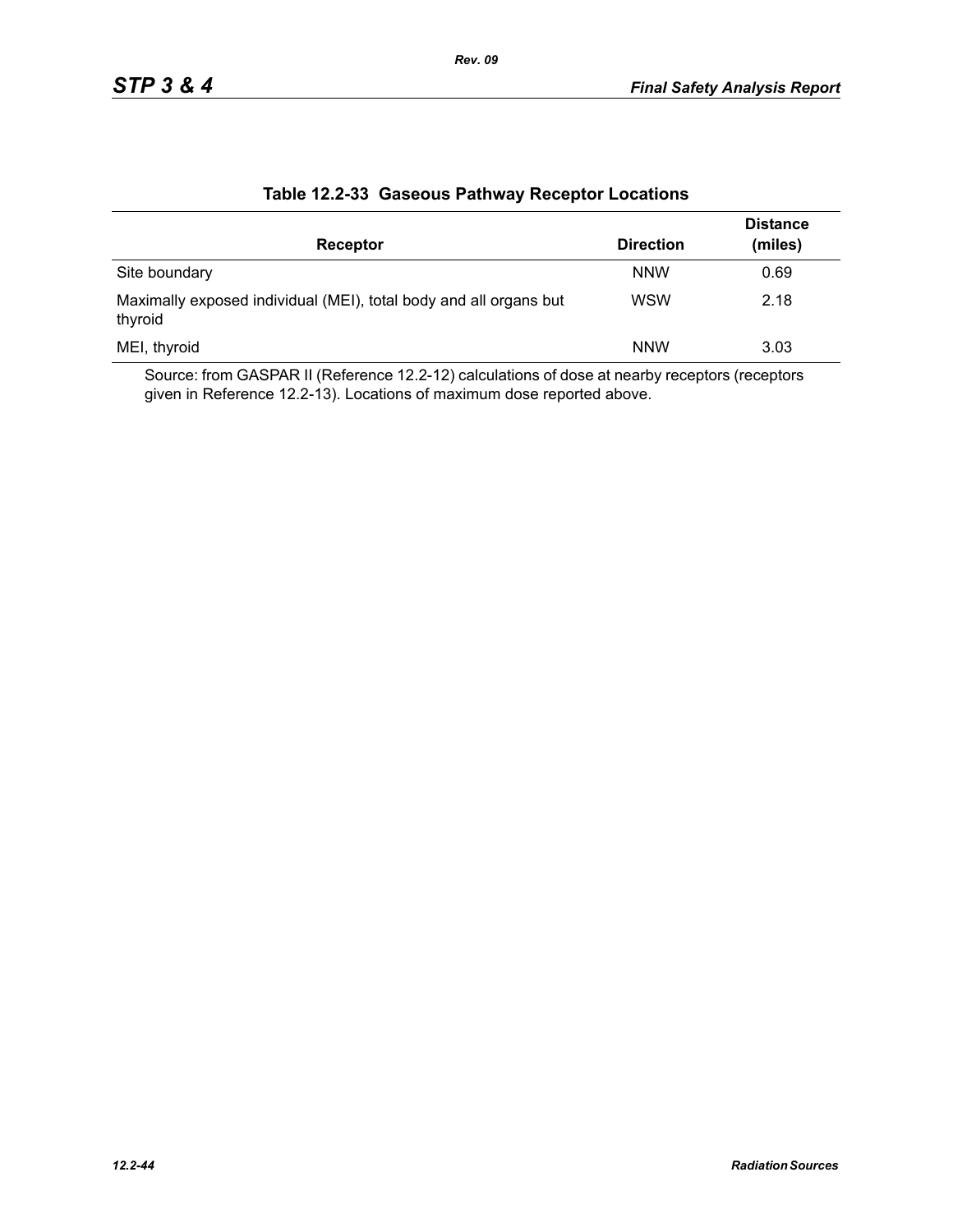|                                                                              |                  | <b>Distance</b> |
|------------------------------------------------------------------------------|------------------|-----------------|
| Receptor                                                                     | <b>Direction</b> | (miles)         |
| Site boundary                                                                | <b>NNW</b>       | 0.69            |
| Maximally exposed individual (MEI), total body and all organs but<br>thyroid | <b>WSW</b>       | 2.18            |
| MEI, thyroid                                                                 | <b>NNW</b>       | 3.03            |

### **Table 12.2-33 Gaseous Pathway Receptor Locations**

Source: from GASPAR II (Reference 12.2-12) calculations of dose at nearby receptors (receptors given in Reference 12.2-13). Locations of maximum dose reported above.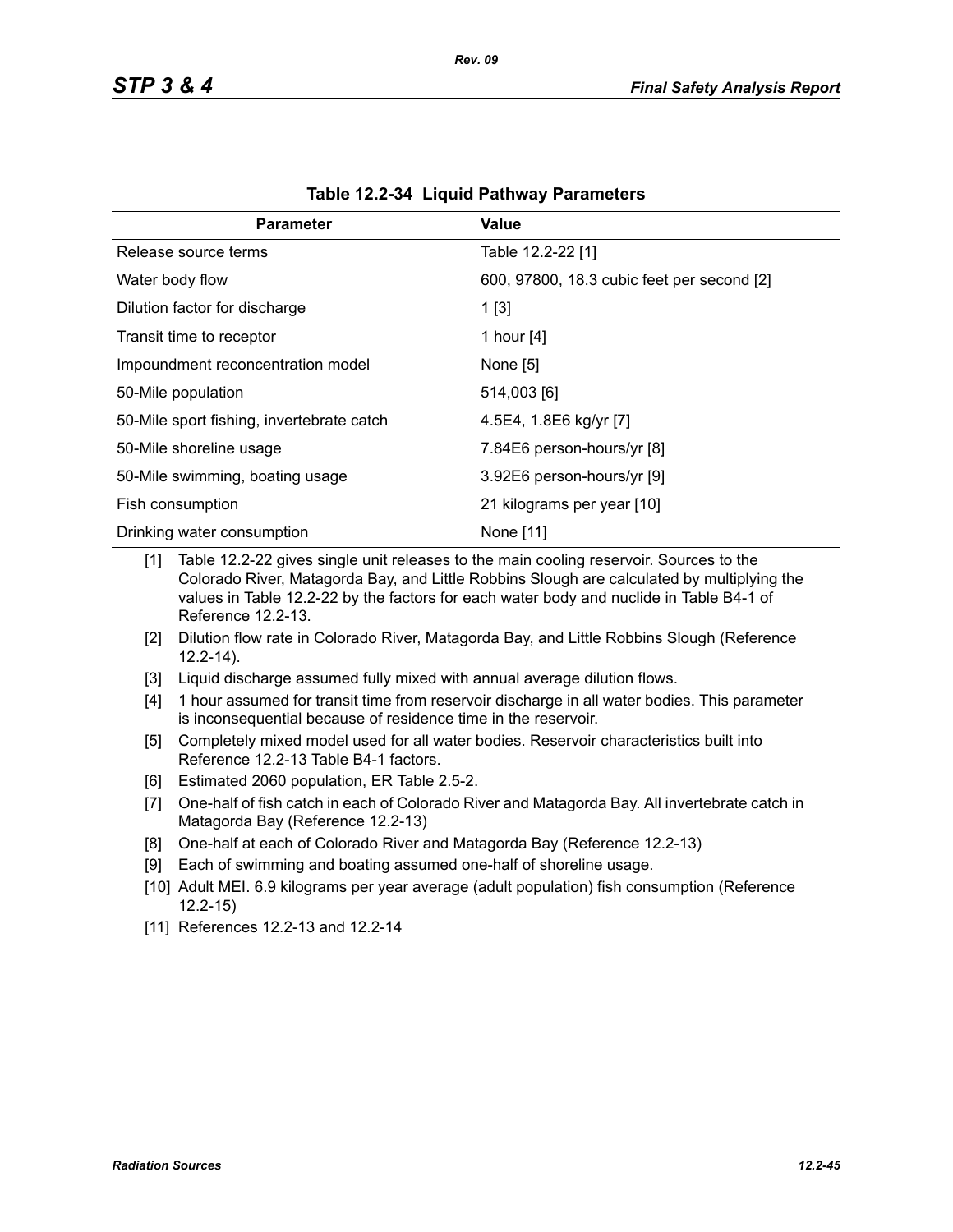| <b>Parameter</b>                          | Value                                      |
|-------------------------------------------|--------------------------------------------|
| Release source terms                      | Table 12.2-22 [1]                          |
| Water body flow                           | 600, 97800, 18.3 cubic feet per second [2] |
| Dilution factor for discharge             | 1[3]                                       |
| Transit time to receptor                  | 1 hour [4]                                 |
| Impoundment reconcentration model         | None [5]                                   |
| 50-Mile population                        | 514,003 [6]                                |
| 50-Mile sport fishing, invertebrate catch | 4.5E4, 1.8E6 kg/yr [7]                     |
| 50-Mile shoreline usage                   | 7.84E6 person-hours/yr [8]                 |
| 50-Mile swimming, boating usage           | 3.92E6 person-hours/yr [9]                 |
| Fish consumption                          | 21 kilograms per year [10]                 |
| Drinking water consumption                | None [11]                                  |

[1] Table 12.2-22 gives single unit releases to the main cooling reservoir. Sources to the Colorado River, Matagorda Bay, and Little Robbins Slough are calculated by multiplying the values in Table 12.2-22 by the factors for each water body and nuclide in Table B4-1 of Reference 12.2-13.

- [2] Dilution flow rate in Colorado River, Matagorda Bay, and Little Robbins Slough (Reference 12.2-14).
- [3] Liquid discharge assumed fully mixed with annual average dilution flows.
- [4] 1 hour assumed for transit time from reservoir discharge in all water bodies. This parameter is inconsequential because of residence time in the reservoir.
- [5] Completely mixed model used for all water bodies. Reservoir characteristics built into Reference 12.2-13 Table B4-1 factors.
- [6] Estimated 2060 population, ER Table 2.5-2.
- [7] One-half of fish catch in each of Colorado River and Matagorda Bay. All invertebrate catch in Matagorda Bay (Reference 12.2-13)
- [8] One-half at each of Colorado River and Matagorda Bay (Reference 12.2-13)
- [9] Each of swimming and boating assumed one-half of shoreline usage.
- [10] Adult MEI. 6.9 kilograms per year average (adult population) fish consumption (Reference 12.2-15)
- [11] References 12.2-13 and 12.2-14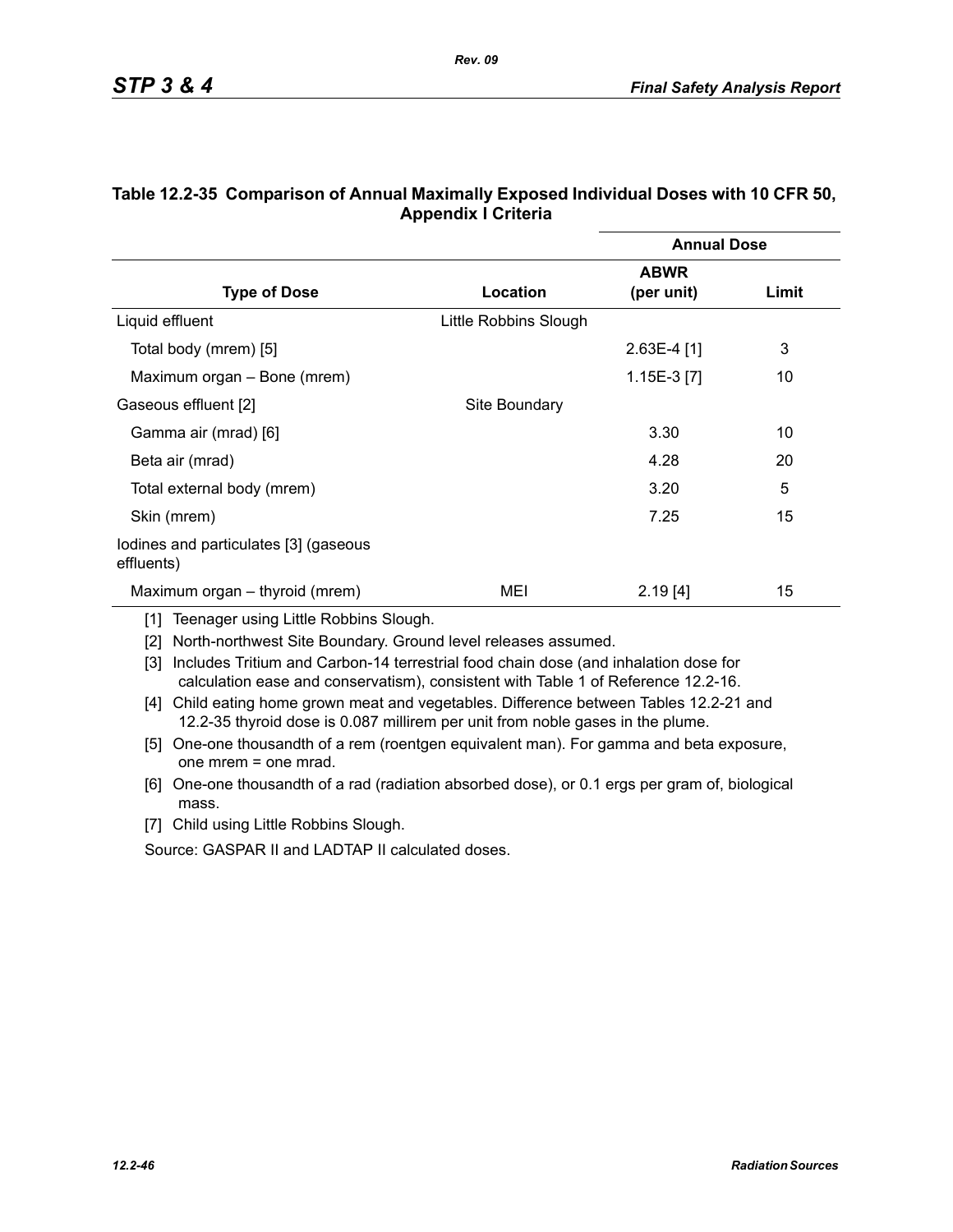|                                                     |                       | <b>Annual Dose</b> |       |
|-----------------------------------------------------|-----------------------|--------------------|-------|
|                                                     |                       | <b>ABWR</b>        |       |
| <b>Type of Dose</b>                                 | Location              | (per unit)         | Limit |
| Liquid effluent                                     | Little Robbins Slough |                    |       |
| Total body (mrem) [5]                               |                       | $2.63E-4$ [1]      | 3     |
| Maximum organ - Bone (mrem)                         |                       | 1.15E-3 [7]        | 10    |
| Gaseous effluent [2]                                | Site Boundary         |                    |       |
| Gamma air (mrad) [6]                                |                       | 3.30               | 10    |
| Beta air (mrad)                                     |                       | 4.28               | 20    |
| Total external body (mrem)                          |                       | 3.20               | 5     |
| Skin (mrem)                                         |                       | 7.25               | 15    |
| lodines and particulates [3] (gaseous<br>effluents) |                       |                    |       |
| Maximum organ – thyroid (mrem)                      | MEI                   | 2.19[4]            | 15    |

### **Table 12.2-35 Comparison of Annual Maximally Exposed Individual Doses with 10 CFR 50, Appendix I Criteria**

*Rev. 09*

[1] Teenager using Little Robbins Slough.

[2] North-northwest Site Boundary. Ground level releases assumed.

[3] Includes Tritium and Carbon-14 terrestrial food chain dose (and inhalation dose for calculation ease and conservatism), consistent with Table 1 of Reference 12.2-16.

- [4] Child eating home grown meat and vegetables. Difference between Tables 12.2-21 and 12.2-35 thyroid dose is 0.087 millirem per unit from noble gases in the plume.
- [5] One-one thousandth of a rem (roentgen equivalent man). For gamma and beta exposure, one mrem = one mrad.
- [6] One-one thousandth of a rad (radiation absorbed dose), or 0.1 ergs per gram of, biological mass.
- [7] Child using Little Robbins Slough.

Source: GASPAR II and LADTAP II calculated doses.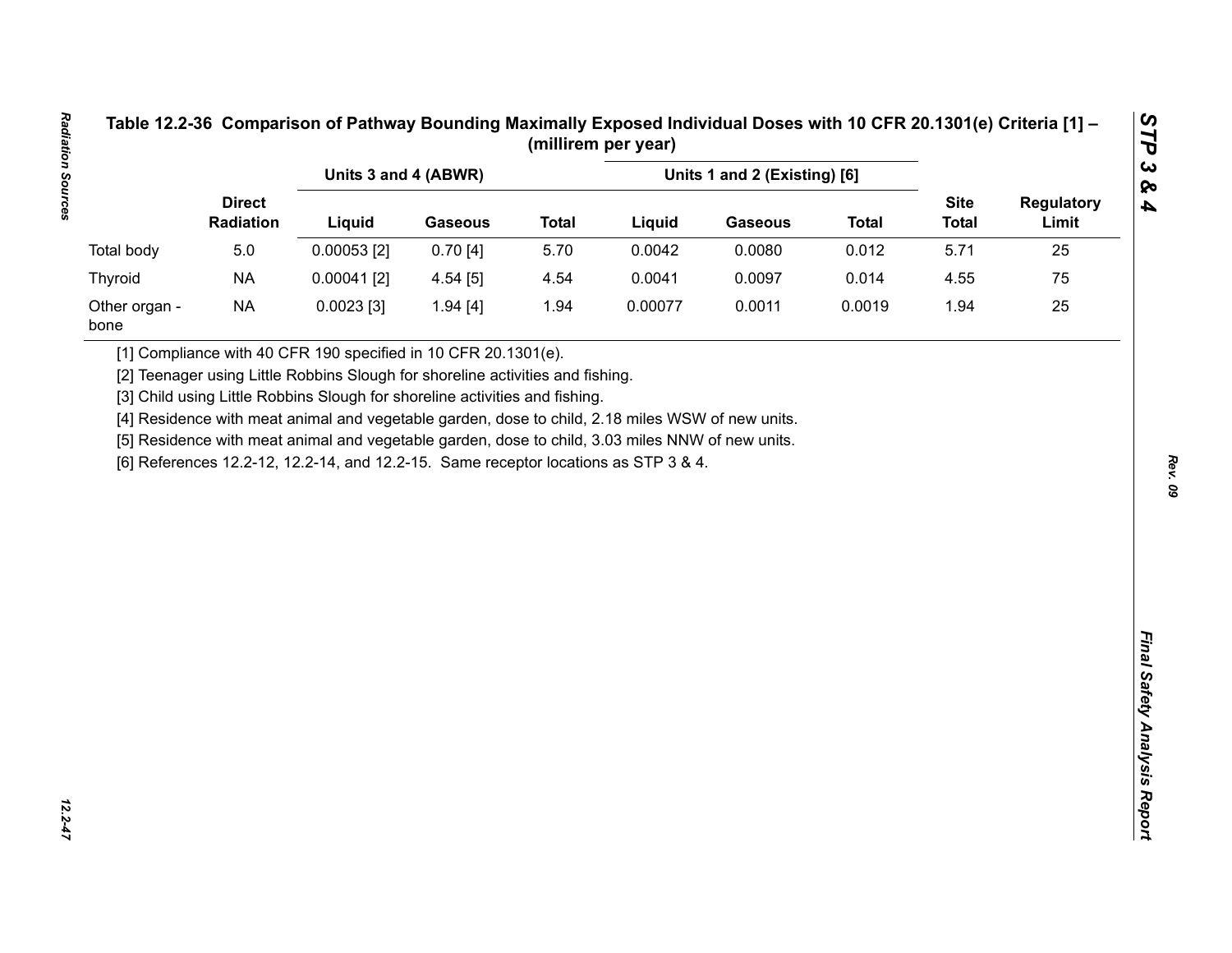|                       |                            | Units 3 and 4 (ABWR)                                                                                                                                                                    |                |              |         | Units 1 and 2 (Existing) [6] |              |                             |                            |
|-----------------------|----------------------------|-----------------------------------------------------------------------------------------------------------------------------------------------------------------------------------------|----------------|--------------|---------|------------------------------|--------------|-----------------------------|----------------------------|
|                       | <b>Direct</b><br>Radiation | Liquid                                                                                                                                                                                  | <b>Gaseous</b> | <b>Total</b> | Liquid  | <b>Gaseous</b>               | <b>Total</b> | <b>Site</b><br><b>Total</b> | <b>Regulatory</b><br>Limit |
| Total body            | 5.0                        | $0.00053$ [2]                                                                                                                                                                           | 0.70[4]        | 5.70         | 0.0042  | 0.0080                       | 0.012        | 5.71                        | 25                         |
| <b>Thyroid</b>        | <b>NA</b>                  | $0.00041$ [2]                                                                                                                                                                           | 4.54[5]        | 4.54         | 0.0041  | 0.0097                       | 0.014        | 4.55                        | 75                         |
| Other organ -<br>bone | <b>NA</b>                  | $0.0023$ [3]                                                                                                                                                                            | 1.94 [4]       | 1.94         | 0.00077 | 0.0011                       | 0.0019       | 1.94                        | 25                         |
|                       |                            | [5] Residence with meat animal and vegetable garden, dose to child, 3.03 miles NNW of new units.<br>[6] References 12.2-12, 12.2-14, and 12.2-15. Same receptor locations as STP 3 & 4. |                |              |         |                              |              |                             |                            |